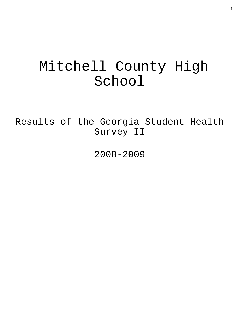# Mitchell County High School

Results of the Georgia Student Health Survey II

2008-2009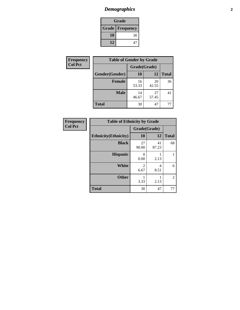## *Demographics* **2**

| Grade                    |    |  |  |  |
|--------------------------|----|--|--|--|
| <b>Grade   Frequency</b> |    |  |  |  |
| 10                       | 30 |  |  |  |
| 12                       | 47 |  |  |  |

| <b>Frequency</b> | <b>Table of Gender by Grade</b> |              |             |              |  |  |
|------------------|---------------------------------|--------------|-------------|--------------|--|--|
| <b>Col Pct</b>   |                                 | Grade(Grade) |             |              |  |  |
|                  | Gender(Gender)                  | 10           | 12          | <b>Total</b> |  |  |
|                  | Female                          | 16<br>53.33  | 20<br>42.55 | 36           |  |  |
|                  | <b>Male</b>                     | 14<br>46.67  | 27<br>57.45 | 41           |  |  |
|                  | <b>Total</b>                    | 30           | 47          |              |  |  |

| <b>Frequency</b> |
|------------------|
| <b>Col Pct</b>   |

| <b>Table of Ethnicity by Grade</b> |              |             |              |  |  |  |
|------------------------------------|--------------|-------------|--------------|--|--|--|
|                                    | Grade(Grade) |             |              |  |  |  |
| <b>Ethnicity</b> (Ethnicity)       | 10           | 12          | <b>Total</b> |  |  |  |
| <b>Black</b>                       | 27<br>90.00  | 41<br>87.23 | 68           |  |  |  |
| <b>Hispanic</b>                    | O<br>0.00    | 2.13        |              |  |  |  |
| <b>White</b>                       | 2<br>6.67    | 4<br>8.51   | 6            |  |  |  |
| <b>Other</b>                       | 3.33         | 2.13        | 2            |  |  |  |
| <b>Total</b>                       | 30           | 47          | 77           |  |  |  |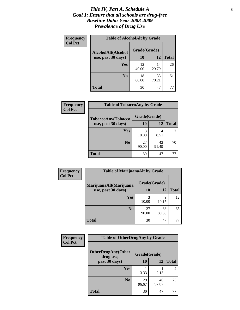#### *Title IV, Part A, Schedule A* **3** *Goal 1: Ensure that all schools are drug-free Baseline Data: Year 2008-2009 Prevalence of Drug Use*

| Frequency<br><b>Col Pct</b> | <b>Table of AlcoholAlt by Grade</b> |              |             |              |  |  |
|-----------------------------|-------------------------------------|--------------|-------------|--------------|--|--|
|                             | AlcoholAlt(Alcohol                  | Grade(Grade) |             |              |  |  |
|                             | use, past 30 days)                  | <b>10</b>    | 12          | <b>Total</b> |  |  |
|                             | Yes                                 | 12<br>40.00  | 14<br>29.79 | 26           |  |  |
|                             | N <sub>0</sub>                      | 18<br>60.00  | 33<br>70.21 | 51           |  |  |
|                             | <b>Total</b>                        | 30           | 47          | 77           |  |  |

| <b>Frequency</b><br><b>Col Pct</b> | <b>Table of TobaccoAny by Grade</b> |              |             |              |  |
|------------------------------------|-------------------------------------|--------------|-------------|--------------|--|
|                                    | TobaccoAny(Tobacco                  | Grade(Grade) |             |              |  |
|                                    | use, past 30 days)                  | 10           | 12          | <b>Total</b> |  |
|                                    | Yes                                 | 3<br>10.00   | 4<br>8.51   |              |  |
|                                    | N <sub>0</sub>                      | 27<br>90.00  | 43<br>91.49 | 70           |  |
|                                    | <b>Total</b>                        | 30           | 47          | 77           |  |

| Frequency      | <b>Table of MarijuanaAlt by Grade</b> |              |             |              |  |
|----------------|---------------------------------------|--------------|-------------|--------------|--|
| <b>Col Pct</b> | MarijuanaAlt(Marijuana                | Grade(Grade) |             |              |  |
|                | use, past 30 days)                    | 10           | 12          | <b>Total</b> |  |
|                | <b>Yes</b>                            | 3<br>10.00   | 9<br>19.15  | 12           |  |
|                | N <sub>0</sub>                        | 27<br>90.00  | 38<br>80.85 | 65           |  |
|                | <b>Total</b>                          | 30           | 47          | 77           |  |

| <b>Frequency</b> | <b>Table of OtherDrugAny by Grade</b>  |              |             |                |  |
|------------------|----------------------------------------|--------------|-------------|----------------|--|
| <b>Col Pct</b>   | <b>OtherDrugAny(Other</b><br>drug use, | Grade(Grade) |             |                |  |
|                  | past 30 days)                          | 10           | 12          | <b>Total</b>   |  |
|                  | <b>Yes</b>                             | 3.33         | 2.13        | $\overline{c}$ |  |
|                  | N <sub>0</sub>                         | 29<br>96.67  | 46<br>97.87 | 75             |  |
|                  | <b>Total</b>                           | 30           | 47          | 77             |  |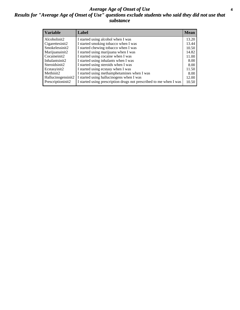#### *Average Age of Onset of Use* **4** *Results for "Average Age of Onset of Use" questions exclude students who said they did not use that substance*

| <b>Variable</b>       | Label                                                              | <b>Mean</b> |
|-----------------------|--------------------------------------------------------------------|-------------|
| Alcoholinit2          | I started using alcohol when I was                                 | 13.20       |
| Cigarettesinit2       | I started smoking tobacco when I was                               | 13.44       |
| Smokelessinit2        | I started chewing tobacco when I was                               | 10.50       |
| Marijuanainit2        | I started using marijuana when I was                               | 14.82       |
| Cocaineinit2          | I started using cocaine when I was                                 | 11.00       |
| Inhalantsinit2        | I started using inhalants when I was                               | 8.00        |
| Steroidsinit2         | I started using steroids when I was                                | 8.00        |
| Ecstasyinit2          | I started using ecstasy when I was                                 | 11.50       |
| Methinit <sub>2</sub> | I started using methamphetamines when I was                        | 8.00        |
| Hallucinogensinit2    | I started using hallucinogens when I was                           | 12.00       |
| Prescriptioninit2     | I started using prescription drugs not prescribed to me when I was | 10.50       |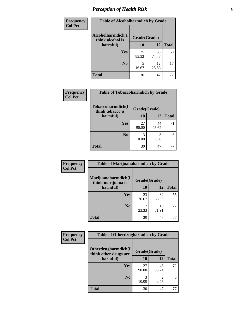## *Perception of Health Risk* **5**

| Frequency      | <b>Table of Alcoholharmdich by Grade</b> |              |             |              |
|----------------|------------------------------------------|--------------|-------------|--------------|
| <b>Col Pct</b> | Alcoholharmdich(I<br>think alcohol is    | Grade(Grade) |             |              |
|                | harmful)                                 | 10           | 12          | <b>Total</b> |
|                | <b>Yes</b>                               | 25<br>83.33  | 35<br>74.47 | 60           |
|                | N <sub>0</sub>                           | 5<br>16.67   | 12<br>25.53 | 17           |
|                | <b>Total</b>                             | 30           | 47          | 77           |

| Frequency      | <b>Table of Tobaccoharmdich by Grade</b> |              |             |              |
|----------------|------------------------------------------|--------------|-------------|--------------|
| <b>Col Pct</b> | Tobaccoharmdich(I<br>think tobacco is    | Grade(Grade) |             |              |
|                | harmful)                                 | 10           | 12          | <b>Total</b> |
|                | Yes                                      | 27<br>90.00  | 44<br>93.62 | 71           |
|                | N <sub>0</sub>                           | 10.00        | 3<br>6.38   |              |
|                | <b>Total</b>                             | 30           | 47          | 77           |

| Frequency      | <b>Table of Marijuanaharmdich by Grade</b> |              |             |              |  |  |
|----------------|--------------------------------------------|--------------|-------------|--------------|--|--|
| <b>Col Pct</b> | Marijuanaharmdich(I<br>think marijuana is  | Grade(Grade) |             |              |  |  |
|                | harmful)                                   | 10           | <b>12</b>   | <b>Total</b> |  |  |
|                | Yes                                        | 23<br>76.67  | 32<br>68.09 | 55           |  |  |
|                | N <sub>0</sub>                             | 23.33        | 15<br>31.91 | 22           |  |  |
|                | <b>Total</b>                               | 30           | 47          | 77           |  |  |

| <b>Frequency</b> | <b>Table of Otherdrugharmdich by Grade</b>                   |             |             |              |  |
|------------------|--------------------------------------------------------------|-------------|-------------|--------------|--|
| <b>Col Pct</b>   | Otherdrugharmdich(I<br>Grade(Grade)<br>think other drugs are |             |             |              |  |
|                  | harmful)                                                     | <b>10</b>   | 12          | <b>Total</b> |  |
|                  | <b>Yes</b>                                                   | 27<br>90.00 | 45<br>95.74 | 72           |  |
|                  | N <sub>0</sub>                                               | 10.00       | 4.26        | 5            |  |
|                  | <b>Total</b>                                                 | 30          | 47          | 77           |  |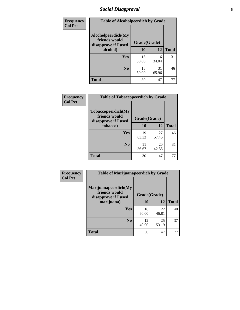### *Social Disapproval* **6**

| <b>Frequency</b> | <b>Table of Alcoholpeerdich by Grade</b>                    |              |             |              |
|------------------|-------------------------------------------------------------|--------------|-------------|--------------|
| <b>Col Pct</b>   | Alcoholpeerdich(My<br>friends would<br>disapprove if I used | Grade(Grade) |             |              |
|                  | alcohol)                                                    | 10           | 12          | <b>Total</b> |
|                  | <b>Yes</b>                                                  | 15<br>50.00  | 16<br>34.04 | 31           |
|                  | N <sub>0</sub>                                              | 15<br>50.00  | 31<br>65.96 | 46           |
|                  | <b>Total</b>                                                | 30           | 47          | 77           |

| <b>Frequency</b> |
|------------------|
| <b>Col Pct</b>   |

| <b>Table of Tobaccopeerdich by Grade</b>                    |              |             |              |  |  |
|-------------------------------------------------------------|--------------|-------------|--------------|--|--|
| Tobaccopeerdich(My<br>friends would<br>disapprove if I used | Grade(Grade) |             |              |  |  |
| tobacco)                                                    | 10           | 12          | <b>Total</b> |  |  |
| Yes                                                         | 19<br>63.33  | 27<br>57.45 | 46           |  |  |
| N <sub>0</sub>                                              | 11<br>36.67  | 20<br>42.55 | 31           |  |  |
| <b>Total</b>                                                | 30           | 47          |              |  |  |

| Frequency      | <b>Table of Marijuanapeerdich by Grade</b>                    |              |             |              |  |
|----------------|---------------------------------------------------------------|--------------|-------------|--------------|--|
| <b>Col Pct</b> | Marijuanapeerdich(My<br>friends would<br>disapprove if I used | Grade(Grade) |             |              |  |
|                | marijuana)                                                    | 10           | 12          | <b>Total</b> |  |
|                | <b>Yes</b>                                                    | 18<br>60.00  | 22<br>46.81 | 40           |  |
|                | N <sub>0</sub>                                                | 12<br>40.00  | 25<br>53.19 | 37           |  |
|                | <b>Total</b>                                                  | 30           | 47          | 77           |  |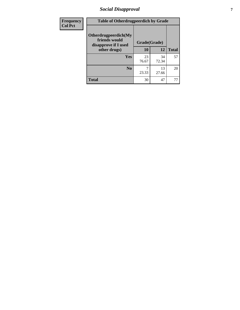### *Social Disapproval* **7**

| Frequency      | <b>Table of Otherdrugpeerdich by Grade</b>                    |              |             |              |  |
|----------------|---------------------------------------------------------------|--------------|-------------|--------------|--|
| <b>Col Pct</b> | Otherdrugpeerdich(My<br>friends would<br>disapprove if I used | Grade(Grade) |             |              |  |
|                | other drugs)                                                  | <b>10</b>    | 12          | <b>Total</b> |  |
|                | <b>Yes</b>                                                    | 23<br>76.67  | 34<br>72.34 | 57           |  |
|                | N <sub>0</sub>                                                | 23.33        | 13<br>27.66 | 20           |  |
|                | <b>Total</b>                                                  | 30           | 47          |              |  |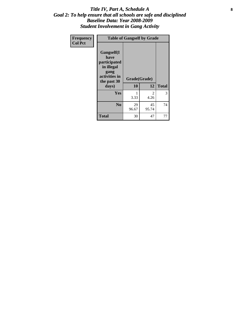#### Title IV, Part A, Schedule A **8** *Goal 2: To help ensure that all schools are safe and disciplined Baseline Data: Year 2008-2009 Student Involvement in Gang Activity*

| Frequency      |                                                                                                   | <b>Table of Gangself by Grade</b> |             |              |  |  |
|----------------|---------------------------------------------------------------------------------------------------|-----------------------------------|-------------|--------------|--|--|
| <b>Col Pct</b> | Gangself(I<br>have<br>participated<br>in illegal<br>gang<br>activities in<br>the past 30<br>days) | Grade(Grade)<br>10                | 12          | <b>Total</b> |  |  |
|                | Yes                                                                                               | 1<br>3.33                         | 2<br>4.26   | 3            |  |  |
|                | N <sub>0</sub>                                                                                    | 29<br>96.67                       | 45<br>95.74 | 74           |  |  |
|                | <b>Total</b>                                                                                      | 30                                | 47          | 77           |  |  |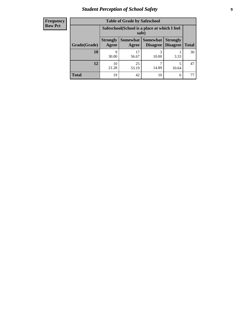## *Student Perception of School Safety* **9**

| <b>Frequency</b><br>Row Pct |
|-----------------------------|
|                             |

| <b>Table of Grade by Safeschool</b> |                          |                                                        |                             |                                    |              |  |
|-------------------------------------|--------------------------|--------------------------------------------------------|-----------------------------|------------------------------------|--------------|--|
|                                     |                          | Safeschool (School is a place at which I feel<br>safe) |                             |                                    |              |  |
| Grade(Grade)                        | <b>Strongly</b><br>Agree | Somewhat  <br>Agree                                    | <b>Somewhat</b><br>Disagree | <b>Strongly</b><br><b>Disagree</b> | <b>Total</b> |  |
| 10                                  | 9<br>30.00               | 17<br>56.67                                            | 3<br>10.00                  | 3.33                               | 30           |  |
| 12                                  | 10<br>21.28              | 25<br>53.19                                            | 14.89                       | 5<br>10.64                         | 47           |  |
| <b>Total</b>                        | 19                       | 42                                                     | 10                          | 6                                  |              |  |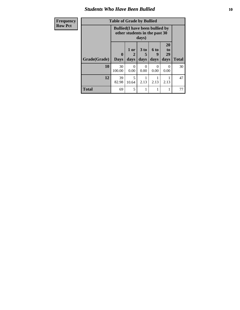#### *Students Who Have Been Bullied* **10**

| <b>Frequency</b> | <b>Table of Grade by Bullied</b> |              |                                                                         |                  |                  |                       |              |
|------------------|----------------------------------|--------------|-------------------------------------------------------------------------|------------------|------------------|-----------------------|--------------|
| <b>Row Pct</b>   |                                  |              | <b>Bullied</b> (I have been bullied by<br>other students in the past 30 | days)            |                  |                       |              |
|                  |                                  | $\mathbf{0}$ | 1 or<br>2                                                               | 3 to<br>b.       | <b>6 to</b><br>9 | <b>20</b><br>to<br>29 |              |
|                  | Grade(Grade)                     | <b>Days</b>  | days                                                                    | days             | days             | days                  | <b>Total</b> |
|                  | 10                               | 30<br>100.00 | 0<br>0.00                                                               | $\Omega$<br>0.00 | 0<br>0.00        | 0<br>0.00             | 30           |
|                  | 12                               | 39<br>82.98  | 5<br>10.64                                                              | 2.13             | 2.13             | 2.13                  | 47           |

**Total** 69 5 1 1 1 77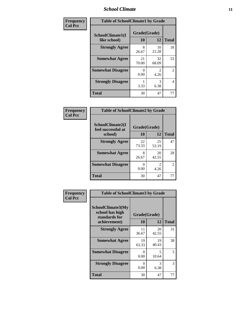#### *School Climate* **11**

| Frequency      | <b>Table of SchoolClimate1 by Grade</b> |                    |             |              |  |
|----------------|-----------------------------------------|--------------------|-------------|--------------|--|
| <b>Col Pct</b> | SchoolClimate1(I<br>like school)        | Grade(Grade)<br>10 | 12          | <b>Total</b> |  |
|                | <b>Strongly Agree</b>                   | 8<br>26.67         | 10<br>21.28 | 18           |  |
|                | <b>Somewhat Agree</b>                   | 21<br>70.00        | 32<br>68.09 | 53           |  |
|                | <b>Somewhat Disagree</b>                | 0.00               | 2<br>4.26   | 2            |  |
|                | <b>Strongly Disagree</b>                | 3.33               | 3<br>6.38   | 4            |  |
|                | <b>Total</b>                            | 30                 | 47          | 77           |  |

| Frequency      | <b>Table of SchoolClimate2 by Grade</b>           |                    |                                     |                |  |
|----------------|---------------------------------------------------|--------------------|-------------------------------------|----------------|--|
| <b>Col Pct</b> | SchoolClimate2(I<br>feel successful at<br>school) | Grade(Grade)<br>10 | 12                                  | <b>Total</b>   |  |
|                | <b>Strongly Agree</b>                             | 22<br>73.33        | 25<br>53.19                         | 47             |  |
|                | <b>Somewhat Agree</b>                             | 8<br>26.67         | 20<br>42.55                         | 28             |  |
|                | <b>Somewhat Disagree</b>                          | 0<br>0.00          | $\mathcal{D}_{\mathcal{L}}$<br>4.26 | $\overline{2}$ |  |
|                | <b>Total</b>                                      | 30                 | 47                                  | 77             |  |

| Frequency      | <b>Table of SchoolClimate3 by Grade</b>                               |                    |             |              |
|----------------|-----------------------------------------------------------------------|--------------------|-------------|--------------|
| <b>Col Pct</b> | SchoolClimate3(My<br>school has high<br>standards for<br>achievement) | Grade(Grade)<br>10 | 12          | <b>Total</b> |
|                | <b>Strongly Agree</b>                                                 | 11<br>36.67        | 20<br>42.55 | 31           |
|                | <b>Somewhat Agree</b>                                                 | 19<br>63.33        | 19<br>40.43 | 38           |
|                | <b>Somewhat Disagree</b>                                              | 0<br>0.00          | 5<br>10.64  | 5            |
|                | <b>Strongly Disagree</b>                                              | 0<br>0.00          | 3<br>6.38   | 3            |
|                | Total                                                                 | 30                 | 47          | 77           |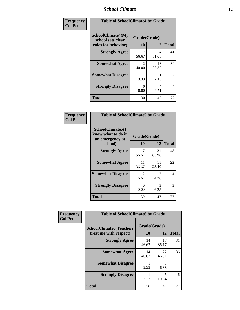#### *School Climate* **12**

| Frequency      | <b>Table of SchoolClimate4 by Grade</b>                              |                           |             |              |
|----------------|----------------------------------------------------------------------|---------------------------|-------------|--------------|
| <b>Col Pct</b> | <b>SchoolClimate4(My</b><br>school sets clear<br>rules for behavior) | Grade(Grade)<br>10        | 12          | <b>Total</b> |
|                | <b>Strongly Agree</b>                                                | 17<br>56.67               | 24<br>51.06 | 41           |
|                | <b>Somewhat Agree</b>                                                | 12<br>40.00               | 18<br>38.30 | 30           |
|                | <b>Somewhat Disagree</b>                                             | 3.33                      | 2.13        | 2            |
|                | <b>Strongly Disagree</b>                                             | $\mathbf{\Omega}$<br>0.00 | 4<br>8.51   | 4            |
|                | <b>Total</b>                                                         | 30                        | 47          | 77           |

| <b>Table of SchoolClimate5 by Grade</b>                   |                        |                        |              |  |
|-----------------------------------------------------------|------------------------|------------------------|--------------|--|
| SchoolClimate5(I<br>know what to do in<br>an emergency at | Grade(Grade)           |                        |              |  |
| school)                                                   | 10                     | 12                     | <b>Total</b> |  |
| <b>Strongly Agree</b>                                     | 17<br>56.67            | 31<br>65.96            | 48           |  |
| <b>Somewhat Agree</b>                                     | 11<br>36.67            | 11<br>23.40            | 22           |  |
| <b>Somewhat Disagree</b>                                  | $\mathfrak{D}$<br>6.67 | $\mathfrak{D}$<br>4.26 | 4            |  |
| <b>Strongly Disagree</b>                                  | 0<br>0.00              | 3<br>6.38              | 3            |  |
| Total                                                     | 30                     | 47                     | 77           |  |

| Frequency      | <b>Table of SchoolClimate6 by Grade</b>                  |                    |             |                          |
|----------------|----------------------------------------------------------|--------------------|-------------|--------------------------|
| <b>Col Pct</b> | <b>SchoolClimate6(Teachers</b><br>treat me with respect) | Grade(Grade)<br>10 | 12          | <b>Total</b>             |
|                | <b>Strongly Agree</b>                                    | 14<br>46.67        | 17<br>36.17 | 31                       |
|                | <b>Somewhat Agree</b>                                    | 14<br>46.67        | 22<br>46.81 | 36                       |
|                | <b>Somewhat Disagree</b>                                 | 3.33               | 3<br>6.38   | $\overline{\mathcal{A}}$ |
|                | <b>Strongly Disagree</b>                                 | 3.33               | 5<br>10.64  | 6                        |
|                | <b>Total</b>                                             | 30                 | 47          | 77                       |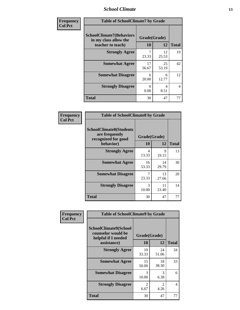#### *School Climate* **13**

| Frequency      | <b>Table of SchoolClimate7 by Grade</b>                                       |                           |             |              |
|----------------|-------------------------------------------------------------------------------|---------------------------|-------------|--------------|
| <b>Col Pct</b> | <b>SchoolClimate7(Behaviors</b><br>in my class allow the<br>teacher to teach) | Grade(Grade)<br><b>10</b> | 12          | <b>Total</b> |
|                | <b>Strongly Agree</b>                                                         | 7<br>23.33                | 12<br>25.53 | 19           |
|                | <b>Somewhat Agree</b>                                                         | 17<br>56.67               | 25<br>53.19 | 42           |
|                | <b>Somewhat Disagree</b>                                                      | 6<br>20.00                | 6<br>12.77  | 12           |
|                | <b>Strongly Disagree</b>                                                      | $\Omega$<br>0.00          | 4<br>8.51   | 4            |
|                | <b>Total</b>                                                                  | 30                        | 47          | 77           |

| Frequency      | <b>Table of SchoolClimate8 by Grade</b>                                 |                                   |             |              |
|----------------|-------------------------------------------------------------------------|-----------------------------------|-------------|--------------|
| <b>Col Pct</b> | <b>SchoolClimate8(Students</b><br>are frequently<br>recognized for good | Grade(Grade)                      |             |              |
|                | behavior)                                                               | 10                                | 12          | <b>Total</b> |
|                | <b>Strongly Agree</b>                                                   | $\overline{\mathcal{A}}$<br>13.33 | 9<br>19.15  | 13           |
|                | <b>Somewhat Agree</b>                                                   | 16<br>53.33                       | 14<br>29.79 | 30           |
|                | <b>Somewhat Disagree</b>                                                | 23.33                             | 13<br>27.66 | 20           |
|                | <b>Strongly Disagree</b>                                                | $\mathcal{R}$<br>10.00            | 11<br>23.40 | 14           |
|                | <b>Total</b>                                                            | 30                                | 47          | 77           |

| <b>Frequency</b> | <b>Table of SchoolClimate9 by Grade</b>                                                  |                    |             |                |
|------------------|------------------------------------------------------------------------------------------|--------------------|-------------|----------------|
| <b>Col Pct</b>   | <b>SchoolClimate9(School</b><br>counselor would be<br>helpful if I needed<br>assistance) | Grade(Grade)<br>10 | 12          | <b>Total</b>   |
|                  | <b>Strongly Agree</b>                                                                    | 10<br>33.33        | 24<br>51.06 | 34             |
|                  | <b>Somewhat Agree</b>                                                                    | 15<br>50.00        | 18<br>38.30 | 33             |
|                  | <b>Somewhat Disagree</b>                                                                 | 3<br>10.00         | 3<br>6.38   | 6              |
|                  | <b>Strongly Disagree</b>                                                                 | 2<br>6.67          | 2<br>4.26   | $\overline{4}$ |
|                  | <b>Total</b>                                                                             | 30                 | 47          | 77             |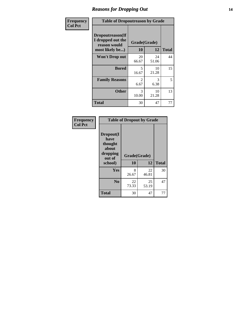#### *Reasons for Dropping Out* **14**

| Frequency      | <b>Table of Dropoutreason by Grade</b>                                   |                        |             |              |
|----------------|--------------------------------------------------------------------------|------------------------|-------------|--------------|
| <b>Col Pct</b> | Dropoutreason(If<br>I dropped out the<br>reason would<br>most likely be) | Grade(Grade)<br>10     | 12          | <b>Total</b> |
|                | <b>Won't Drop out</b>                                                    | 20<br>66.67            | 24<br>51.06 | 44           |
|                | <b>Bored</b>                                                             | 5<br>16.67             | 10<br>21.28 | 15           |
|                | <b>Family Reasons</b>                                                    | $\mathfrak{D}$<br>6.67 | 3<br>6.38   | 5            |
|                | <b>Other</b>                                                             | 3<br>10.00             | 10<br>21.28 | 13           |
|                | <b>Total</b>                                                             | 30                     | 47          | 77           |

| Frequency<br><b>Col Pct</b> | <b>Table of Dropout by Grade</b>                                       |                    |             |              |  |
|-----------------------------|------------------------------------------------------------------------|--------------------|-------------|--------------|--|
|                             | Dropout(I<br>have<br>thought<br>about<br>dropping<br>out of<br>school) | Grade(Grade)<br>10 | 12          | <b>Total</b> |  |
|                             | <b>Yes</b>                                                             | 8<br>26.67         | 22<br>46.81 | 30           |  |
|                             | N <sub>0</sub>                                                         | 22<br>73.33        | 25<br>53.19 | 47           |  |
|                             | <b>Total</b>                                                           | 30                 | 47          | 77           |  |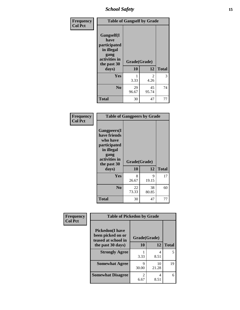*School Safety* **15**

| Frequency      | <b>Table of Gangself by Grade</b>                                                                 |                    |             |              |
|----------------|---------------------------------------------------------------------------------------------------|--------------------|-------------|--------------|
| <b>Col Pct</b> | Gangself(I<br>have<br>participated<br>in illegal<br>gang<br>activities in<br>the past 30<br>days) | Grade(Grade)<br>10 | 12          | <b>Total</b> |
|                |                                                                                                   |                    |             |              |
|                | Yes                                                                                               | 1<br>3.33          | 2<br>4.26   | 3            |
|                | N <sub>0</sub>                                                                                    | 29<br>96.67        | 45<br>95.74 | 74           |
|                | <b>Total</b>                                                                                      | 30                 | 47          | 77           |

| Frequency<br><b>Col Pct</b> | <b>Table of Gangpeers by Grade</b>                                                                                             |                    |             |              |
|-----------------------------|--------------------------------------------------------------------------------------------------------------------------------|--------------------|-------------|--------------|
|                             | <b>Gangpeers</b> (I<br>have friends<br>who have<br>participated<br>in illegal<br>gang<br>activities in<br>the past 30<br>days) | Grade(Grade)<br>10 | 12          | <b>Total</b> |
|                             | Yes                                                                                                                            | 8<br>26.67         | 9<br>19.15  | 17           |
|                             | N <sub>0</sub>                                                                                                                 | 22<br>73.33        | 38<br>80.85 | 60           |
|                             | <b>Total</b>                                                                                                                   | 30                 | 47          | 77           |

| Frequency      | <b>Table of Pickedon by Grade</b>                                  |                        |             |              |
|----------------|--------------------------------------------------------------------|------------------------|-------------|--------------|
| <b>Col Pct</b> | <b>Pickedon(I have</b><br>been picked on or<br>teased at school in | Grade(Grade)           |             |              |
|                | the past 30 days)                                                  | 10                     | 12          | <b>Total</b> |
|                | <b>Strongly Agree</b>                                              | 3.33                   | 4<br>8.51   | 5            |
|                | <b>Somewhat Agree</b>                                              | Q<br>30.00             | 10<br>21.28 | 19           |
|                | <b>Somewhat Disagree</b>                                           | $\mathfrak{D}$<br>6.67 | 4<br>8.51   | 6            |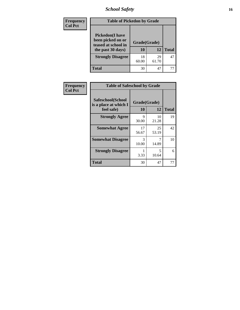## *School Safety* **16**

| <b>Frequency</b> | <b>Table of Pickedon by Grade</b>                                                        |                    |             |              |
|------------------|------------------------------------------------------------------------------------------|--------------------|-------------|--------------|
| <b>Col Pct</b>   | <b>Pickedon</b> (I have<br>been picked on or<br>teased at school in<br>the past 30 days) | Grade(Grade)<br>10 | 12          | <b>Total</b> |
|                  | <b>Strongly Disagree</b>                                                                 | 18<br>60.00        | 29<br>61.70 | 47           |
|                  | Total                                                                                    | 30                 | 47          |              |

| Frequency      | <b>Table of Safeschool by Grade</b>                      |                    |             |              |
|----------------|----------------------------------------------------------|--------------------|-------------|--------------|
| <b>Col Pct</b> | Safeschool(School<br>is a place at which I<br>feel safe) | Grade(Grade)<br>10 | 12          | <b>Total</b> |
|                | <b>Strongly Agree</b>                                    | 9<br>30.00         | 10<br>21.28 | 19           |
|                | <b>Somewhat Agree</b>                                    | 17<br>56.67        | 25<br>53.19 | 42           |
|                | <b>Somewhat Disagree</b>                                 | 3<br>10.00         | 14.89       | 10           |
|                | <b>Strongly Disagree</b>                                 | 3.33               | 5<br>10.64  | 6            |
|                | <b>Total</b>                                             | 30                 | 47          | 77           |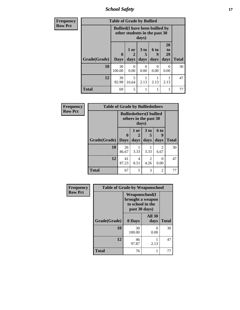*School Safety* **17**

| <b>Frequency</b> | <b>Table of Grade by Bullied</b> |                                                                         |                   |                              |                          |                        |              |  |  |
|------------------|----------------------------------|-------------------------------------------------------------------------|-------------------|------------------------------|--------------------------|------------------------|--------------|--|--|
| <b>Row Pct</b>   |                                  | <b>Bullied</b> (I have been bullied by<br>other students in the past 30 |                   |                              |                          |                        |              |  |  |
|                  | Grade(Grade)                     | $\mathbf{0}$<br><b>Days</b>                                             | 1 or<br>2<br>days | 3 <sub>to</sub><br>5<br>days | <b>6 to</b><br>9<br>days | 20<br>to<br>29<br>days | <b>Total</b> |  |  |
|                  | 10                               | 30<br>100.00                                                            | 0<br>0.00         | $\Omega$<br>0.00             | 0<br>0.00                | 0<br>0.00              | 30           |  |  |
|                  | 12                               | 39<br>82.98                                                             | 5<br>10.64        | 2.13                         | 2.13                     | 2.13                   | 47           |  |  |
|                  | <b>Total</b>                     | 69                                                                      | 5                 | 1                            |                          |                        | 77           |  |  |

| Frequency      | <b>Table of Grade by Bulliedothers</b> |                                                                   |              |                   |                   |              |  |  |
|----------------|----------------------------------------|-------------------------------------------------------------------|--------------|-------------------|-------------------|--------------|--|--|
| <b>Row Pct</b> |                                        | <b>Bulliedothers</b> (I bullied<br>others in the past 30<br>days) |              |                   |                   |              |  |  |
|                | Grade(Grade)   Days                    | $\mathbf{0}$                                                      | 1 or<br>days | 3 to<br>5<br>days | 6 to<br>q<br>days | <b>Total</b> |  |  |
|                | 10                                     | 26<br>86.67                                                       | 3.33         | 3.33              | 2<br>6.67         | 30           |  |  |
|                | 12                                     | 41<br>87.23                                                       | 4<br>8.51    | 2<br>4.26         | $\Omega$<br>0.00  | 47           |  |  |
|                | Total                                  | 67                                                                | 5            | 3                 | $\overline{c}$    | 77           |  |  |

| Frequency      | <b>Table of Grade by Weaponschool</b> |                                                             |                       |              |  |  |
|----------------|---------------------------------------|-------------------------------------------------------------|-----------------------|--------------|--|--|
| <b>Row Pct</b> |                                       | <b>Weaponschool</b> (I<br>to school in the<br>past 30 days) | brought a weapon      |              |  |  |
|                | Grade(Grade)                          | 0 Days                                                      | <b>All 30</b><br>days | <b>Total</b> |  |  |
|                | 10                                    | 30<br>100.00                                                | 0<br>0.00             | 30           |  |  |
|                | 12                                    | 46<br>97.87                                                 | 2.13                  | 47           |  |  |
|                | <b>Total</b>                          | 76                                                          |                       | 77           |  |  |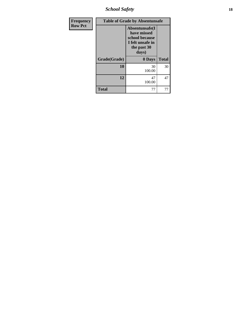*School Safety* **18**

| Frequency      | <b>Table of Grade by Absentunsafe</b> |                                                                                             |              |  |  |  |
|----------------|---------------------------------------|---------------------------------------------------------------------------------------------|--------------|--|--|--|
| <b>Row Pct</b> |                                       | Absentunsafe(I<br>have missed<br>school because<br>I felt unsafe in<br>the past 30<br>days) |              |  |  |  |
|                | Grade(Grade)                          | 0 Days                                                                                      | <b>Total</b> |  |  |  |
|                | 10                                    | 30<br>100.00                                                                                | 30           |  |  |  |
|                | 12                                    | 47<br>100.00                                                                                | 47           |  |  |  |
|                | <b>Total</b>                          | 77                                                                                          | 77           |  |  |  |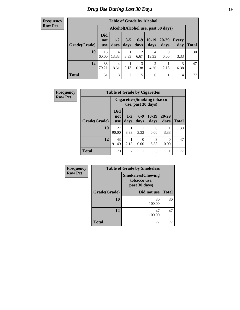#### **Frequency Row Pct**

| <b>Table of Grade by Alcohol</b> |                          |                                    |                 |                        |                        |                   |              |       |  |
|----------------------------------|--------------------------|------------------------------------|-----------------|------------------------|------------------------|-------------------|--------------|-------|--|
|                                  |                          | Alcohol(Alcohol use, past 30 days) |                 |                        |                        |                   |              |       |  |
| Grade(Grade)                     | <b>Did</b><br>not<br>use | $1 - 2$<br>days                    | $3 - 5$<br>days | $6-9$<br>days          | $10-19$<br>days        | $20 - 29$<br>days | Every<br>day | Total |  |
| 10                               | 18<br>60.00              | $\overline{4}$<br>13.33            | 3.33            | $\overline{2}$<br>6.67 | 4<br>13.33             | 0<br>0.00         | 3.33         | 30    |  |
| 12                               | 33<br>70.21              | $\overline{4}$<br>8.51             | 2.13            | 3<br>6.38              | $\overline{2}$<br>4.26 | 2.13              | 3<br>6.38    | 47    |  |
| <b>Total</b>                     | 51                       | 8                                  | $\overline{2}$  | 5                      | 6                      |                   | 4            | 77    |  |

| Frequency      | <b>Table of Grade by Cigarettes</b> |                                 |                                                          |               |                       |                   |              |
|----------------|-------------------------------------|---------------------------------|----------------------------------------------------------|---------------|-----------------------|-------------------|--------------|
| <b>Row Pct</b> |                                     |                                 | <b>Cigarettes (Smoking tobacco</b><br>use, past 30 days) |               |                       |                   |              |
|                | Grade(Grade)                        | <b>Did</b><br>not<br><b>use</b> | $1-2$<br>days                                            | $6-9$<br>days | $10-19$<br>days       | $20 - 29$<br>days | <b>Total</b> |
|                | 10                                  | 27<br>90.00                     | 3.33                                                     | 3.33          | $\mathcal{O}$<br>0.00 | 3.33              | 30           |
|                | 12                                  | 43<br>91.49                     | 2.13                                                     | 0<br>0.00     | 3<br>6.38             | 0<br>0.00         | 47           |
|                | <b>Total</b>                        | 70                              | $\overline{2}$                                           | 1             | 3                     |                   | 77           |

| <b>Frequency</b> | <b>Table of Grade by Smokeless</b> |                                                           |              |  |  |  |  |
|------------------|------------------------------------|-----------------------------------------------------------|--------------|--|--|--|--|
| <b>Row Pct</b>   |                                    | <b>Smokeless(Chewing</b><br>tobacco use,<br>past 30 days) |              |  |  |  |  |
|                  | Grade(Grade)                       | Did not use                                               | <b>Total</b> |  |  |  |  |
|                  | 10                                 | 30<br>100.00                                              | 30           |  |  |  |  |
|                  | 12                                 | 47<br>100.00                                              | 47           |  |  |  |  |
|                  | <b>Total</b>                       | 77                                                        |              |  |  |  |  |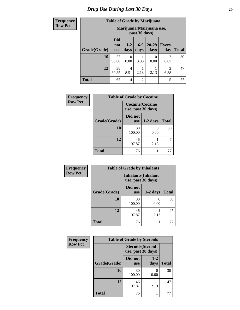#### *Drug Use During Last 30 Days* 20

### **Frequency Row**

|  | <b>Table of Grade by Marijuana</b> |  |  |
|--|------------------------------------|--|--|
|  |                                    |  |  |

| guency           |              |                          |                                            |                | Table of Graue by Intarijuana |                     |              |  |
|------------------|--------------|--------------------------|--------------------------------------------|----------------|-------------------------------|---------------------|--------------|--|
| <sub>N</sub> Pct |              |                          | Marijuana (Marijuana use,<br>past 30 days) |                |                               |                     |              |  |
|                  | Grade(Grade) | Did<br>not<br><b>use</b> | $1 - 2$<br>days                            | $6-9$<br>days  | $20 - 29$<br>days             | <b>Every</b><br>day | <b>Total</b> |  |
|                  | 10           | 27<br>90.00              | 0<br>0.00                                  | 3.33           | 0<br>0.00                     | 2<br>6.67           | 30           |  |
|                  | 12           | 38<br>80.85              | 4<br>8.51                                  | 2.13           | 2.13                          | 3<br>6.38           | 47           |  |
|                  | <b>Total</b> | 65                       | 4                                          | $\overline{2}$ |                               | 5                   | 77           |  |

| Frequency      | <b>Table of Grade by Cocaine</b> |                                               |            |              |
|----------------|----------------------------------|-----------------------------------------------|------------|--------------|
| <b>Row Pct</b> |                                  | <b>Cocaine</b> (Cocaine<br>use, past 30 days) |            |              |
|                | Grade(Grade)                     | Did not<br><b>use</b>                         | $1-2$ days | <b>Total</b> |
|                | 10                               | 30<br>100.00                                  | 0.00       | 30           |
|                | 12                               | 46<br>97.87                                   | 2.13       | 47           |
|                | <b>Total</b>                     | 76                                            |            | 77           |

| Frequency      | <b>Table of Grade by Inhalants</b> |                                                  |            |              |
|----------------|------------------------------------|--------------------------------------------------|------------|--------------|
| <b>Row Pct</b> |                                    | <b>Inhalants</b> (Inhalant<br>use, past 30 days) |            |              |
|                | Grade(Grade)                       | Did not<br><b>use</b>                            | $1-2$ days | <b>Total</b> |
|                | 10                                 | 30<br>100.00                                     | 0.00       | 30           |
|                | 12                                 | 46<br>97.87                                      | 2.13       | 47           |
|                | <b>Total</b>                       | 76                                               |            | 77           |

| Frequency      | <b>Table of Grade by Steroids</b> |                                                |               |              |
|----------------|-----------------------------------|------------------------------------------------|---------------|--------------|
| <b>Row Pct</b> |                                   | <b>Steroids</b> (Steroid<br>use, past 30 days) |               |              |
|                | Grade(Grade)                      | Did not<br><b>use</b>                          | $1-2$<br>days | <b>Total</b> |
|                | 10                                | 30<br>100.00                                   | 0.00          | 30           |
|                | 12                                | 46<br>97.87                                    | 2.13          | 47           |
|                | <b>Total</b>                      | 76                                             |               | 77           |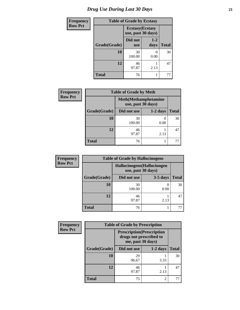## *Drug Use During Last 30 Days* **21**

| <b>Frequency</b> | <b>Table of Grade by Ecstasy</b> |                                               |                 |              |
|------------------|----------------------------------|-----------------------------------------------|-----------------|--------------|
| <b>Row Pct</b>   |                                  | <b>Ecstasy</b> (Ecstasy<br>use, past 30 days) |                 |              |
|                  | Grade(Grade)                     | Did not<br><b>use</b>                         | $1 - 2$<br>days | <b>Total</b> |
|                  | 10                               | 30<br>100.00                                  | 0<br>0.00       | 30           |
|                  | 12                               | 46<br>97.87                                   | 2.13            | 47           |
|                  | <b>Total</b>                     | 76                                            |                 | 77           |

| <b>Frequency</b> |              | <b>Table of Grade by Meth</b>                      |            |              |  |
|------------------|--------------|----------------------------------------------------|------------|--------------|--|
| <b>Row Pct</b>   |              | <b>Meth</b> (Methamphetamine<br>use, past 30 days) |            |              |  |
|                  | Grade(Grade) | Did not use                                        | $1-2$ days | <b>Total</b> |  |
|                  | 10           | 30<br>100.00                                       | 0.00       | 30           |  |
|                  | 12           | 46<br>97.87                                        | 2.13       | 47           |  |
|                  | <b>Total</b> | 76                                                 |            | 77           |  |

| <b>Frequency</b> | <b>Table of Grade by Hallucinogens</b> |                                                   |            |              |
|------------------|----------------------------------------|---------------------------------------------------|------------|--------------|
| <b>Row Pct</b>   |                                        | Hallucinogens (Hallucinogen<br>use, past 30 days) |            |              |
|                  | Grade(Grade)                           | Did not use                                       | $3-5$ days | <b>Total</b> |
|                  | 10                                     | 30<br>100.00                                      | 0.00       | 30           |
|                  | 12                                     | 46<br>97.87                                       | 2.13       | 47           |
|                  | <b>Total</b>                           | 76                                                |            |              |

| <b>Frequency</b> | <b>Table of Grade by Prescription</b> |                                                        |                         |              |
|------------------|---------------------------------------|--------------------------------------------------------|-------------------------|--------------|
| <b>Row Pct</b>   |                                       | <b>Prescription</b> (Prescription<br>me, past 30 days) | drugs not prescribed to |              |
|                  | Grade(Grade)                          | Did not use                                            | $1-2$ days              | <b>Total</b> |
|                  | 10                                    | 29<br>96.67                                            | 3.33                    | 30           |
|                  | 12                                    | 46<br>97.87                                            | 2.13                    | 47           |
|                  | <b>Total</b>                          | 75                                                     | $\overline{2}$          | 77           |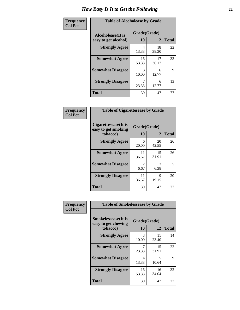| Frequency      | <b>Table of Alcoholease by Grade</b>              |                    |             |              |
|----------------|---------------------------------------------------|--------------------|-------------|--------------|
| <b>Col Pct</b> | <b>Alcoholease</b> (It is<br>easy to get alcohol) | Grade(Grade)<br>10 | 12          | <b>Total</b> |
|                | <b>Strongly Agree</b>                             | 4<br>13.33         | 18<br>38.30 | 22           |
|                | <b>Somewhat Agree</b>                             | 16<br>53.33        | 17<br>36.17 | 33           |
|                | <b>Somewhat Disagree</b>                          | 3<br>10.00         | 6<br>12.77  | 9            |
|                | <b>Strongly Disagree</b>                          | 7<br>23.33         | 6<br>12.77  | 13           |
|                | <b>Total</b>                                      | 30                 | 47          | 77           |

| Frequency      | <b>Table of Cigarettesease by Grade</b>                 |                        |             |              |
|----------------|---------------------------------------------------------|------------------------|-------------|--------------|
| <b>Col Pct</b> | Cigarettesease(It is<br>easy to get smoking<br>tobacco) | Grade(Grade)<br>10     | 12          | <b>Total</b> |
|                | <b>Strongly Agree</b>                                   | 6<br>20.00             | 20<br>42.55 | 26           |
|                | <b>Somewhat Agree</b>                                   | 11<br>36.67            | 15<br>31.91 | 26           |
|                | <b>Somewhat Disagree</b>                                | $\mathfrak{D}$<br>6.67 | 3<br>6.38   | 5            |
|                | <b>Strongly Disagree</b>                                | 11<br>36.67            | 9<br>19.15  | 20           |
|                | <b>Total</b>                                            | 30                     | 47          | 77           |

| Frequency      | <b>Table of Smokelessease by Grade</b>                         |                    |             |              |  |
|----------------|----------------------------------------------------------------|--------------------|-------------|--------------|--|
| <b>Col Pct</b> | <b>Smokelessease</b> (It is<br>easy to get chewing<br>tobacco) | Grade(Grade)<br>10 | 12          | <b>Total</b> |  |
|                | <b>Strongly Agree</b>                                          | 3<br>10.00         | 11<br>23.40 | 14           |  |
|                | <b>Somewhat Agree</b>                                          | 23.33              | 15<br>31.91 | 22           |  |
|                | <b>Somewhat Disagree</b>                                       | 4<br>13.33         | 5<br>10.64  | 9            |  |
|                | <b>Strongly Disagree</b>                                       | 16<br>53.33        | 16<br>34.04 | 32           |  |
|                | <b>Total</b>                                                   | 30                 | 47          | 77           |  |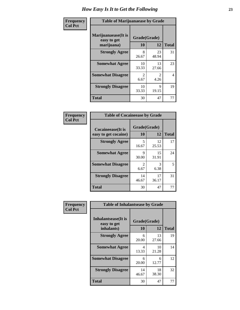| Frequency      | <b>Table of Marijuanaease by Grade</b>           |                        |                        |              |
|----------------|--------------------------------------------------|------------------------|------------------------|--------------|
| <b>Col Pct</b> | Marijuanaease(It is<br>easy to get<br>marijuana) | Grade(Grade)<br>10     | 12                     | <b>Total</b> |
|                | <b>Strongly Agree</b>                            | 8<br>26.67             | 23<br>48.94            | 31           |
|                | <b>Somewhat Agree</b>                            | 10<br>33.33            | 13<br>27.66            | 23           |
|                | <b>Somewhat Disagree</b>                         | $\mathfrak{D}$<br>6.67 | $\mathfrak{D}$<br>4.26 | 4            |
|                | <b>Strongly Disagree</b>                         | 10<br>33.33            | 9<br>19.15             | 19           |
|                | <b>Total</b>                                     | 30                     | 47                     | 77           |

| <b>Table of Cocaineease by Grade</b>              |                    |             |              |  |
|---------------------------------------------------|--------------------|-------------|--------------|--|
| <b>Cocaineease</b> (It is<br>easy to get cocaine) | Grade(Grade)<br>10 | 12          | <b>Total</b> |  |
| <b>Strongly Agree</b>                             | 5<br>16.67         | 12<br>25.53 | 17           |  |
| <b>Somewhat Agree</b>                             | 9<br>30.00         | 15<br>31.91 | 24           |  |
| <b>Somewhat Disagree</b>                          | 2<br>6.67          | 3<br>6.38   | 5            |  |
| <b>Strongly Disagree</b>                          | 14<br>46.67        | 17<br>36.17 | 31           |  |
| <b>Total</b>                                      | 30                 | 47          | 77           |  |

| Frequency      | <b>Table of Inhalantsease by Grade</b>                   |                           |             |              |
|----------------|----------------------------------------------------------|---------------------------|-------------|--------------|
| <b>Col Pct</b> | <b>Inhalantsease</b> (It is<br>easy to get<br>inhalants) | Grade(Grade)<br><b>10</b> | 12          | <b>Total</b> |
|                | <b>Strongly Agree</b>                                    | 6<br>20.00                | 13<br>27.66 | 19           |
|                | <b>Somewhat Agree</b>                                    | 4<br>13.33                | 10<br>21.28 | 14           |
|                | <b>Somewhat Disagree</b>                                 | 6<br>20.00                | 6<br>12.77  | 12           |
|                | <b>Strongly Disagree</b>                                 | 14<br>46.67               | 18<br>38.30 | 32           |
|                | <b>Total</b>                                             | 30                        | 47          | 77           |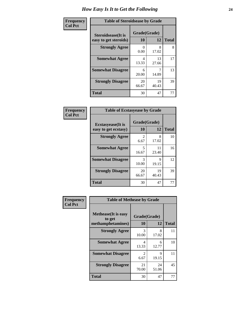| Frequency      | <b>Table of Steroidsease by Grade</b>               |                    |              |    |  |  |  |  |  |
|----------------|-----------------------------------------------------|--------------------|--------------|----|--|--|--|--|--|
| <b>Col Pct</b> | <b>Steroidsease</b> (It is<br>easy to get steroids) | Grade(Grade)<br>10 | <b>Total</b> |    |  |  |  |  |  |
|                | <b>Strongly Agree</b>                               | 0.00               | 8<br>17.02   | 8  |  |  |  |  |  |
|                | <b>Somewhat Agree</b>                               | 4<br>13.33         | 13<br>27.66  | 17 |  |  |  |  |  |
|                | <b>Somewhat Disagree</b>                            | 6<br>20.00         | 14.89        | 13 |  |  |  |  |  |
|                | <b>Strongly Disagree</b>                            | 20<br>66.67        | 19<br>40.43  | 39 |  |  |  |  |  |
|                | <b>Total</b>                                        | 30                 | 47           | 77 |  |  |  |  |  |

| Frequency      | <b>Table of Ecstasyease by Grade</b>              |                           |              |    |  |  |  |  |  |
|----------------|---------------------------------------------------|---------------------------|--------------|----|--|--|--|--|--|
| <b>Col Pct</b> | <b>Ecstasyease</b> (It is<br>easy to get ecstasy) | Grade(Grade)<br><b>10</b> | <b>Total</b> |    |  |  |  |  |  |
|                | <b>Strongly Agree</b>                             | 2<br>6.67                 | 8<br>17.02   | 10 |  |  |  |  |  |
|                | <b>Somewhat Agree</b>                             | 5<br>16.67                | 11<br>23.40  | 16 |  |  |  |  |  |
|                | <b>Somewhat Disagree</b>                          | 3<br>10.00                | 9<br>19.15   | 12 |  |  |  |  |  |
|                | <b>Strongly Disagree</b>                          | 20<br>66.67               | 19<br>40.43  | 39 |  |  |  |  |  |
|                | <b>Total</b>                                      | 30                        | 47           | 77 |  |  |  |  |  |

| Frequency      |                                       | <b>Table of Methease by Grade</b> |              |              |  |  |  |  |  |  |  |
|----------------|---------------------------------------|-----------------------------------|--------------|--------------|--|--|--|--|--|--|--|
| <b>Col Pct</b> | <b>Methease</b> (It is easy<br>to get |                                   | Grade(Grade) |              |  |  |  |  |  |  |  |
|                | methamphetamines)                     | 10                                | 12           | <b>Total</b> |  |  |  |  |  |  |  |
|                | <b>Strongly Agree</b>                 | 3<br>10.00                        | 8<br>17.02   | 11           |  |  |  |  |  |  |  |
|                | <b>Somewhat Agree</b>                 | 4<br>13.33                        | 6<br>12.77   | 10           |  |  |  |  |  |  |  |
|                | <b>Somewhat Disagree</b>              | $\mathfrak{D}$<br>6.67            | 9<br>19.15   | 11           |  |  |  |  |  |  |  |
|                | <b>Strongly Disagree</b>              | 21<br>70.00                       | 24<br>51.06  | 45           |  |  |  |  |  |  |  |
|                | Total                                 | 30                                | 47           | 77           |  |  |  |  |  |  |  |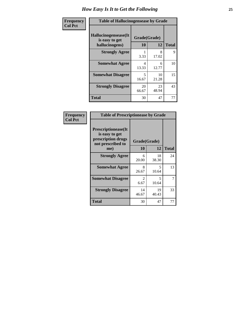| <b>Frequency</b> | <b>Table of Hallucinogensease by Grade</b>               |                                   |             |              |  |  |  |  |
|------------------|----------------------------------------------------------|-----------------------------------|-------------|--------------|--|--|--|--|
| <b>Col Pct</b>   | Hallucinogensease(It<br>is easy to get<br>hallucinogens) | Grade(Grade)<br>10                | 12          | <b>Total</b> |  |  |  |  |
|                  | <b>Strongly Agree</b>                                    | 3.33                              | 8<br>17.02  | 9            |  |  |  |  |
|                  | <b>Somewhat Agree</b>                                    | 4<br>13.33                        | 6<br>12.77  | 10           |  |  |  |  |
|                  | <b>Somewhat Disagree</b>                                 | $\overline{\phantom{0}}$<br>16.67 | 10<br>21.28 | 15           |  |  |  |  |
|                  | <b>Strongly Disagree</b>                                 | 20<br>66.67                       | 23<br>48.94 | 43           |  |  |  |  |
|                  | <b>Total</b>                                             | 30                                | 47          | 77           |  |  |  |  |

| Frequency<br>  Col Pct |
|------------------------|

| <b>Table of Prescriptionease by Grade</b>                                                |                                     |              |              |  |  |  |  |
|------------------------------------------------------------------------------------------|-------------------------------------|--------------|--------------|--|--|--|--|
| <b>Prescriptionease</b> (It<br>is easy to get<br>prescription drugs<br>not prescribed to |                                     | Grade(Grade) |              |  |  |  |  |
| me)                                                                                      | 10                                  | 12           | <b>Total</b> |  |  |  |  |
| <b>Strongly Agree</b>                                                                    | 6<br>20.00                          | 18<br>38.30  | 24           |  |  |  |  |
| <b>Somewhat Agree</b>                                                                    | 8<br>26.67                          | 5<br>10.64   | 13           |  |  |  |  |
| <b>Somewhat Disagree</b>                                                                 | $\mathcal{D}_{\mathcal{A}}$<br>6.67 | 5<br>10.64   | 7            |  |  |  |  |
| <b>Strongly Disagree</b>                                                                 | 14<br>46.67                         | 19<br>40.43  | 33           |  |  |  |  |
| Total                                                                                    | 30                                  | 47           | 77           |  |  |  |  |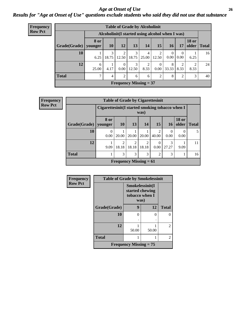#### *Age at Onset of Use* **26** *Results for "Age at Onset of Use" questions exclude students who said they did not use that substance*

| Frequency      | <b>Table of Grade by Alcoholinit</b>             |               |                |                  |            |                               |                      |                  |                  |              |               |
|----------------|--------------------------------------------------|---------------|----------------|------------------|------------|-------------------------------|----------------------|------------------|------------------|--------------|---------------|
| <b>Row Pct</b> | Alcoholinit (I started using alcohol when I was) |               |                |                  |            |                               |                      |                  |                  |              |               |
|                | Grade(Grade)   younger                           | 8 or          | <b>10</b>      | 12               | 13         | 14                            | 15                   | <b>16</b>        | 17               | <b>18 or</b> | older   Total |
|                | 10                                               | 6.25          | 3<br>18.75     | 2<br>12.50       | 3<br>18.75 | $\overline{4}$<br>25.00       | 12.50                | $\Omega$<br>0.00 | $\theta$<br>0.00 | 6.25         | 16            |
|                | 12                                               | 6<br>25.00    | 4.17           | $\Omega$<br>0.00 | 3<br>12.50 | 2<br>8.33                     | $\Omega$<br>$0.00\,$ | 8<br>33.33       | 2<br>8.33        | 2<br>8.33    | 24            |
|                | <b>Total</b>                                     | $\mathcal{I}$ | $\overline{4}$ | 2                | 6          | 6                             | 2                    | 8                | $\overline{2}$   | 3            | 40            |
|                |                                                  |               |                |                  |            | <b>Frequency Missing = 37</b> |                      |                  |                  |              |               |

| Frequency      | <b>Table of Grade by Cigarettesinit</b> |                  |                                                         |                         |                         |                |            |                       |              |  |
|----------------|-----------------------------------------|------------------|---------------------------------------------------------|-------------------------|-------------------------|----------------|------------|-----------------------|--------------|--|
| <b>Row Pct</b> |                                         |                  | Cigarettesinit(I started smoking tobacco when I<br>was) |                         |                         |                |            |                       |              |  |
|                | Grade(Grade)                            | 8 or<br>vounger  | <b>10</b>                                               | <b>13</b>               | 14                      | 15             | <b>16</b>  | <b>18 or</b><br>older | <b>Total</b> |  |
|                | 10                                      | $\Omega$<br>0.00 | 20.00                                                   | 20.00                   | 20.00                   | っ<br>40.00     | 0<br>0.00  | $\Omega$<br>0.00      | 5            |  |
|                | 12                                      | 9.09             | $\overline{c}$<br>18.18                                 | $\overline{c}$<br>18.18 | $\overline{2}$<br>18.18 | 0<br>0.00      | 3<br>27.27 | 9.09                  | 11           |  |
|                | <b>Total</b>                            | Ι.               | 3                                                       | 3                       | 3                       | $\overline{c}$ | 3          |                       | 16           |  |
|                |                                         |                  | Frequency Missing $= 61$                                |                         |                         |                |            |                       |              |  |

| Frequency      | <b>Table of Grade by Smokelessinit</b> |                                                              |       |                          |
|----------------|----------------------------------------|--------------------------------------------------------------|-------|--------------------------|
| <b>Row Pct</b> |                                        | Smokelessinit(I<br>started chewing<br>tobacco when I<br>was) |       |                          |
|                | Grade(Grade)                           | 9                                                            | 12    | <b>Total</b>             |
|                | 10                                     | 0                                                            | 0     |                          |
|                | 12                                     | 50.00                                                        | 50.00 | 2                        |
|                | <b>Total</b>                           |                                                              |       | $\overline{\mathcal{L}}$ |
|                |                                        | Frequency Missing $= 75$                                     |       |                          |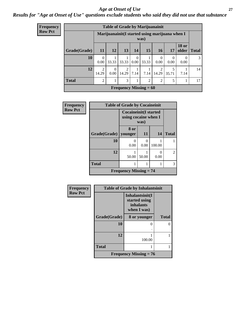#### *Age at Onset of Use* **27**

#### *Results for "Age at Onset of Use" questions exclude students who said they did not use that substance*

| <b>Frequency</b> |  |
|------------------|--|
| <b>Row Pct</b>   |  |

| <b>Table of Grade by Marijuanainit</b> |                         |                                                        |            |                  |                |                  |            |                       |              |
|----------------------------------------|-------------------------|--------------------------------------------------------|------------|------------------|----------------|------------------|------------|-----------------------|--------------|
|                                        |                         | Marijuanainit(I started using marijuana when I<br>was) |            |                  |                |                  |            |                       |              |
| Grade(Grade)                           | 11                      | 12                                                     | 13         | 14               | 15             | <b>16</b>        | 17         | <b>18 or</b><br>older | <b>Total</b> |
| 10                                     | $\theta$<br>0.00        | 33.33                                                  | 33.33      | $\Omega$<br>0.00 | 33.33          | $\theta$<br>0.00 | 0.00       | $\Omega$<br>0.00      | 3            |
| 12                                     | $\overline{2}$<br>14.29 | $\theta$<br>0.00                                       | 2<br>14.29 | 7.14             | 7.14           | 2<br>14.29       | 5<br>35.71 | 7.14                  | 14           |
| <b>Total</b>                           | $\overline{2}$          | 1                                                      | 3          | 1                | $\overline{2}$ | $\mathfrak{D}$   | 5          |                       | 17           |
| Frequency Missing $= 60$               |                         |                                                        |            |                  |                |                  |            |                       |              |

| <b>Frequency</b> | <b>Table of Grade by Cocaineinit</b> |                                                               |                  |        |                |  |  |  |  |
|------------------|--------------------------------------|---------------------------------------------------------------|------------------|--------|----------------|--|--|--|--|
| <b>Row Pct</b>   |                                      | <b>Cocaineinit</b> (I started<br>using cocaine when I<br>was) |                  |        |                |  |  |  |  |
|                  | Grade(Grade)   younger               | 8 or                                                          | 11               | 14     | <b>Total</b>   |  |  |  |  |
|                  | 10                                   | $\Omega$<br>0.00                                              | $\Omega$<br>0.00 | 100.00 |                |  |  |  |  |
|                  | 12                                   | 50.00                                                         | 50.00            | 0.00   | $\overline{2}$ |  |  |  |  |
|                  | <b>Total</b>                         |                                                               |                  | 1      | 3              |  |  |  |  |
|                  |                                      | <b>Frequency Missing <math>= 74</math></b>                    |                  |        |                |  |  |  |  |

| Frequency      | <b>Table of Grade by Inhalantsinit</b> |                                                                     |              |  |
|----------------|----------------------------------------|---------------------------------------------------------------------|--------------|--|
| <b>Row Pct</b> |                                        | Inhalantsinit(I<br>started using<br><i>inhalants</i><br>when I was) |              |  |
|                | Grade(Grade)                           | 8 or younger                                                        | <b>Total</b> |  |
|                | 10                                     | 0                                                                   |              |  |
|                | 12                                     | 100.00                                                              |              |  |
|                | <b>Total</b>                           |                                                                     |              |  |
|                |                                        | Frequency Missing $= 76$                                            |              |  |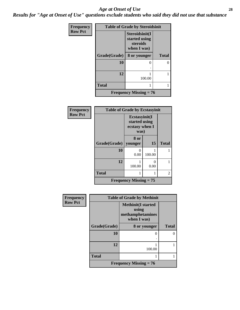#### *Age at Onset of Use* **28**

*Results for "Age at Onset of Use" questions exclude students who said they did not use that substance*

| Frequency      | <b>Table of Grade by Steroidsinit</b> |                                                            |              |  |
|----------------|---------------------------------------|------------------------------------------------------------|--------------|--|
| <b>Row Pct</b> |                                       | Steroidsinit(I<br>started using<br>steroids<br>when I was) |              |  |
|                | Grade(Grade)                          | 8 or younger                                               | <b>Total</b> |  |
|                | 10                                    | 0                                                          | 0            |  |
|                | 12                                    |                                                            |              |  |
|                |                                       | 100.00                                                     |              |  |
|                | <b>Total</b>                          |                                                            |              |  |
|                |                                       | <b>Frequency Missing = 76</b>                              |              |  |

| <b>Frequency</b> | <b>Table of Grade by Ecstasyinit</b> |                                                          |           |              |
|------------------|--------------------------------------|----------------------------------------------------------|-----------|--------------|
| <b>Row Pct</b>   |                                      | Ecstasyinit(I<br>started using<br>ecstasy when I<br>was) |           |              |
|                  | <b>Grade</b> (Grade)                 | 8 or<br>younger                                          | 15        | <b>Total</b> |
|                  | 10                                   | 0<br>0.00                                                | 100.00    |              |
|                  | 12                                   | 100.00                                                   | 0<br>0.00 |              |
|                  | <b>Total</b>                         |                                                          | 1         | 2            |
|                  |                                      | <b>Frequency Missing = 75</b>                            |           |              |

| Frequency      | <b>Table of Grade by Methinit</b> |                                                                       |              |  |
|----------------|-----------------------------------|-----------------------------------------------------------------------|--------------|--|
| <b>Row Pct</b> |                                   | <b>Methinit(I started</b><br>using<br>methamphetamines<br>when I was) |              |  |
|                | Grade(Grade)                      | 8 or younger                                                          | <b>Total</b> |  |
|                | 10                                |                                                                       |              |  |
|                | 12                                | 100.00                                                                |              |  |
|                | <b>Total</b>                      |                                                                       |              |  |
|                |                                   | <b>Frequency Missing = 76</b>                                         |              |  |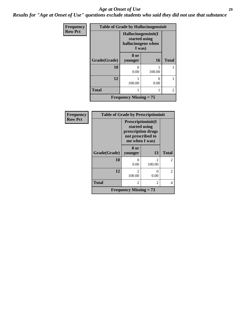#### *Age at Onset of Use* **29**

*Results for "Age at Onset of Use" questions exclude students who said they did not use that substance*

| <b>Frequency</b> | <b>Table of Grade by Hallucinogensinit</b> |                                                                      |           |                |  |
|------------------|--------------------------------------------|----------------------------------------------------------------------|-----------|----------------|--|
| <b>Row Pct</b>   |                                            | Hallucinogensinit(I<br>started using<br>hallucinogens when<br>I was) |           |                |  |
|                  | Grade(Grade)                               | 8 or<br>younger                                                      | <b>16</b> | <b>Total</b>   |  |
|                  | 10                                         | 0.00                                                                 | 100.00    |                |  |
|                  | 12                                         | 100.00                                                               | 0.00      |                |  |
|                  | <b>Total</b>                               |                                                                      |           | $\mathfrak{D}$ |  |
|                  |                                            | <b>Frequency Missing = 75</b>                                        |           |                |  |

| <b>Frequency</b> | <b>Table of Grade by Prescriptioninit</b> |                                                                                                  |                          |                |
|------------------|-------------------------------------------|--------------------------------------------------------------------------------------------------|--------------------------|----------------|
| <b>Row Pct</b>   |                                           | Prescriptioninit(I<br>started using<br>prescription drugs<br>not prescribed to<br>me when I was) |                          |                |
|                  | Grade(Grade)                              | 8 or<br>younger                                                                                  | 13                       | <b>Total</b>   |
|                  | 10                                        | 0.00                                                                                             | $\mathfrak{D}$<br>100.00 | $\overline{2}$ |
|                  | 12                                        | $\mathfrak{D}$<br>100.00                                                                         | 0<br>0.00                | 2              |
|                  | <b>Total</b>                              | $\overline{\mathcal{L}}$                                                                         | 2                        | 4              |
|                  |                                           | Frequency Missing $= 73$                                                                         |                          |                |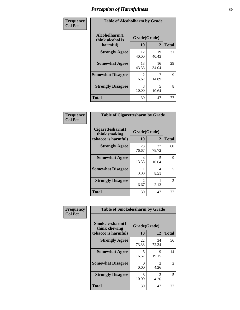| Frequency      | <b>Table of Alcoholharm by Grade</b>          |                        |                                   |              |
|----------------|-----------------------------------------------|------------------------|-----------------------------------|--------------|
| <b>Col Pct</b> | Alcoholharm(I<br>think alcohol is<br>harmful) | Grade(Grade)<br>10     | 12                                | <b>Total</b> |
|                | <b>Strongly Agree</b>                         | 12<br>40.00            | 19<br>40.43                       | 31           |
|                | <b>Somewhat Agree</b>                         | 13<br>43.33            | 16<br>34.04                       | 29           |
|                | <b>Somewhat Disagree</b>                      | $\mathfrak{D}$<br>6.67 | 14.89                             | 9            |
|                | <b>Strongly Disagree</b>                      | 3<br>10.00             | $\overline{\phantom{0}}$<br>10.64 | 8            |
|                | <b>Total</b>                                  | 30                     | 47                                | 77           |

| <b>Table of Cigarettesharm by Grade</b>                  |                        |             |              |  |
|----------------------------------------------------------|------------------------|-------------|--------------|--|
| Cigarettesharm(I<br>think smoking<br>tobacco is harmful) | Grade(Grade)<br>10     | 12          | <b>Total</b> |  |
| <b>Strongly Agree</b>                                    | 23<br>76.67            | 37<br>78.72 | 60           |  |
| <b>Somewhat Agree</b>                                    | 4<br>13.33             | 5<br>10.64  | 9            |  |
| <b>Somewhat Disagree</b>                                 | 1<br>3.33              | 4<br>8.51   | 5            |  |
| <b>Strongly Disagree</b>                                 | $\mathfrak{D}$<br>6.67 | 2.13        | 3            |  |
| <b>Total</b>                                             | 30                     | 47          | 77           |  |

| Frequency      | <b>Table of Smokelessharm by Grade</b>                  |                           |                       |              |
|----------------|---------------------------------------------------------|---------------------------|-----------------------|--------------|
| <b>Col Pct</b> | Smokelessharm(I<br>think chewing<br>tobacco is harmful) | Grade(Grade)<br><b>10</b> | 12                    | <b>Total</b> |
|                | <b>Strongly Agree</b>                                   | 22<br>73.33               | 34<br>72.34           | 56           |
|                | <b>Somewhat Agree</b>                                   | 5<br>16.67                | 9<br>19.15            | 14           |
|                | <b>Somewhat Disagree</b>                                | 0<br>0.00                 | 2<br>4.26             | 2            |
|                | <b>Strongly Disagree</b>                                | 3<br>10.00                | $\mathcal{L}$<br>4.26 | 5            |
|                | <b>Total</b>                                            | 30                        | 47                    | 77           |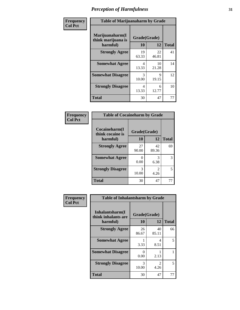| Frequency      | <b>Table of Marijuanaharm by Grade</b>            |                    |             |              |
|----------------|---------------------------------------------------|--------------------|-------------|--------------|
| <b>Col Pct</b> | Marijuanaharm(I<br>think marijuana is<br>harmful) | Grade(Grade)<br>10 | 12          | <b>Total</b> |
|                | <b>Strongly Agree</b>                             | 19<br>63.33        | 22<br>46.81 | 41           |
|                | <b>Somewhat Agree</b>                             | 4<br>13.33         | 10<br>21.28 | 14           |
|                | <b>Somewhat Disagree</b>                          | 3<br>10.00         | 9<br>19.15  | 12           |
|                | <b>Strongly Disagree</b>                          | 4<br>13.33         | 6<br>12.77  | 10           |
|                | <b>Total</b>                                      | 30                 | 47          | 77           |

| <b>Table of Cocaineharm by Grade</b> |              |             |              |  |
|--------------------------------------|--------------|-------------|--------------|--|
| Cocaineharm(I<br>think cocaine is    | Grade(Grade) |             |              |  |
| harmful)                             | 10           | 12          | <b>Total</b> |  |
| <b>Strongly Agree</b>                | 27<br>90.00  | 42<br>89.36 | 69           |  |
| <b>Somewhat Agree</b>                | 0.00         | 3<br>6.38   | 3            |  |
| <b>Strongly Disagree</b>             | 3<br>10.00   | 2<br>4.26   | 5            |  |
| <b>Total</b>                         | 30           | 47          | 77           |  |

| Frequency      | <b>Table of Inhalantsharm by Grade</b>              |                           |                        |              |
|----------------|-----------------------------------------------------|---------------------------|------------------------|--------------|
| <b>Col Pct</b> | Inhalantsharm(I)<br>think inhalants are<br>harmful) | Grade(Grade)<br>10        | 12                     | <b>Total</b> |
|                | <b>Strongly Agree</b>                               | 26<br>86.67               | 40<br>85.11            | 66           |
|                | <b>Somewhat Agree</b>                               | 3.33                      | 4<br>8.51              | 5            |
|                | <b>Somewhat Disagree</b>                            | $\mathbf{\Omega}$<br>0.00 | 2.13                   |              |
|                | <b>Strongly Disagree</b>                            | 3<br>10.00                | $\overline{2}$<br>4.26 | 5            |
|                | <b>Total</b>                                        | 30                        | 47                     | 77           |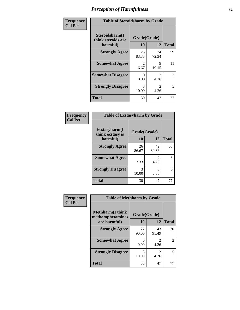| Frequency      | <b>Table of Steroidsharm by Grade</b>            |                        |                        |                |
|----------------|--------------------------------------------------|------------------------|------------------------|----------------|
| <b>Col Pct</b> | Steroidsharm(I<br>think steroids are<br>harmful) | Grade(Grade)<br>10     | 12                     | <b>Total</b>   |
|                | <b>Strongly Agree</b>                            | 25<br>83.33            | 34<br>72.34            | 59             |
|                | <b>Somewhat Agree</b>                            | $\mathfrak{D}$<br>6.67 | 9<br>19.15             | 11             |
|                | <b>Somewhat Disagree</b>                         | 0<br>0.00              | $\mathfrak{D}$<br>4.26 | $\overline{2}$ |
|                | <b>Strongly Disagree</b>                         | $\mathcal{R}$<br>10.00 | $\mathfrak{D}$<br>4.26 | 5              |
|                | <b>Total</b>                                     | 30                     | 47                     | 77             |

| <b>Table of Ecstasyharm by Grade</b>    |              |              |    |  |  |
|-----------------------------------------|--------------|--------------|----|--|--|
| $E$ cstasyharm $(I$<br>think ecstasy is | Grade(Grade) |              |    |  |  |
| harmful)                                | 10           | <b>Total</b> |    |  |  |
| <b>Strongly Agree</b>                   | 26<br>86.67  | 42<br>89.36  | 68 |  |  |
| <b>Somewhat Agree</b>                   | 3.33         | 2<br>4.26    | 3  |  |  |
| <b>Strongly Disagree</b>                | 3<br>10.00   | 3<br>6.38    | 6  |  |  |
| <b>Total</b>                            | 30           | 47           | 77 |  |  |

| Frequency      |                                              | <b>Table of Methharm by Grade</b> |             |                |  |
|----------------|----------------------------------------------|-----------------------------------|-------------|----------------|--|
| <b>Col Pct</b> | <b>Methharm</b> (I think<br>methamphetamines | Grade(Grade)                      |             |                |  |
|                | are harmful)                                 | 10                                | 12          | <b>Total</b>   |  |
|                | <b>Strongly Agree</b>                        | 27<br>90.00                       | 43<br>91.49 | 70             |  |
|                | <b>Somewhat Agree</b>                        | 0.00                              | 4.26        | $\overline{2}$ |  |
|                | <b>Strongly Disagree</b>                     | 3<br>10.00                        | 4.26        | 5              |  |
|                | Total                                        | 30                                | 47          | 77             |  |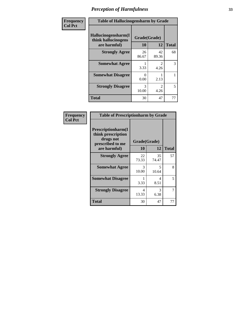| Frequency      | <b>Table of Hallucinogensharm by Grade</b>                 |                    |             |              |
|----------------|------------------------------------------------------------|--------------------|-------------|--------------|
| <b>Col Pct</b> | Hallucinogensharm(I<br>think hallucinogens<br>are harmful) | Grade(Grade)<br>10 | 12          | <b>Total</b> |
|                | <b>Strongly Agree</b>                                      | 26<br>86.67        | 42<br>89.36 | 68           |
|                | <b>Somewhat Agree</b>                                      | 3.33               | 2<br>4.26   | 3            |
|                | <b>Somewhat Disagree</b>                                   | 0<br>0.00          | 2.13        | 1            |
|                | <b>Strongly Disagree</b>                                   | 3<br>10.00         | 2<br>4.26   | 5            |
|                | <b>Total</b>                                               | 30                 | 47          | 77           |

| <b>Table of Prescriptionharm by Grade</b>                                                         |                    |             |              |  |  |
|---------------------------------------------------------------------------------------------------|--------------------|-------------|--------------|--|--|
| <b>Prescriptionharm(I)</b><br>think prescription<br>drugs not<br>prescribed to me<br>are harmful) | Grade(Grade)<br>10 | 12          | <b>Total</b> |  |  |
| <b>Strongly Agree</b>                                                                             | 22<br>73.33        | 35<br>74.47 | 57           |  |  |
| <b>Somewhat Agree</b>                                                                             | 3<br>10.00         | 5<br>10.64  | 8            |  |  |
| <b>Somewhat Disagree</b>                                                                          | 3.33               | 4<br>8.51   | 5            |  |  |
| <b>Strongly Disagree</b>                                                                          | 4<br>13.33         | 3<br>6.38   | 7            |  |  |
| Total                                                                                             | 30                 | 47          | 77           |  |  |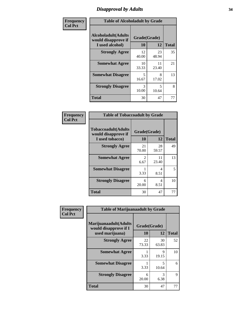### *Disapproval by Adults* **34**

| Frequency      | <b>Table of Alcoholadult by Grade</b>                                 |                    |             |              |
|----------------|-----------------------------------------------------------------------|--------------------|-------------|--------------|
| <b>Col Pct</b> | <b>Alcoholadult</b> (Adults<br>would disapprove if<br>I used alcohol) | Grade(Grade)<br>10 | 12          | <b>Total</b> |
|                | <b>Strongly Agree</b>                                                 | 12<br>40.00        | 23<br>48.94 | 35           |
|                | <b>Somewhat Agree</b>                                                 | 10<br>33.33        | 11<br>23.40 | 21           |
|                | <b>Somewhat Disagree</b>                                              | 5<br>16.67         | 8<br>17.02  | 13           |
|                | <b>Strongly Disagree</b>                                              | 3<br>10.00         | 5<br>10.64  | 8            |
|                | <b>Total</b>                                                          | 30                 | 47          | 77           |

| <b>Table of Tobaccoadult by Grade</b>                                 |                          |             |    |  |  |
|-----------------------------------------------------------------------|--------------------------|-------------|----|--|--|
| <b>Tobaccoadult</b> (Adults<br>would disapprove if<br>I used tobacco) | Grade(Grade)<br>10<br>12 |             |    |  |  |
| <b>Strongly Agree</b>                                                 | 21<br>70.00              | 28<br>59.57 | 49 |  |  |
| <b>Somewhat Agree</b>                                                 | 2<br>6.67                | 11<br>23.40 | 13 |  |  |
| <b>Somewhat Disagree</b>                                              | 3.33                     | 4<br>8.51   | 5  |  |  |
| <b>Strongly Disagree</b>                                              | 6<br>20.00               | 4<br>8.51   | 10 |  |  |
| <b>Total</b>                                                          | 30                       | 47          | 77 |  |  |

| Frequency      | <b>Table of Marijuanaadult by Grade</b>                           |                    |             |              |
|----------------|-------------------------------------------------------------------|--------------------|-------------|--------------|
| <b>Col Pct</b> | Marijuanaadult(Adults<br>would disapprove if I<br>used marijuana) | Grade(Grade)<br>10 | 12          | <b>Total</b> |
|                | <b>Strongly Agree</b>                                             | 22<br>73.33        | 30<br>63.83 | 52           |
|                | <b>Somewhat Agree</b>                                             | 3.33               | 9<br>19.15  | 10           |
|                | <b>Somewhat Disagree</b>                                          | 3.33               | 5<br>10.64  | 6            |
|                | <b>Strongly Disagree</b>                                          | 6<br>20.00         | 3<br>6.38   | 9            |
|                | <b>Total</b>                                                      | 30                 | 47          | 77           |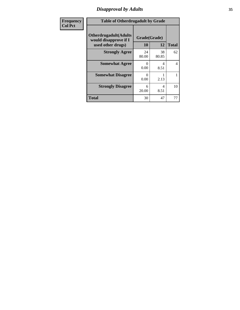### *Disapproval by Adults* **35**

| <b>Frequency</b> | <b>Table of Otherdrugadult by Grade</b>                                     |                      |             |                |
|------------------|-----------------------------------------------------------------------------|----------------------|-------------|----------------|
| <b>Col Pct</b>   | <b>Otherdrugadult</b> (Adults<br>would disapprove if I<br>used other drugs) | Grade(Grade)<br>10   | 12          | <b>Total</b>   |
|                  | <b>Strongly Agree</b>                                                       | 24<br>80.00          | 38<br>80.85 | 62             |
|                  | <b>Somewhat Agree</b>                                                       | $\mathbf{0}$<br>0.00 | 4<br>8.51   | $\overline{4}$ |
|                  | <b>Somewhat Disagree</b>                                                    | 0<br>0.00            | 2.13        |                |
|                  | <b>Strongly Disagree</b>                                                    | 6<br>20.00           | 4<br>8.51   | 10             |
|                  | <b>Total</b>                                                                | 30                   | 47          | 77             |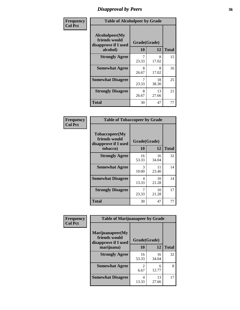### *Disapproval by Peers* **36**

| Frequency      | <b>Table of Alcoholpeer by Grade</b>                    |              |             |              |
|----------------|---------------------------------------------------------|--------------|-------------|--------------|
| <b>Col Pct</b> | Alcoholpeer(My<br>friends would<br>disapprove if I used | Grade(Grade) |             |              |
|                | alcohol)                                                | 10           | 12          | <b>Total</b> |
|                | <b>Strongly Agree</b>                                   | 7<br>23.33   | 8<br>17.02  | 15           |
|                | <b>Somewhat Agree</b>                                   | 8<br>26.67   | 8<br>17.02  | 16           |
|                | <b>Somewhat Disagree</b>                                | 7<br>23.33   | 18<br>38.30 | 25           |
|                | <b>Strongly Disagree</b>                                | 8<br>26.67   | 13<br>27.66 | 21           |
|                | Total                                                   | 30           | 47          | 77           |

| Frequency      | <b>Table of Tobaccopeer by Grade</b>                                |                    |             |              |
|----------------|---------------------------------------------------------------------|--------------------|-------------|--------------|
| <b>Col Pct</b> | Tobaccopeer(My<br>friends would<br>disapprove if I used<br>tobacco) | Grade(Grade)<br>10 | 12          | <b>Total</b> |
|                | <b>Strongly Agree</b>                                               | 16<br>53.33        | 16<br>34.04 | 32           |
|                | <b>Somewhat Agree</b>                                               | 3<br>10.00         | 11<br>23.40 | 14           |
|                | <b>Somewhat Disagree</b>                                            | 4<br>13.33         | 10<br>21.28 | 14           |
|                | <b>Strongly Disagree</b>                                            | 7<br>23.33         | 10<br>21.28 | 17           |
|                | Total                                                               | 30                 | 47          | 77           |

| Frequency      | <b>Table of Marijuanapeer by Grade</b>                    |              |             |              |
|----------------|-----------------------------------------------------------|--------------|-------------|--------------|
| <b>Col Pct</b> | Marijuanapeer(My<br>friends would<br>disapprove if I used | Grade(Grade) |             |              |
|                | marijuana)                                                | 10           | 12          | <b>Total</b> |
|                | <b>Strongly Agree</b>                                     | 16<br>53.33  | 16<br>34.04 | 32           |
|                | <b>Somewhat Agree</b>                                     | 2<br>6.67    | 6<br>12.77  | 8            |
|                | <b>Somewhat Disagree</b>                                  | 4<br>13.33   | 13<br>27.66 | 17           |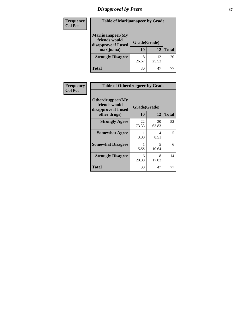# *Disapproval by Peers* **37**

| Frequency<br><b>Col Pct</b> | <b>Table of Marijuanapeer by Grade</b>                                  |                    |             |              |
|-----------------------------|-------------------------------------------------------------------------|--------------------|-------------|--------------|
|                             | Marijuanapeer(My<br>friends would<br>disapprove if I used<br>marijuana) | Grade(Grade)<br>10 | 12          | <b>Total</b> |
|                             | <b>Strongly Disagree</b>                                                | 8<br>26.67         | 12<br>25.53 | 20           |
|                             | Total                                                                   | 30                 | 47          |              |

| Frequency      |                                                                           | <b>Table of Otherdrugpeer by Grade</b> |             |              |  |
|----------------|---------------------------------------------------------------------------|----------------------------------------|-------------|--------------|--|
| <b>Col Pct</b> | Otherdrugpeer(My<br>friends would<br>disapprove if I used<br>other drugs) | Grade(Grade)<br>10                     | 12          | <b>Total</b> |  |
|                | <b>Strongly Agree</b>                                                     | 22<br>73.33                            | 30<br>63.83 | 52           |  |
|                | <b>Somewhat Agree</b>                                                     | 3.33                                   | 4<br>8.51   | 5            |  |
|                | <b>Somewhat Disagree</b>                                                  | 3.33                                   | 5<br>10.64  | 6            |  |
|                | <b>Strongly Disagree</b>                                                  | 6<br>20.00                             | 8<br>17.02  | 14           |  |
|                | <b>Total</b>                                                              | 30                                     | 47          | 77           |  |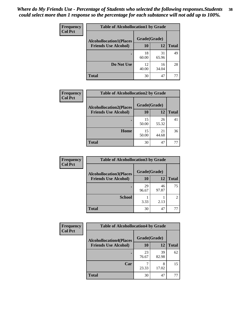| Frequency<br><b>Col Pct</b> | <b>Table of Alcohollocation1 by Grade</b> |              |             |              |
|-----------------------------|-------------------------------------------|--------------|-------------|--------------|
|                             | <b>Alcohollocation1(Places</b>            | Grade(Grade) |             |              |
|                             | <b>Friends Use Alcohol)</b>               | 10           | 12          | <b>Total</b> |
|                             |                                           | 18<br>60.00  | 31<br>65.96 | 49           |
|                             | Do Not Use                                | 12<br>40.00  | 16<br>34.04 | 28           |
|                             | <b>Total</b>                              | 30           | 47          | 77           |

| Frequency      | <b>Table of Alcohollocation2 by Grade</b>                     |                    |             |              |
|----------------|---------------------------------------------------------------|--------------------|-------------|--------------|
| <b>Col Pct</b> | <b>Alcohollocation2(Places</b><br><b>Friends Use Alcohol)</b> | Grade(Grade)<br>10 | 12          | <b>Total</b> |
|                |                                                               |                    |             |              |
|                |                                                               | 15<br>50.00        | 26<br>55.32 | 41           |
|                | Home                                                          | 15<br>50.00        | 21<br>44.68 | 36           |
|                | <b>Total</b>                                                  | 30                 | 47          | 77           |

| Frequency<br><b>Col Pct</b> | <b>Table of Alcohollocation 3 by Grade</b>                    |                    |             |                |
|-----------------------------|---------------------------------------------------------------|--------------------|-------------|----------------|
|                             | <b>Alcohollocation3(Places</b><br><b>Friends Use Alcohol)</b> | Grade(Grade)<br>10 | 12          | <b>Total</b>   |
|                             |                                                               | 29<br>96.67        | 46<br>97.87 | 75             |
|                             | <b>School</b>                                                 | 3.33               | 2.13        | $\mathfrak{D}$ |
|                             | <b>Total</b>                                                  | 30                 | 47          | 77             |

| <b>Frequency</b> | <b>Table of Alcohollocation4 by Grade</b> |              |             |              |
|------------------|-------------------------------------------|--------------|-------------|--------------|
| <b>Col Pct</b>   | <b>Alcohollocation4(Places</b>            | Grade(Grade) |             |              |
|                  | <b>Friends Use Alcohol)</b>               | 10           | 12          | <b>Total</b> |
|                  |                                           | 23<br>76.67  | 39<br>82.98 | 62           |
|                  | Car                                       | 23.33        | 8<br>17.02  | 15           |
|                  | <b>Total</b>                              | 30           | 47          | 77           |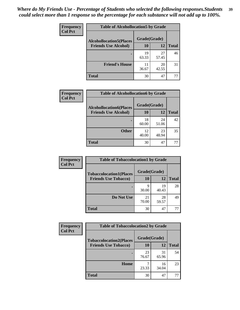| Frequency<br><b>Col Pct</b> | <b>Table of Alcohollocation5 by Grade</b> |              |             |              |  |
|-----------------------------|-------------------------------------------|--------------|-------------|--------------|--|
|                             | <b>Alcohollocation5(Places</b>            | Grade(Grade) |             |              |  |
|                             | <b>Friends Use Alcohol)</b>               | 10           | <b>12</b>   | <b>Total</b> |  |
|                             |                                           | 19<br>63.33  | 27<br>57.45 | 46           |  |
|                             | <b>Friend's House</b>                     | 11<br>36.67  | 20<br>42.55 | 31           |  |
|                             | <b>Total</b>                              | 30           | 47          | 77           |  |

| <b>Frequency</b> | <b>Table of Alcohollocation6 by Grade</b> |              |             |              |
|------------------|-------------------------------------------|--------------|-------------|--------------|
| <b>Col Pct</b>   | <b>Alcohollocation6(Places</b>            | Grade(Grade) |             |              |
|                  | <b>Friends Use Alcohol)</b>               | 10           | 12          | <b>Total</b> |
|                  |                                           | 18<br>60.00  | 24<br>51.06 | 42           |
|                  | <b>Other</b>                              | 12<br>40.00  | 23<br>48.94 | 35           |
|                  | <b>Total</b>                              | 30           | 47          | 77           |

| <b>Frequency</b> | <b>Table of Tobaccolocation1 by Grade</b> |              |             |              |
|------------------|-------------------------------------------|--------------|-------------|--------------|
| <b>Col Pct</b>   | <b>Tobaccolocation1(Places</b>            | Grade(Grade) |             |              |
|                  | <b>Friends Use Tobacco)</b>               | 10           | 12          | <b>Total</b> |
|                  |                                           | Q<br>30.00   | 19<br>40.43 | 28           |
|                  | Do Not Use                                | 21<br>70.00  | 28<br>59.57 | 49           |
|                  | <b>Total</b>                              | 30           | 47          | 77           |

| Frequency      | <b>Table of Tobaccolocation2 by Grade</b> |              |             |              |
|----------------|-------------------------------------------|--------------|-------------|--------------|
| <b>Col Pct</b> | <b>Tobaccolocation2(Places</b>            | Grade(Grade) |             |              |
|                | <b>Friends Use Tobacco)</b>               | 10           | 12          | <b>Total</b> |
|                |                                           | 23<br>76.67  | 31<br>65.96 | 54           |
|                | Home                                      | 23.33        | 16<br>34.04 | 23           |
|                | <b>Total</b>                              | 30           | 47          | 77           |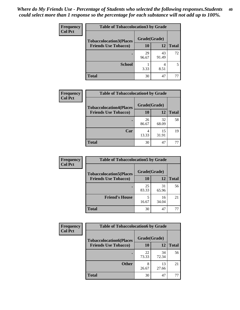| Frequency      | <b>Table of Tobaccolocation 3 by Grade</b> |              |                        |              |
|----------------|--------------------------------------------|--------------|------------------------|--------------|
| <b>Col Pct</b> | <b>Tobaccolocation3(Places</b>             | Grade(Grade) |                        |              |
|                | <b>Friends Use Tobacco)</b>                | 10           | <b>12</b>              | <b>Total</b> |
|                |                                            | 29<br>96.67  | 43<br>91.49            | 72           |
|                | <b>School</b>                              | 3.33         | $\overline{4}$<br>8.51 | 5            |
|                | <b>Total</b>                               | 30           | 47                     | 77           |

| Frequency<br><b>Col Pct</b> | <b>Table of Tobaccolocation4 by Grade</b> |              |             |              |  |  |
|-----------------------------|-------------------------------------------|--------------|-------------|--------------|--|--|
|                             | <b>Tobaccolocation4(Places</b>            | Grade(Grade) |             |              |  |  |
|                             | <b>Friends Use Tobacco)</b>               | 10           | 12          | <b>Total</b> |  |  |
|                             |                                           | 26<br>86.67  | 32<br>68.09 | 58           |  |  |
|                             | Car                                       | 4<br>13.33   | 15<br>31.91 | 19           |  |  |
|                             | <b>Total</b>                              | 30           | 47          | 77           |  |  |

| <b>Frequency</b> | <b>Table of Tobaccolocation5 by Grade</b> |              |             |              |
|------------------|-------------------------------------------|--------------|-------------|--------------|
| <b>Col Pct</b>   | <b>Tobaccolocation5(Places</b>            | Grade(Grade) |             |              |
|                  | <b>Friends Use Tobacco)</b>               | 10           | 12          | <b>Total</b> |
|                  |                                           | 25<br>83.33  | 31<br>65.96 | 56           |
|                  | <b>Friend's House</b>                     | 16.67        | 16<br>34.04 | 21           |
|                  | Total                                     | 30           | 47          | 77           |

| <b>Frequency</b> | <b>Table of Tobaccolocation6 by Grade</b> |              |             |              |  |
|------------------|-------------------------------------------|--------------|-------------|--------------|--|
| <b>Col Pct</b>   | <b>Tobaccolocation6(Places</b>            | Grade(Grade) |             |              |  |
|                  | <b>Friends Use Tobacco)</b>               | 10           | 12          | <b>Total</b> |  |
|                  |                                           | 22<br>73.33  | 34<br>72.34 | 56           |  |
|                  | <b>Other</b>                              | 8<br>26.67   | 13<br>27.66 | 21           |  |
|                  | <b>Total</b>                              | 30           | 47          | 77           |  |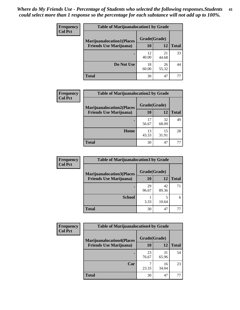| <b>Frequency</b>                                                                     | <b>Table of Marijuanalocation1 by Grade</b> |              |              |    |  |
|--------------------------------------------------------------------------------------|---------------------------------------------|--------------|--------------|----|--|
| <b>Col Pct</b><br><b>Marijuanalocation1(Places</b><br><b>Friends Use Marijuana</b> ) |                                             | Grade(Grade) |              |    |  |
|                                                                                      | <b>10</b>                                   | 12           | <b>Total</b> |    |  |
|                                                                                      |                                             | 12<br>40.00  | 21<br>44.68  | 33 |  |
|                                                                                      | Do Not Use                                  | 18<br>60.00  | 26<br>55.32  | 44 |  |
|                                                                                      | <b>Total</b>                                | 30           | 47           |    |  |

| <b>Frequency</b><br><b>Col Pct</b> | <b>Table of Marijuanalocation2 by Grade</b>                        |                    |             |              |
|------------------------------------|--------------------------------------------------------------------|--------------------|-------------|--------------|
|                                    | <b>Marijuanalocation2(Places</b><br><b>Friends Use Marijuana</b> ) | Grade(Grade)<br>10 | 12          | <b>Total</b> |
|                                    |                                                                    | 17<br>56.67        | 32<br>68.09 | 49           |
|                                    | Home                                                               | 13<br>43.33        | 15<br>31.91 | 28           |
|                                    | <b>Total</b>                                                       | 30                 | 47          | 77           |

| <b>Frequency</b><br><b>Col Pct</b> | <b>Table of Marijuanalocation3 by Grade</b> |              |       |       |
|------------------------------------|---------------------------------------------|--------------|-------|-------|
|                                    | <b>Marijuanalocation3(Places</b>            | Grade(Grade) |       |       |
|                                    | <b>Friends Use Marijuana</b> )              | 10           | 12    | Total |
|                                    |                                             | 29           | 42    | 71    |
|                                    |                                             | 96.67        | 89.36 |       |
|                                    | <b>School</b>                               |              |       | 6     |
|                                    |                                             | 3.33         | 10.64 |       |
|                                    | <b>Total</b>                                | 30           | 47    | 77    |

| Frequency      | <b>Table of Marijuanalocation4 by Grade</b> |              |             |              |  |
|----------------|---------------------------------------------|--------------|-------------|--------------|--|
| <b>Col Pct</b> | <b>Marijuanalocation4(Places</b>            | Grade(Grade) |             |              |  |
|                | <b>Friends Use Marijuana</b> )              | <b>10</b>    | 12          | <b>Total</b> |  |
|                |                                             | 23<br>76.67  | 31<br>65.96 | 54           |  |
|                | Car                                         | 23.33        | 16<br>34.04 | 23           |  |
|                | <b>Total</b>                                | 30           | 47          |              |  |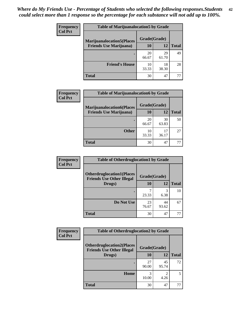| <b>Frequency</b> | <b>Table of Marijuanalocation5 by Grade</b>                         |              |             |              |  |
|------------------|---------------------------------------------------------------------|--------------|-------------|--------------|--|
| <b>Col Pct</b>   | <b>Marijuanalocation5</b> (Places<br><b>Friends Use Marijuana</b> ) | Grade(Grade) |             |              |  |
|                  |                                                                     | 10           | 12          | <b>Total</b> |  |
|                  |                                                                     | 20<br>66.67  | 29<br>61.70 | 49           |  |
|                  | <b>Friend's House</b>                                               | 10<br>33.33  | 18<br>38.30 | 28           |  |
|                  | <b>Total</b>                                                        | 30           | 47          |              |  |

| <b>Frequency</b> | <b>Table of Marijuanalocation6 by Grade</b> |                    |             |              |
|------------------|---------------------------------------------|--------------------|-------------|--------------|
| <b>Col Pct</b>   | <b>Marijuanalocation6(Places</b>            | Grade(Grade)<br>10 | 12          |              |
|                  | <b>Friends Use Marijuana</b> )              |                    |             | <b>Total</b> |
|                  |                                             | 20<br>66.67        | 30<br>63.83 | 50           |
|                  |                                             |                    |             |              |
|                  | <b>Other</b>                                | 10<br>33.33        | 17<br>36.17 | 27           |
|                  | <b>Total</b>                                | 30                 | 47          | 77           |

| <b>Frequency</b> | <b>Table of Otherdruglocation1 by Grade</b>                          |              |             |              |
|------------------|----------------------------------------------------------------------|--------------|-------------|--------------|
| <b>Col Pct</b>   | <b>Otherdruglocation1(Places</b><br><b>Friends Use Other Illegal</b> | Grade(Grade) |             |              |
|                  | Drugs)                                                               | 10           | 12          | <b>Total</b> |
|                  |                                                                      | 23.33        | 3<br>6.38   | 10           |
|                  | Do Not Use                                                           | 23<br>76.67  | 44<br>93.62 | 67           |
|                  | <b>Total</b>                                                         | 30           | 47          | 77           |

| Frequency      | <b>Table of Otherdruglocation2 by Grade</b>                          |              |             |              |
|----------------|----------------------------------------------------------------------|--------------|-------------|--------------|
| <b>Col Pct</b> | <b>Otherdruglocation2(Places</b><br><b>Friends Use Other Illegal</b> | Grade(Grade) |             |              |
|                | Drugs)                                                               | 10           | 12          | <b>Total</b> |
|                |                                                                      | 27<br>90.00  | 45<br>95.74 | 72           |
|                | Home                                                                 | 3<br>10.00   | 2<br>4.26   | 5            |
|                | Total                                                                | 30           | 47          | 77           |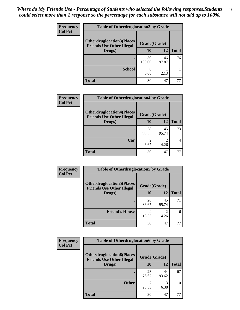| <b>Frequency</b> | <b>Table of Otherdruglocation3 by Grade</b>                          |              |             |              |
|------------------|----------------------------------------------------------------------|--------------|-------------|--------------|
| <b>Col Pct</b>   | <b>Otherdruglocation3(Places</b><br><b>Friends Use Other Illegal</b> | Grade(Grade) |             |              |
|                  | Drugs)                                                               | 10           | 12          | <b>Total</b> |
|                  |                                                                      | 30<br>100.00 | 46<br>97.87 | 76           |
|                  | <b>School</b>                                                        | 0.00         | 2.13        |              |
|                  | <b>Total</b>                                                         | 30           | 47          |              |

| <b>Frequency</b> | <b>Table of Otherdruglocation4 by Grade</b>                          |              |             |              |
|------------------|----------------------------------------------------------------------|--------------|-------------|--------------|
| <b>Col Pct</b>   | <b>Otherdruglocation4(Places</b><br><b>Friends Use Other Illegal</b> | Grade(Grade) |             |              |
|                  | Drugs)                                                               | 10           | 12          | <b>Total</b> |
|                  |                                                                      | 28<br>93.33  | 45<br>95.74 | 73           |
|                  | Car                                                                  | 2<br>6.67    | 2<br>4.26   |              |
|                  | <b>Total</b>                                                         | 30           | 47          |              |

| <b>Frequency</b> | <b>Table of Otherdruglocation5 by Grade</b>                          |              |                        |              |
|------------------|----------------------------------------------------------------------|--------------|------------------------|--------------|
| <b>Col Pct</b>   | <b>Otherdruglocation5(Places</b><br><b>Friends Use Other Illegal</b> | Grade(Grade) |                        |              |
|                  | Drugs)                                                               | 10           | 12                     | <b>Total</b> |
|                  |                                                                      | 26<br>86.67  | 45<br>95.74            | 71           |
|                  | <b>Friend's House</b>                                                | 13.33        | $\mathfrak{D}$<br>4.26 | 6            |
|                  | <b>Total</b>                                                         | 30           | 47                     | 77           |

| <b>Frequency</b> | <b>Table of Otherdruglocation6 by Grade</b>                          |              |             |              |
|------------------|----------------------------------------------------------------------|--------------|-------------|--------------|
| <b>Col Pct</b>   | <b>Otherdruglocation6(Places</b><br><b>Friends Use Other Illegal</b> | Grade(Grade) |             |              |
|                  | Drugs)                                                               | 10           | 12          | <b>Total</b> |
|                  |                                                                      | 23<br>76.67  | 44<br>93.62 | 67           |
|                  | <b>Other</b>                                                         | 23.33        | 3<br>6.38   | 10           |
|                  | <b>Total</b>                                                         | 30           | 47          | 77           |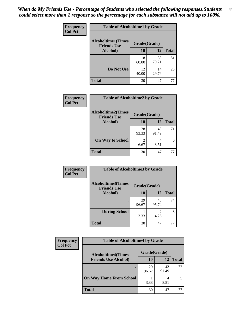| Frequency      | <b>Table of Alcoholtime1 by Grade</b>           |              |             |              |
|----------------|-------------------------------------------------|--------------|-------------|--------------|
| <b>Col Pct</b> | <b>Alcoholtime1(Times</b><br><b>Friends Use</b> | Grade(Grade) |             |              |
|                | Alcohol)                                        | 10           | 12          | <b>Total</b> |
|                |                                                 | 18<br>60.00  | 33<br>70.21 | 51           |
|                | Do Not Use                                      | 12<br>40.00  | 14<br>29.79 | 26           |
|                | <b>Total</b>                                    | 30           | 47          | 77           |

| Frequency      | <b>Table of Alcoholtime2 by Grade</b>           |              |             |              |
|----------------|-------------------------------------------------|--------------|-------------|--------------|
| <b>Col Pct</b> | <b>Alcoholtime2(Times</b><br><b>Friends Use</b> | Grade(Grade) |             |              |
|                | Alcohol)                                        | 10           | 12          | <b>Total</b> |
|                |                                                 | 28<br>93.33  | 43<br>91.49 | 71           |
|                | <b>On Way to School</b>                         | 6.67         | 4<br>8.51   | 6            |
|                | <b>Total</b>                                    | 30           | 47          | 77           |

| Frequency<br><b>Col Pct</b> | <b>Table of Alcoholtime3 by Grade</b>           |              |                                     |              |  |
|-----------------------------|-------------------------------------------------|--------------|-------------------------------------|--------------|--|
|                             | <b>Alcoholtime3(Times</b><br><b>Friends Use</b> | Grade(Grade) |                                     |              |  |
|                             | <b>Alcohol</b> )                                | 10           | 12                                  | <b>Total</b> |  |
|                             |                                                 | 29<br>96.67  | 45<br>95.74                         | 74           |  |
|                             | <b>During School</b>                            | 3.33         | $\mathcal{D}_{\mathcal{A}}$<br>4.26 | 3            |  |
|                             | <b>Total</b>                                    | 30           | 47                                  | 77           |  |

| Frequency<br><b>Col Pct</b> | <b>Table of Alcoholtime4 by Grade</b> |              |             |              |  |
|-----------------------------|---------------------------------------|--------------|-------------|--------------|--|
|                             | <b>Alcoholtime4(Times</b>             | Grade(Grade) |             |              |  |
|                             | <b>Friends Use Alcohol)</b>           | 10           | 12          | <b>Total</b> |  |
|                             |                                       | 29<br>96.67  | 43<br>91.49 | 72           |  |
|                             | <b>On Way Home From School</b>        | 3.33         | 4<br>8.51   |              |  |
|                             | <b>Total</b>                          | 30           | 47          |              |  |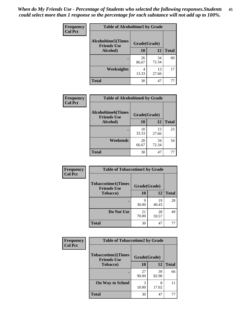*When do My Friends Use - Percentage of Students who selected the following responses.Students could select more than 1 response so the percentage for each substance will not add up to 100%.* **45**

| Frequency      | <b>Table of Alcoholtime5 by Grade</b>           |              |             |              |
|----------------|-------------------------------------------------|--------------|-------------|--------------|
| <b>Col Pct</b> | <b>Alcoholtime5(Times</b><br><b>Friends Use</b> | Grade(Grade) |             |              |
|                | Alcohol)                                        | 10           | 12          | <b>Total</b> |
|                |                                                 | 26<br>86.67  | 34<br>72.34 | 60           |
|                | <b>Weeknights</b>                               | 4<br>13.33   | 13<br>27.66 | 17           |
|                | <b>Total</b>                                    | 30           | 47          | 77           |

| <b>Frequency</b> | <b>Table of Alcoholtime6 by Grade</b>           |              |             |              |  |  |
|------------------|-------------------------------------------------|--------------|-------------|--------------|--|--|
| <b>Col Pct</b>   | <b>Alcoholtime6(Times</b><br><b>Friends Use</b> | Grade(Grade) |             |              |  |  |
|                  | Alcohol)                                        | 10           | 12          | <b>Total</b> |  |  |
|                  |                                                 | 10<br>33.33  | 13<br>27.66 | 23           |  |  |
|                  | Weekends                                        | 20<br>66.67  | 34<br>72.34 | 54           |  |  |
|                  | <b>Total</b>                                    | 30           | 47          | 77           |  |  |

| Frequency      | <b>Table of Tobaccotime1 by Grade</b>           |              |             |              |
|----------------|-------------------------------------------------|--------------|-------------|--------------|
| <b>Col Pct</b> | <b>Tobaccotime1(Times</b><br><b>Friends Use</b> | Grade(Grade) |             |              |
|                | <b>Tobacco</b> )                                | 10           | 12          | <b>Total</b> |
|                | $\bullet$                                       | Q<br>30.00   | 19<br>40.43 | 28           |
|                | Do Not Use                                      | 21<br>70.00  | 28<br>59.57 | 49           |
|                | <b>Total</b>                                    | 30           | 47          | 77           |

| <b>Frequency</b> | <b>Table of Tobaccotime2 by Grade</b>           |              |             |              |
|------------------|-------------------------------------------------|--------------|-------------|--------------|
| <b>Col Pct</b>   | <b>Tobaccotime2(Times</b><br><b>Friends Use</b> | Grade(Grade) |             |              |
|                  | <b>Tobacco</b> )                                | 10           | 12          | <b>Total</b> |
|                  |                                                 | 27<br>90.00  | 39<br>82.98 | 66           |
|                  | <b>On Way to School</b>                         | 3<br>10.00   | 8<br>17.02  | 11           |
|                  | <b>Total</b>                                    | 30           | 47          | 77           |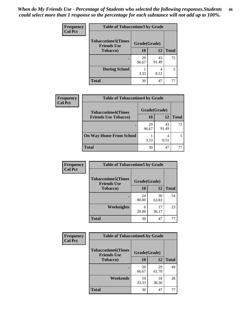| <b>Frequency</b> | <b>Table of Tobaccotime3 by Grade</b>           |              |             |              |
|------------------|-------------------------------------------------|--------------|-------------|--------------|
| <b>Col Pct</b>   | <b>Tobaccotime3(Times</b><br><b>Friends Use</b> | Grade(Grade) |             |              |
|                  | <b>Tobacco</b> )                                | 10           | 12          | <b>Total</b> |
|                  |                                                 | 29<br>96.67  | 43<br>91.49 | 72           |
|                  | <b>During School</b>                            | 3.33         | 4<br>8.51   | 5            |
|                  | <b>Total</b>                                    | 30           | 47          | 77           |

| Frequency<br><b>Col Pct</b> | <b>Table of Tobaccotime4 by Grade</b> |              |             |              |  |
|-----------------------------|---------------------------------------|--------------|-------------|--------------|--|
|                             | <b>Tobaccotime4(Times</b>             | Grade(Grade) |             |              |  |
|                             | <b>Friends Use Tobacco)</b>           | 10           | 12          | <b>Total</b> |  |
|                             |                                       | 29<br>96.67  | 43<br>91.49 | 72           |  |
|                             | <b>On Way Home From School</b>        | 3.33         | 8.51        |              |  |
|                             | <b>Total</b>                          | 30           | 47          |              |  |

| <b>Frequency</b> | <b>Table of Tobaccotime5 by Grade</b>           |              |             |              |
|------------------|-------------------------------------------------|--------------|-------------|--------------|
| <b>Col Pct</b>   | <b>Tobaccotime5(Times</b><br><b>Friends Use</b> | Grade(Grade) |             |              |
|                  | <b>Tobacco</b> )                                | 10           | 12          | <b>Total</b> |
|                  |                                                 | 24<br>80.00  | 30<br>63.83 | 54           |
|                  | Weeknights                                      | 6<br>20.00   | 17<br>36.17 | 23           |
|                  | <b>Total</b>                                    | 30           | 47          | 77           |

| Frequency<br><b>Col Pct</b> | <b>Table of Tobaccotime6 by Grade</b>           |              |             |              |
|-----------------------------|-------------------------------------------------|--------------|-------------|--------------|
|                             | <b>Tobaccotime6(Times</b><br><b>Friends Use</b> | Grade(Grade) |             |              |
|                             | <b>Tobacco</b> )                                | <b>10</b>    | 12          | <b>Total</b> |
|                             | ٠                                               | 20<br>66.67  | 29<br>61.70 | 49           |
|                             | Weekends                                        | 10<br>33.33  | 18<br>38.30 | 28           |
|                             | <b>Total</b>                                    | 30           | 47          | 77           |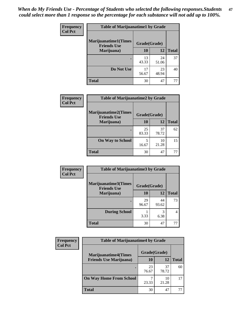| <b>Frequency</b><br><b>Col Pct</b> |                                                   | <b>Table of Marijuanatime1 by Grade</b> |             |              |  |
|------------------------------------|---------------------------------------------------|-----------------------------------------|-------------|--------------|--|
|                                    | <b>Marijuanatime1(Times</b><br><b>Friends Use</b> | Grade(Grade)                            |             |              |  |
|                                    | Marijuana)                                        | 10                                      | 12          | <b>Total</b> |  |
|                                    |                                                   | 13<br>43.33                             | 24<br>51.06 | 37           |  |
|                                    | Do Not Use                                        | 17<br>56.67                             | 23<br>48.94 | 40           |  |
|                                    | <b>Total</b>                                      | 30                                      | 47          | 77           |  |

| Frequency      | <b>Table of Marijuanatime2 by Grade</b>    |              |             |              |
|----------------|--------------------------------------------|--------------|-------------|--------------|
| <b>Col Pct</b> | Marijuanatime2(Times<br><b>Friends Use</b> | Grade(Grade) |             |              |
|                | Marijuana)                                 | 10           | 12          | <b>Total</b> |
|                | ٠                                          | 25<br>83.33  | 37<br>78.72 | 62           |
|                | <b>On Way to School</b>                    | 5<br>16.67   | 10<br>21.28 | 15           |
|                | <b>Total</b>                               | 30           | 47          | 77           |

| Frequency      | <b>Table of Marijuanatime3 by Grade</b>    |              |             |              |  |
|----------------|--------------------------------------------|--------------|-------------|--------------|--|
| <b>Col Pct</b> | Marijuanatime3(Times<br><b>Friends Use</b> | Grade(Grade) |             |              |  |
|                | Marijuana)                                 | 10           | 12          | <b>Total</b> |  |
|                |                                            | 29<br>96.67  | 44<br>93.62 | 73           |  |
|                | <b>During School</b>                       | 3.33         | 3<br>6.38   | 4            |  |
|                | <b>Total</b>                               | 30           | 47          | 77           |  |

| <b>Frequency</b><br><b>Col Pct</b> | <b>Table of Marijuanatime4 by Grade</b> |              |             |              |
|------------------------------------|-----------------------------------------|--------------|-------------|--------------|
|                                    | <b>Marijuanatime4(Times</b>             | Grade(Grade) |             |              |
|                                    | <b>Friends Use Marijuana</b> )          | 10           | 12          | <b>Total</b> |
|                                    |                                         | 23<br>76.67  | 37<br>78.72 | 60           |
|                                    | <b>On Way Home From School</b>          | 23.33        | 10<br>21.28 | 17           |
|                                    | <b>Total</b>                            | 30           | 47          |              |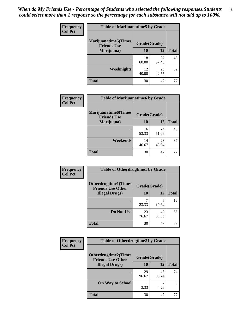| Frequency      | <b>Table of Marijuanatime5 by Grade</b>            |              |             |              |
|----------------|----------------------------------------------------|--------------|-------------|--------------|
| <b>Col Pct</b> | <b>Marijuanatime5</b> (Times<br><b>Friends Use</b> | Grade(Grade) |             |              |
|                | Marijuana)                                         | 10           | 12          | <b>Total</b> |
|                |                                                    | 18<br>60.00  | 27<br>57.45 | 45           |
|                | Weeknights                                         | 12<br>40.00  | 20<br>42.55 | 32           |
|                | <b>Total</b>                                       | 30           | 47          | 77           |

| Frequency      | <b>Table of Marijuanatime6 by Grade</b>           |              |             |              |
|----------------|---------------------------------------------------|--------------|-------------|--------------|
| <b>Col Pct</b> | <b>Marijuanatime6(Times</b><br><b>Friends Use</b> | Grade(Grade) |             |              |
|                | Marijuana)                                        | 10           | 12          | <b>Total</b> |
|                |                                                   | 16<br>53.33  | 24<br>51.06 | 40           |
|                | Weekends                                          | 14<br>46.67  | 23<br>48.94 | 37           |
|                | <b>Total</b>                                      | 30           | 47          | 77           |

| <b>Frequency</b> | <b>Table of Otherdrugtime1 by Grade</b>                  |              |             |              |  |
|------------------|----------------------------------------------------------|--------------|-------------|--------------|--|
| <b>Col Pct</b>   | <b>Otherdrugtime1</b> (Times<br><b>Friends Use Other</b> | Grade(Grade) |             |              |  |
|                  | <b>Illegal Drugs</b> )                                   | 10           | 12          | <b>Total</b> |  |
|                  |                                                          | 23.33        | 5<br>10.64  | 12           |  |
|                  | Do Not Use                                               | 23<br>76.67  | 42<br>89.36 | 65           |  |
|                  | <b>Total</b>                                             | 30           | 47          | 77           |  |

| <b>Frequency</b> | <b>Table of Otherdrugtime2 by Grade</b>                 |              |             |              |
|------------------|---------------------------------------------------------|--------------|-------------|--------------|
| <b>Col Pct</b>   | <b>Otherdrugtime2(Times</b><br><b>Friends Use Other</b> | Grade(Grade) |             |              |
|                  | <b>Illegal Drugs</b> )                                  | 10           | 12          | <b>Total</b> |
|                  |                                                         | 29<br>96.67  | 45<br>95.74 | 74           |
|                  | <b>On Way to School</b>                                 | 3.33         | 2<br>4.26   | 3            |
|                  | <b>Total</b>                                            | 30           | 47          | 77           |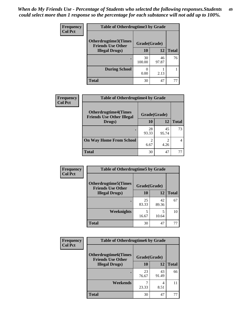| <b>Frequency</b> | <b>Table of Otherdrugtime3 by Grade</b> |                                          |             |              |  |
|------------------|-----------------------------------------|------------------------------------------|-------------|--------------|--|
| <b>Col Pct</b>   | Otherdrugtime3(Times                    | Grade(Grade)<br><b>Friends Use Other</b> |             |              |  |
|                  | <b>Illegal Drugs</b> )                  | 10                                       | 12          | <b>Total</b> |  |
|                  |                                         | 30<br>100.00                             | 46<br>97.87 | 76           |  |
|                  | <b>During School</b>                    | 0.00                                     | 2.13        |              |  |
|                  | <b>Total</b>                            | 30                                       | 47          | 77           |  |

| Frequency      | <b>Table of Otherdrugtime4 by Grade</b>                         |                        |             |              |
|----------------|-----------------------------------------------------------------|------------------------|-------------|--------------|
| <b>Col Pct</b> | <b>Otherdrugtime4(Times</b><br><b>Friends Use Other Illegal</b> | Grade(Grade)           |             |              |
|                | Drugs)                                                          | 10                     | 12          | <b>Total</b> |
|                | $\bullet$                                                       | 28<br>93.33            | 45<br>95.74 | 73           |
|                | <b>On Way Home From School</b>                                  | $\mathfrak{D}$<br>6.67 | 4.26        |              |
|                | <b>Total</b>                                                    | 30                     | 47          | 77           |

| <b>Frequency</b> | <b>Table of Otherdrugtime5 by Grade</b>                  |              |             |              |  |  |
|------------------|----------------------------------------------------------|--------------|-------------|--------------|--|--|
| <b>Col Pct</b>   | <b>Otherdrugtime5</b> (Times<br><b>Friends Use Other</b> | Grade(Grade) |             |              |  |  |
|                  | <b>Illegal Drugs</b> )                                   | 10           | 12          | <b>Total</b> |  |  |
|                  |                                                          | 25<br>83.33  | 42<br>89.36 | 67           |  |  |
|                  | Weeknights                                               | 5<br>16.67   | 5<br>10.64  | 10           |  |  |
|                  | <b>Total</b>                                             | 30           | 47          | 77           |  |  |

| <b>Frequency</b> | <b>Table of Otherdrugtime6 by Grade</b>                 |              |             |              |  |  |
|------------------|---------------------------------------------------------|--------------|-------------|--------------|--|--|
| <b>Col Pct</b>   | <b>Otherdrugtime6(Times</b><br><b>Friends Use Other</b> | Grade(Grade) |             |              |  |  |
|                  | <b>Illegal Drugs</b> )                                  | 10           | 12          | <b>Total</b> |  |  |
|                  |                                                         | 23<br>76.67  | 43<br>91.49 | 66           |  |  |
|                  | Weekends                                                | 23.33        | 4<br>8.51   | 11           |  |  |
|                  | <b>Total</b>                                            | 30           | 47          | 77           |  |  |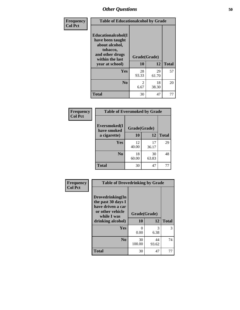| Frequency      | <b>Table of Educationalcohol by Grade</b>                                                                  |              |             |              |  |
|----------------|------------------------------------------------------------------------------------------------------------|--------------|-------------|--------------|--|
| <b>Col Pct</b> | Educationalcohol(I<br>have been taught<br>about alcohol,<br>tobacco,<br>and other drugs<br>within the last | Grade(Grade) |             |              |  |
|                | year at school)                                                                                            | 10           | 12          | <b>Total</b> |  |
|                | Yes                                                                                                        | 28<br>93.33  | 29<br>61.70 | 57           |  |
|                | N <sub>0</sub>                                                                                             | 2<br>6.67    | 18<br>38.30 | 20           |  |
|                | <b>Total</b>                                                                                               | 30           | 47          | 77           |  |

| Frequency      | <b>Table of Eversmoked by Grade</b> |              |             |              |  |  |
|----------------|-------------------------------------|--------------|-------------|--------------|--|--|
| <b>Col Pct</b> | Eversmoked(I<br>have smoked         | Grade(Grade) |             |              |  |  |
|                | a cigarette)                        | <b>10</b>    | 12          | <b>Total</b> |  |  |
|                | Yes                                 | 12<br>40.00  | 17<br>36.17 | 29           |  |  |
|                | N <sub>0</sub>                      | 18<br>60.00  | 30<br>63.83 | 48           |  |  |
|                | Total                               | 30           | 47          | 77           |  |  |

| Frequency      | <b>Table of Drovedrinking by Grade</b>                                                                              |                    |              |    |  |  |
|----------------|---------------------------------------------------------------------------------------------------------------------|--------------------|--------------|----|--|--|
| <b>Col Pct</b> | Drovedrinking(In<br>the past 30 days I<br>have driven a car<br>or other vehicle<br>while I was<br>drinking alcohol) | Grade(Grade)<br>10 | <b>Total</b> |    |  |  |
|                | <b>Yes</b>                                                                                                          | O<br>0.00          | 3<br>6.38    | 3  |  |  |
|                | N <sub>0</sub>                                                                                                      | 30<br>100.00       | 44<br>93.62  | 74 |  |  |
|                | <b>Total</b>                                                                                                        | 30                 | 47           | 77 |  |  |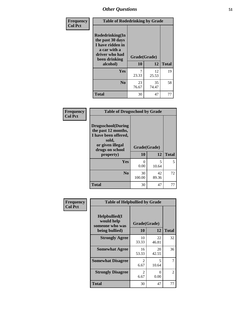| Frequency      | <b>Table of Rodedrinking by Grade</b>                                                                      |              |             |              |  |  |
|----------------|------------------------------------------------------------------------------------------------------------|--------------|-------------|--------------|--|--|
| <b>Col Pct</b> | Rodedrinking(In<br>the past 30 days<br>I have ridden in<br>a car with a<br>driver who had<br>been drinking | Grade(Grade) |             |              |  |  |
|                | alcohol)                                                                                                   | 10           | 12          | <b>Total</b> |  |  |
|                | <b>Yes</b>                                                                                                 | 23.33        | 12<br>25.53 | 19           |  |  |
|                | N <sub>0</sub>                                                                                             | 23<br>76.67  | 35<br>74.47 | 58           |  |  |
|                | <b>Total</b>                                                                                               | 30           | 47          | 77           |  |  |

#### **Frequency Col Pct**

| <b>Table of Drugsschool by Grade</b>                                                                                      |              |             |              |  |  |  |
|---------------------------------------------------------------------------------------------------------------------------|--------------|-------------|--------------|--|--|--|
| <b>Drugsschool</b> (During<br>the past 12 months,<br>I have been offered,<br>sold,<br>or given illegal<br>drugs on school | Grade(Grade) |             |              |  |  |  |
|                                                                                                                           |              |             |              |  |  |  |
| property)                                                                                                                 | 10           | 12          | <b>Total</b> |  |  |  |
| Yes                                                                                                                       | 0<br>0.00    | 5<br>10.64  | 5            |  |  |  |
| N <sub>0</sub>                                                                                                            | 30<br>100.00 | 42<br>89.36 | 72           |  |  |  |

| Frequency      | <b>Table of Helpbullied by Grade</b>                                   |                        |                                   |                |  |  |  |
|----------------|------------------------------------------------------------------------|------------------------|-----------------------------------|----------------|--|--|--|
| <b>Col Pct</b> | $Helpb$ ullied $(I$<br>would help<br>someone who was<br>being bullied) | Grade(Grade)<br>10     | <b>Total</b>                      |                |  |  |  |
|                | <b>Strongly Agree</b>                                                  | 10                     | 12<br>22                          | 32             |  |  |  |
|                |                                                                        | 33.33                  | 46.81                             |                |  |  |  |
|                | <b>Somewhat Agree</b>                                                  | 16<br>53.33            | 20<br>42.55                       | 36             |  |  |  |
|                | <b>Somewhat Disagree</b>                                               | $\mathfrak{D}$<br>6.67 | $\overline{\phantom{0}}$<br>10.64 |                |  |  |  |
|                | <b>Strongly Disagree</b>                                               | 2<br>6.67              | 0<br>0.00                         | $\overline{2}$ |  |  |  |
|                | <b>Total</b>                                                           | 30                     | 47                                | 77             |  |  |  |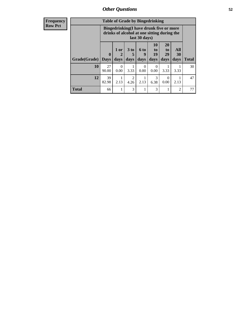| Frequency      | <b>Table of Grade by Bingedrinking</b> |                         |                  |                   |                                                                                        |                               |                               |                          |              |
|----------------|----------------------------------------|-------------------------|------------------|-------------------|----------------------------------------------------------------------------------------|-------------------------------|-------------------------------|--------------------------|--------------|
| <b>Row Pct</b> |                                        |                         |                  | last 30 days)     | Bingedrinking(I have drunk five or more<br>drinks of alcohol at one sitting during the |                               |                               |                          |              |
|                | Grade(Grade)                           | $\bf{0}$<br><b>Days</b> | $1$ or<br>days   | 3 to<br>5<br>days | <b>6 to</b><br>9<br>days                                                               | <b>10</b><br>to<br>19<br>days | <b>20</b><br>to<br>29<br>days | <b>All</b><br>30<br>days | <b>Total</b> |
|                | <b>10</b>                              | 27<br>90.00             | $\Omega$<br>0.00 | 3.33              | ∩<br>0.00                                                                              | 0<br>0.00                     | 3.33                          | 3.33                     | 30           |
|                | 12                                     | 39<br>82.98             | 2.13             | 2<br>4.26         | 2.13                                                                                   | 3<br>6.38                     | 0<br>0.00                     | 2.13                     | 47           |
|                | <b>Total</b>                           | 66                      |                  | 3                 |                                                                                        | 3                             |                               | $\overline{c}$           | 77           |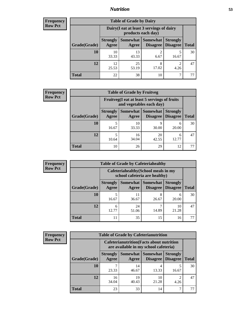### *Nutrition* **53**

| Frequency |
|-----------|
| Row Pct   |

| <b>Table of Grade by Dairy</b> |                          |                                                                 |                             |                                    |              |  |  |
|--------------------------------|--------------------------|-----------------------------------------------------------------|-----------------------------|------------------------------------|--------------|--|--|
|                                |                          | Dairy (I eat at least 3 servings of dairy<br>products each day) |                             |                                    |              |  |  |
| Grade(Grade)                   | <b>Strongly</b><br>Agree | <b>Somewhat</b><br>Agree                                        | <b>Somewhat</b><br>Disagree | <b>Strongly</b><br><b>Disagree</b> | <b>Total</b> |  |  |
| 10                             | 10<br>33.33              | 13<br>43.33                                                     | 2<br>6.67                   | 5<br>16.67                         | 30           |  |  |
| 12                             | 12<br>25.53              | 25<br>53.19                                                     | 8<br>17.02                  | $\mathfrak{D}$<br>4.26             | 47           |  |  |
| <b>Total</b>                   | 22                       | 38                                                              | 10                          |                                    |              |  |  |

| <b>Frequency</b> |  |
|------------------|--|
| <b>Row Pct</b>   |  |

| 'V | <b>Table of Grade by Fruitveg</b> |                          |                                                                          |                             |                                    |              |  |
|----|-----------------------------------|--------------------------|--------------------------------------------------------------------------|-----------------------------|------------------------------------|--------------|--|
|    |                                   |                          | Fruitveg(I eat at least 5 servings of fruits<br>and vegetables each day) |                             |                                    |              |  |
|    | Grade(Grade)                      | <b>Strongly</b><br>Agree | Somewhat  <br>Agree                                                      | <b>Somewhat</b><br>Disagree | <b>Strongly</b><br><b>Disagree</b> | <b>Total</b> |  |
|    | <b>10</b>                         | 16.67                    | 10<br>33.33                                                              | 30.00                       | 6<br>20.00                         | 30           |  |
|    | 12                                | 10.64                    | 16<br>34.04                                                              | 20<br>42.55                 | 6<br>12.77                         | 47           |  |
|    | <b>Total</b>                      | 10                       | 26                                                                       | 29                          | 12                                 | 77           |  |

| <b>Frequency</b><br><b>Table of Grade by Cafeteriahealthy</b> |              |                          |                                                                       |                                      |                                    |              |  |  |
|---------------------------------------------------------------|--------------|--------------------------|-----------------------------------------------------------------------|--------------------------------------|------------------------------------|--------------|--|--|
| <b>Row Pct</b>                                                |              |                          | Cafeteriahealthy (School meals in my<br>school cafeteria are healthy) |                                      |                                    |              |  |  |
|                                                               | Grade(Grade) | <b>Strongly</b><br>Agree | Agree                                                                 | Somewhat Somewhat<br><b>Disagree</b> | <b>Strongly</b><br><b>Disagree</b> | <b>Total</b> |  |  |
|                                                               | 10           | 16.67                    | 11<br>36.67                                                           | 26.67                                | 6<br>20.00                         | 30           |  |  |
|                                                               | 12           | 6<br>12.77               | 24<br>51.06                                                           | 14.89                                | 10<br>21.28                        | 47           |  |  |
|                                                               | Total        | 11                       | 35                                                                    | 15                                   | 16                                 |              |  |  |

| <b>Frequency</b> |
|------------------|
| <b>Row Pct</b>   |

| <b>Table of Grade by Cafeterianutrition</b> |                          |                                                                                           |                                               |                                    |              |  |  |
|---------------------------------------------|--------------------------|-------------------------------------------------------------------------------------------|-----------------------------------------------|------------------------------------|--------------|--|--|
|                                             |                          | <b>Cafeterianutrition</b> (Facts about nutrition<br>are available in my school cafeteria) |                                               |                                    |              |  |  |
| Grade(Grade)                                | <b>Strongly</b><br>Agree | Agree                                                                                     | <b>Somewhat   Somewhat</b><br><b>Disagree</b> | <b>Strongly</b><br><b>Disagree</b> | <b>Total</b> |  |  |
| 10                                          | 23.33                    | 14<br>46.67                                                                               | 4<br>13.33                                    | 5<br>16.67                         | 30           |  |  |
| 12                                          | 16<br>34.04              | 19<br>40.43                                                                               | 10<br>21.28                                   | $\mathfrak{D}$<br>4.26             | 47           |  |  |
| Total                                       | 23                       | 33                                                                                        | 14                                            | 7                                  |              |  |  |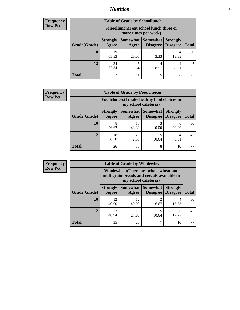### *Nutrition* **54**

| Frequency |
|-----------|
| Row Pct   |

| <b>Table of Grade by Schoollunch</b> |                                                                                                                                      |                                                                 |           |            |    |  |  |
|--------------------------------------|--------------------------------------------------------------------------------------------------------------------------------------|-----------------------------------------------------------------|-----------|------------|----|--|--|
|                                      |                                                                                                                                      | Schoollunch(I eat school lunch three or<br>more times per week) |           |            |    |  |  |
| Grade(Grade)                         | <b>Strongly</b><br>Somewhat  <br><b>Somewhat</b><br><b>Strongly</b><br><b>Disagree</b><br>Agree<br>Disagree<br><b>Total</b><br>Agree |                                                                 |           |            |    |  |  |
| 10                                   | 19<br>63.33                                                                                                                          | 6<br>20.00                                                      | 3.33      | 4<br>13.33 | 30 |  |  |
| 12                                   | 34<br>72.34                                                                                                                          | 10.64                                                           | 4<br>8.51 | 4<br>8.51  | 47 |  |  |
| <b>Total</b>                         | 53                                                                                                                                   | 11                                                              | 5         | 8          |    |  |  |

| <b>Frequency</b> |  |
|------------------|--|
| <b>Row Pct</b>   |  |

| <b>Table of Grade by Foodchoices</b> |                          |                                                                     |                                        |                                    |              |  |
|--------------------------------------|--------------------------|---------------------------------------------------------------------|----------------------------------------|------------------------------------|--------------|--|
|                                      |                          | Foodchoices (I make healthy food choices in<br>my school cafeteria) |                                        |                                    |              |  |
| Grade(Grade)                         | <b>Strongly</b><br>Agree | Agree                                                               | <b>Somewhat   Somewhat</b><br>Disagree | <b>Strongly</b><br><b>Disagree</b> | <b>Total</b> |  |
| 10                                   | 8<br>26.67               | 13<br>43.33                                                         | 10.00                                  | 6<br>20.00                         | 30           |  |
| 12                                   | 18<br>38.30              | 20<br>42.55                                                         | 10.64                                  | 4<br>8.51                          | 47           |  |
| <b>Total</b>                         | 26                       | 33                                                                  | 8                                      | 10                                 |              |  |

| Frequency      | <b>Table of Grade by Wholewheat</b> |                                                                                                             |             |                                   |                                    |              |  |  |  |
|----------------|-------------------------------------|-------------------------------------------------------------------------------------------------------------|-------------|-----------------------------------|------------------------------------|--------------|--|--|--|
| <b>Row Pct</b> |                                     | Wholewheat (There are whole wheat and<br>multigrain breads and cereals available in<br>my school cafeteria) |             |                                   |                                    |              |  |  |  |
|                | Grade(Grade)                        | <b>Strongly</b><br>Agree                                                                                    | Agree       | Somewhat   Somewhat  <br>Disagree | <b>Strongly</b><br><b>Disagree</b> | <b>Total</b> |  |  |  |
|                | <b>10</b>                           | 12<br>40.00                                                                                                 | 12<br>40.00 | 6.67                              | 4<br>13.33                         | 30           |  |  |  |
|                | 12                                  | 23<br>48.94                                                                                                 | 13<br>27.66 | 10.64                             | 6<br>12.77                         | 47           |  |  |  |
|                | <b>Total</b>                        | 35                                                                                                          | 25          |                                   | 10                                 |              |  |  |  |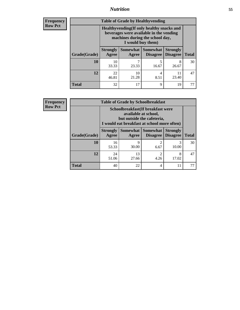### *Nutrition* **55**

**Frequency Row Pct**

| <b>Table of Grade by Healthyvending</b> |                                                                                                                                               |                          |                                    |                                    |              |  |  |
|-----------------------------------------|-----------------------------------------------------------------------------------------------------------------------------------------------|--------------------------|------------------------------------|------------------------------------|--------------|--|--|
|                                         | Healthyvending (If only healthy snacks and<br>beverages were available in the vending<br>machines during the school day,<br>I would buy them) |                          |                                    |                                    |              |  |  |
| Grade(Grade)                            | <b>Strongly</b><br>Agree                                                                                                                      | <b>Somewhat</b><br>Agree | <b>Somewhat</b><br><b>Disagree</b> | <b>Strongly</b><br><b>Disagree</b> | <b>Total</b> |  |  |
| 10                                      | 10<br>33.33                                                                                                                                   | 23.33                    | 5<br>16.67                         | 8<br>26.67                         | 30           |  |  |
| 12                                      | 22<br>46.81                                                                                                                                   | 10<br>21.28              | 4<br>8.51                          | 11<br>23.40                        | 47           |  |  |
| Total                                   | 32                                                                                                                                            | 17                       | 9                                  | 19                                 |              |  |  |

**Frequency Row Pct**

| <b>Table of Grade by Schoolbreakfast</b> |                                                                                                                                        |             |                   |                                        |              |  |  |
|------------------------------------------|----------------------------------------------------------------------------------------------------------------------------------------|-------------|-------------------|----------------------------------------|--------------|--|--|
|                                          | Schoolbreakfast(If breakfast were<br>available at school,<br>but outside the cafeteria,<br>I would eat breakfast at school more often) |             |                   |                                        |              |  |  |
| Grade(Grade)                             | <b>Strongly</b><br>Agree                                                                                                               | Agree       | Somewhat Somewhat | <b>Strongly</b><br>Disagree   Disagree | <b>Total</b> |  |  |
| 10                                       | 16<br>53.33                                                                                                                            | Q<br>30.00  | 2<br>6.67         | 3<br>10.00                             | 30           |  |  |
| 12                                       | 24<br>51.06                                                                                                                            | 13<br>27.66 | 2<br>4.26         | 8<br>17.02                             | 47           |  |  |
| <b>Total</b>                             | 40                                                                                                                                     | 22          | 4                 | 11                                     | 77           |  |  |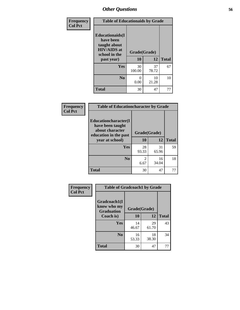| Frequency      | <b>Table of Educationaids by Grade</b>                                                                    |                    |              |    |  |
|----------------|-----------------------------------------------------------------------------------------------------------|--------------------|--------------|----|--|
| <b>Col Pct</b> | <b>Educationaids</b> (I<br>have been<br>taught about<br><b>HIV/AIDS</b> at<br>school in the<br>past year) | Grade(Grade)<br>10 | <b>Total</b> |    |  |
|                | <b>Yes</b>                                                                                                | 30<br>100.00       | 37<br>78.72  | 67 |  |
|                | N <sub>0</sub>                                                                                            | 0<br>0.00          | 10<br>21.28  | 10 |  |
|                | <b>Total</b>                                                                                              | 30                 | 47           | 77 |  |

| Frequency      | <b>Table of Educationcharacter by Grade</b>                                                  |              |             |              |  |  |
|----------------|----------------------------------------------------------------------------------------------|--------------|-------------|--------------|--|--|
| <b>Col Pct</b> | <b>Educationcharacter(I)</b><br>have been taught<br>about character<br>education in the past | Grade(Grade) |             |              |  |  |
|                | year at school)                                                                              | <b>10</b>    | 12          | <b>Total</b> |  |  |
|                | Yes                                                                                          | 28<br>93.33  | 31<br>65.96 | 59           |  |  |
|                | N <sub>0</sub>                                                                               | 2<br>6.67    | 16<br>34.04 | 18           |  |  |
|                | <b>Total</b>                                                                                 | 30           | 47          | 77           |  |  |

| Frequency      | <b>Table of Gradcoach1 by Grade</b>              |              |             |              |
|----------------|--------------------------------------------------|--------------|-------------|--------------|
| <b>Col Pct</b> | Gradcoach1(I<br>know who my<br><b>Graduation</b> | Grade(Grade) |             |              |
|                | Coach is)                                        | 10           | 12          | <b>Total</b> |
|                | Yes                                              | 14<br>46.67  | 29<br>61.70 | 43           |
|                | N <sub>0</sub>                                   | 16<br>53.33  | 18<br>38.30 | 34           |
|                | <b>Total</b>                                     | 30           | 47          | 77           |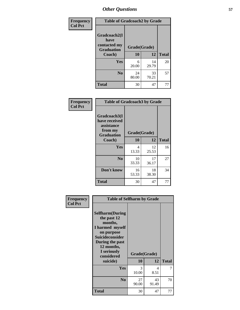| Frequency      | <b>Table of Gradcoach2 by Grade</b>  |              |             |              |
|----------------|--------------------------------------|--------------|-------------|--------------|
| <b>Col Pct</b> | Gradcoach2(I<br>have<br>contacted my |              |             |              |
|                | <b>Graduation</b><br>Coach)          | Grade(Grade) |             |              |
|                |                                      | 10           | 12          | <b>Total</b> |
|                | Yes                                  | 6<br>20.00   | 14<br>29.79 | 20           |
|                | N <sub>0</sub>                       | 24<br>80.00  | 33<br>70.21 | 57           |
|                | <b>Total</b>                         | 30           | 47          | 77           |

| Frequency<br><b>Col Pct</b> | <b>Table of Gradcoach3 by Grade</b>                                         |              |             |              |
|-----------------------------|-----------------------------------------------------------------------------|--------------|-------------|--------------|
|                             | Gradcoach3(I<br>have received<br>assistance<br>from my<br><b>Graduation</b> | Grade(Grade) |             |              |
|                             | Coach)                                                                      | 10           | 12          | <b>Total</b> |
|                             | Yes                                                                         | 4<br>13.33   | 12<br>25.53 | 16           |
|                             | N <sub>0</sub>                                                              | 10<br>33.33  | 17<br>36.17 | 27           |
|                             | Don't know                                                                  | 16<br>53.33  | 18<br>38.30 | 34           |
|                             | <b>Total</b>                                                                | 30           | 47          | 77           |

| Frequency<br><b>Col Pct</b> | <b>Table of Selfharm by Grade</b>                                                                                                                                                      |                    |             |              |
|-----------------------------|----------------------------------------------------------------------------------------------------------------------------------------------------------------------------------------|--------------------|-------------|--------------|
|                             | <b>Selfharm</b> (During<br>the past 12<br>months,<br>I harmed myself<br>on purpose<br><b>Suicideconsider</b><br>During the past<br>12 months,<br>I seriously<br>considered<br>suicide) | Grade(Grade)<br>10 | 12          | <b>Total</b> |
|                             | Yes                                                                                                                                                                                    | 3<br>10.00         | 4<br>8.51   |              |
|                             | N <sub>0</sub>                                                                                                                                                                         | 27<br>90.00        | 43<br>91.49 | 70           |
|                             | Total                                                                                                                                                                                  | 30                 | 47          | 77           |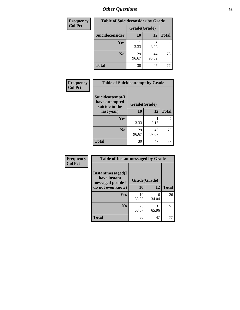| <b>Frequency</b> | <b>Table of Suicideconsider by Grade</b> |              |             |              |  |
|------------------|------------------------------------------|--------------|-------------|--------------|--|
| <b>Col Pct</b>   |                                          | Grade(Grade) |             |              |  |
|                  | Suicideconsider                          | <b>10</b>    | 12          | <b>Total</b> |  |
|                  | Yes                                      | 3.33         | 3<br>6.38   | 4            |  |
|                  | N <sub>0</sub>                           | 29<br>96.67  | 44<br>93.62 | 73           |  |
|                  | <b>Total</b>                             | 30           | 47          |              |  |

| Frequency      | <b>Table of Suicideattempt by Grade</b>              |              |             |                |
|----------------|------------------------------------------------------|--------------|-------------|----------------|
| <b>Col Pct</b> | Suicideattempt(I<br>have attempted<br>suicide in the | Grade(Grade) |             |                |
|                | last year)                                           | 10           | 12          | <b>Total</b>   |
|                | Yes                                                  | 3.33         | 2.13        | $\overline{2}$ |
|                | $\bf No$                                             | 29<br>96.67  | 46<br>97.87 | 75             |
|                | <b>Total</b>                                         | 30           | 47          | 77             |

| Frequency      | <b>Table of Instantmessaged by Grade</b>               |              |             |              |  |  |
|----------------|--------------------------------------------------------|--------------|-------------|--------------|--|--|
| <b>Col Pct</b> | Instantmessaged(I<br>have instant<br>messaged people I | Grade(Grade) |             |              |  |  |
|                | do not even know)                                      | 10           | 12          | <b>Total</b> |  |  |
|                | Yes                                                    | 10<br>33.33  | 16<br>34.04 | 26           |  |  |
|                | N <sub>0</sub>                                         | 20<br>66.67  | 31<br>65.96 | 51           |  |  |
|                | <b>Total</b>                                           | 30           | 47          | 77           |  |  |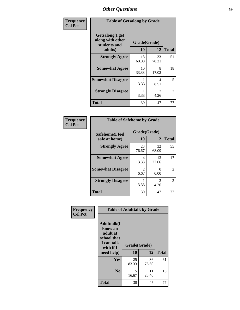| Frequency      | <b>Table of Getsalong by Grade</b>                          |              |                        |              |  |
|----------------|-------------------------------------------------------------|--------------|------------------------|--------------|--|
| <b>Col Pct</b> | <b>Getsalong</b> (I get<br>along with other<br>students and | Grade(Grade) |                        |              |  |
|                | adults)                                                     | 10           | 12                     | <b>Total</b> |  |
|                | <b>Strongly Agree</b>                                       | 18<br>60.00  | 33<br>70.21            | 51           |  |
|                | <b>Somewhat Agree</b>                                       | 10<br>33.33  | 8<br>17.02             | 18           |  |
|                | <b>Somewhat Disagree</b>                                    | 3.33         | 4<br>8.51              | 5            |  |
|                | <b>Strongly Disagree</b>                                    | 3.33         | $\mathfrak{D}$<br>4.26 | 3            |  |
|                | <b>Total</b>                                                | 30           | 47                     | 77           |  |

| Frequency      | <b>Table of Safehome by Grade</b> |                        |                           |              |
|----------------|-----------------------------------|------------------------|---------------------------|--------------|
| <b>Col Pct</b> | Safehome(I feel<br>safe at home)  | Grade(Grade)<br>10     | 12                        | <b>Total</b> |
|                | <b>Strongly Agree</b>             | 23<br>76.67            | 32<br>68.09               | 55           |
|                | <b>Somewhat Agree</b>             | 4<br>13.33             | 13<br>27.66               | 17           |
|                | <b>Somewhat Disagree</b>          | $\overline{2}$<br>6.67 | $\mathbf{\Omega}$<br>0.00 | 2            |
|                | <b>Strongly Disagree</b>          | 3.33                   | $\mathcal{L}$<br>4.26     | 3            |
|                | <b>Total</b>                      | 30                     | 47                        | 77           |

| Frequency      | <b>Table of Adulttalk by Grade</b>                                                  |              |             |              |  |
|----------------|-------------------------------------------------------------------------------------|--------------|-------------|--------------|--|
| <b>Col Pct</b> | <b>Adulttalk(I</b><br>know an<br>adult at<br>school that<br>I can talk<br>with if I | Grade(Grade) |             |              |  |
|                | need help)                                                                          | 10           | 12          | <b>Total</b> |  |
|                | <b>Yes</b>                                                                          | 25<br>83.33  | 36<br>76.60 | 61           |  |
|                | N <sub>0</sub>                                                                      | 5<br>16.67   | 11<br>23.40 | 16           |  |
|                | <b>Total</b>                                                                        | 30           | 47          | 77           |  |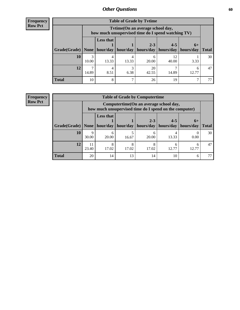**Frequency Row Pct**

r

| <b>Table of Grade by Tvtime</b> |            |                                                                                        |           |             |             |                       |              |  |
|---------------------------------|------------|----------------------------------------------------------------------------------------|-----------|-------------|-------------|-----------------------|--------------|--|
|                                 |            | Tvtime(On an average school day,<br>how much unsupervised time do I spend watching TV) |           |             |             |                       |              |  |
|                                 |            | <b>Less that</b><br>$2 - 3$<br>$4 - 5$<br>$6+$                                         |           |             |             |                       |              |  |
| Grade(Grade)   None             |            | hour/day                                                                               | hour/day  | hours/day   | hours/day   | hours/day             | <b>Total</b> |  |
| 10                              | 3<br>10.00 | 4<br>13.33                                                                             | 13.33     | h<br>20.00  | 12<br>40.00 | 3.33                  | 30           |  |
| 12                              | ⇁<br>14.89 | 4<br>8.51                                                                              | 3<br>6.38 | 20<br>42.55 | 14.89       | <sub>0</sub><br>12.77 | 47           |  |
| <b>Total</b>                    | 10         | 8                                                                                      |           | 26          | 19          |                       | 77           |  |

**Frequency Row Pct**

| <b>Table of Grade by Computertime</b> |                      |                                                                                                                               |       |       |       |            |    |  |
|---------------------------------------|----------------------|-------------------------------------------------------------------------------------------------------------------------------|-------|-------|-------|------------|----|--|
|                                       |                      | Computertime (On an average school day,<br>how much unsupervised time do I spend on the computer)                             |       |       |       |            |    |  |
| Grade(Grade)                          | None                 | <b>Less that</b><br>$2 - 3$<br>$4 - 5$<br>$6+$<br>hour/day<br>hours/day<br>hour/day<br>hours/day<br>hours/day<br><b>Total</b> |       |       |       |            |    |  |
| 10                                    | $\mathbf Q$<br>30.00 | 6<br>20.00                                                                                                                    | 16.67 | 20.00 | 13.33 | 0.00       | 30 |  |
| 12                                    | 11<br>23.40          | 8<br>17.02                                                                                                                    | 17.02 | 17.02 | 12.77 | h<br>12.77 | 47 |  |
| <b>Total</b>                          | 20                   | 14                                                                                                                            | 13    | 14    | 10    | 6          |    |  |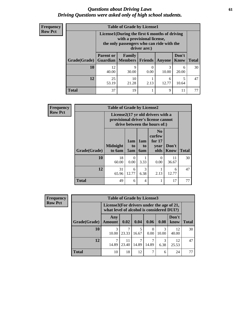### *Questions about Driving Laws* **61** *Driving Questions were asked only of high school students.*

| <b>Frequency</b> |
|------------------|
| <b>Row Pct</b>   |

| <b>Table of Grade by License1</b> |                                     |                                                                                                                                           |      |               |               |              |  |  |  |  |
|-----------------------------------|-------------------------------------|-------------------------------------------------------------------------------------------------------------------------------------------|------|---------------|---------------|--------------|--|--|--|--|
|                                   |                                     | License1(During the first 6 months of driving<br>with a provisional license,<br>the only passengers who can ride with the<br>driver are:) |      |               |               |              |  |  |  |  |
| Grade(Grade)                      | <b>Parent or</b><br><b>Guardian</b> | Family<br><b>Members Friends</b>                                                                                                          |      | <b>Anyone</b> | Don't<br>Know | <b>Total</b> |  |  |  |  |
| 10                                | 12<br>40.00                         | 9<br>30.00                                                                                                                                | 0.00 | 3<br>10.00    | 6<br>20.00    | 30           |  |  |  |  |
| 12                                | 25<br>53.19                         | 10<br>21.28                                                                                                                               | 2.13 | 6<br>12.77    | 5<br>10.64    | 47           |  |  |  |  |
| <b>Total</b>                      | 37                                  | 19                                                                                                                                        |      | 9             | 11            |              |  |  |  |  |

| <b>Frequency</b> |              | <b>Table of Grade by License2</b> |                  |                  |                                                                                                          |                      |              |
|------------------|--------------|-----------------------------------|------------------|------------------|----------------------------------------------------------------------------------------------------------|----------------------|--------------|
| <b>Row Pct</b>   |              |                                   |                  |                  | License2(17 yr old drivers with a<br>provisional driver's license cannot<br>drive between the hours of:) |                      |              |
|                  | Grade(Grade) | <b>Midnight</b><br>to 6am         | 1am<br>to<br>5am | 1am<br>to<br>6am | N <sub>0</sub><br>curfew<br>for $17$<br>year<br>olds                                                     | Don't<br><b>Know</b> | <b>Total</b> |
|                  | 10           | 18<br>60.00                       | $\Omega$<br>0.00 | 3.33             | $\Omega$<br>0.00                                                                                         | 11<br>36.67          | 30           |
|                  | 12           | 31<br>65.96                       | 6<br>12.77       | 3<br>6.38        | 2.13                                                                                                     | 6<br>12.77           | 47           |
|                  | <b>Total</b> | 49                                | 6                | 4                |                                                                                                          | 17                   | 77           |

| <b>Frequency</b> |                                                                                           | <b>Table of Grade by License3</b> |             |       |       |       |               |              |
|------------------|-------------------------------------------------------------------------------------------|-----------------------------------|-------------|-------|-------|-------|---------------|--------------|
| <b>Row Pct</b>   | License3(For drivers under the age of $21$ ,<br>what level of alcohol is considered DUI?) |                                   |             |       |       |       |               |              |
|                  | Grade(Grade)                                                                              | Any<br><b>Amount</b>              | 0.02        | 0.04  | 0.06  | 0.08  | Don't<br>know | <b>Total</b> |
|                  | 10                                                                                        | 3<br>10.00                        | 23.33       | 16.67 | 0.00  | 10.00 | 12<br>40.00   | 30           |
|                  | 12                                                                                        | 14.89                             | 11<br>23.40 | 14.89 | 14.89 | 6.38  | 12<br>25.53   | 47           |
|                  | Total                                                                                     | 10                                | 18          | 12    |       | 6     | 24            | 77           |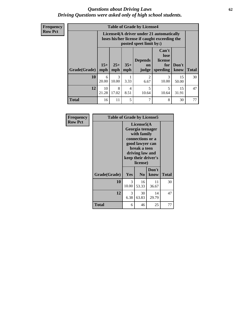### *Questions about Driving Laws* **62** *Driving Questions were asked only of high school students.*

**Frequency Row Pct**

| <b>Table of Grade by License4</b> |             |                                                                                                                                                        |           |                        |            |             |    |  |
|-----------------------------------|-------------|--------------------------------------------------------------------------------------------------------------------------------------------------------|-----------|------------------------|------------|-------------|----|--|
|                                   |             | License4(A driver under 21 automatically<br>loses his/her license if caught exceeding the<br>posted speet limit by:)                                   |           |                        |            |             |    |  |
| Grade(Grade)                      | mph         | Can't<br>lose<br><b>Depends</b><br>license<br>$15+$<br>$35+$<br>$25+$<br>Don't<br>for<br>on<br><b>Total</b><br>mph<br>speeding<br>know<br>mph<br>judge |           |                        |            |             |    |  |
| 10                                | 6<br>20.00  | 3<br>10.00                                                                                                                                             | 3.33      | $\overline{2}$<br>6.67 | 3<br>10.00 | 15<br>50.00 | 30 |  |
| 12                                | 10<br>21.28 | 8<br>17.02                                                                                                                                             | 4<br>8.51 | 5<br>10.64             | 5<br>10.64 | 15<br>31.91 | 47 |  |
| <b>Total</b>                      | 16          | 11                                                                                                                                                     | 5         | 7                      | 8          | 30          | 77 |  |

| Frequency      | <b>Table of Grade by License5</b> |                                                                                                                                                             |                |               |              |
|----------------|-----------------------------------|-------------------------------------------------------------------------------------------------------------------------------------------------------------|----------------|---------------|--------------|
| <b>Row Pct</b> |                                   | License5(A)<br>Georgia teenager<br>with family<br>connections or a<br>good lawyer can<br>break a teen<br>driving law and<br>keep their driver's<br>license) |                |               |              |
|                | Grade(Grade)                      | Yes                                                                                                                                                         | N <sub>0</sub> | Don't<br>know | <b>Total</b> |
|                | 10                                | $\mathcal{F}$<br>10.00                                                                                                                                      | 16<br>53.33    | 11<br>36.67   | 30           |
|                | 12                                | 3<br>6.38                                                                                                                                                   | 30<br>63.83    | 14<br>29.79   | 47           |
|                | Total                             | 6                                                                                                                                                           | 46             | 25            | 77           |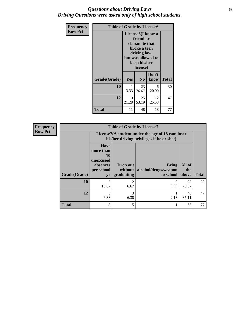### *Questions about Driving Laws* **63** *Driving Questions were asked only of high school students.*

| <b>Frequency</b> | <b>Table of Grade by License6</b> |                                                                                                                                                 |                |               |              |  |  |
|------------------|-----------------------------------|-------------------------------------------------------------------------------------------------------------------------------------------------|----------------|---------------|--------------|--|--|
| <b>Row Pct</b>   |                                   | License <sub>6</sub> (I know a<br>friend or<br>classmate that<br>broke a teen<br>driving law,<br>but was allowed to<br>keep his/her<br>license) |                |               |              |  |  |
|                  | Grade(Grade)                      | Yes                                                                                                                                             | N <sub>0</sub> | Don't<br>know | <b>Total</b> |  |  |
|                  | 10                                | 1<br>3.33                                                                                                                                       | 23<br>76.67    | 6<br>20.00    | 30           |  |  |
|                  | 12                                | 10<br>21.28                                                                                                                                     | 25<br>53.19    | 12<br>25.53   | 47           |  |  |
|                  | <b>Total</b>                      | 11                                                                                                                                              | 48             | 18            | 77           |  |  |

| <b>Frequency</b> |              |                                                                             | <b>Table of Grade by License7</b>                                                             |                                                   |                        |              |
|------------------|--------------|-----------------------------------------------------------------------------|-----------------------------------------------------------------------------------------------|---------------------------------------------------|------------------------|--------------|
| <b>Row Pct</b>   |              |                                                                             | License7(A student under the age of 18 cam loser<br>his/her driving privileges if he or she:) |                                                   |                        |              |
|                  | Grade(Grade) | <b>Have</b><br>more than<br>10<br>unexcused<br>absences<br>per school<br>yr | Drop out<br>without<br>graduating                                                             | <b>Bring</b><br>alcohol/drugs/weapon<br>to school | All of<br>the<br>above | <b>Total</b> |
|                  | 10           | 5<br>16.67                                                                  | 2<br>6.67                                                                                     | 0<br>0.00                                         | 23<br>76.67            | 30           |
|                  | 12           | 3<br>6.38                                                                   | 3<br>6.38                                                                                     | 2.13                                              | 40<br>85.11            | 47           |
|                  | <b>Total</b> | 8                                                                           | 5                                                                                             |                                                   | 63                     | 77           |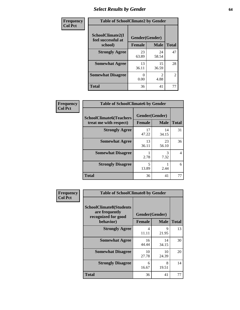## *Select Results by Gender* **64**

| Frequency<br><b>Col Pct</b> | <b>Table of SchoolClimate2 by Gender</b> |                |                                     |                |  |  |  |
|-----------------------------|------------------------------------------|----------------|-------------------------------------|----------------|--|--|--|
|                             | SchoolClimate2(I<br>feel successful at   | Gender(Gender) |                                     |                |  |  |  |
|                             | school)                                  | <b>Female</b>  | <b>Male</b>                         | <b>Total</b>   |  |  |  |
|                             | <b>Strongly Agree</b>                    | 23<br>63.89    | 24<br>58.54                         | 47             |  |  |  |
|                             | <b>Somewhat Agree</b>                    | 13<br>36.11    | 15<br>36.59                         | 28             |  |  |  |
|                             | <b>Somewhat Disagree</b>                 | 0<br>0.00      | $\mathcal{D}_{\mathcal{L}}$<br>4.88 | $\overline{2}$ |  |  |  |
|                             | <b>Total</b>                             | 36             | 41                                  | 77             |  |  |  |

| <b>Frequency</b> | <b>Table of SchoolClimate6 by Gender</b>                 |                          |             |              |  |  |  |  |
|------------------|----------------------------------------------------------|--------------------------|-------------|--------------|--|--|--|--|
| <b>Col Pct</b>   | <b>SchoolClimate6(Teachers</b><br>treat me with respect) | Gender(Gender)<br>Female | <b>Male</b> | <b>Total</b> |  |  |  |  |
|                  | <b>Strongly Agree</b>                                    | 17<br>47.22              | 14<br>34.15 | 31           |  |  |  |  |
|                  | <b>Somewhat Agree</b>                                    | 13<br>36.11              | 23<br>56.10 | 36           |  |  |  |  |
|                  | <b>Somewhat Disagree</b>                                 | 2.78                     | 3<br>7.32   | 4            |  |  |  |  |
|                  | <b>Strongly Disagree</b>                                 | 5<br>13.89               | 2.44        | 6            |  |  |  |  |
|                  | <b>Total</b>                                             | 36                       | 41          | 77           |  |  |  |  |

| Frequency<br><b>Col Pct</b> | <b>Table of SchoolClimate8 by Gender</b>                                             |                                 |             |              |  |  |  |
|-----------------------------|--------------------------------------------------------------------------------------|---------------------------------|-------------|--------------|--|--|--|
|                             | <b>SchoolClimate8(Students</b><br>are frequently<br>recognized for good<br>behavior) | Gender(Gender)<br><b>Female</b> | <b>Male</b> | <b>Total</b> |  |  |  |
|                             | <b>Strongly Agree</b>                                                                | $\overline{4}$<br>11.11         | 9<br>21.95  | 13           |  |  |  |
|                             | <b>Somewhat Agree</b>                                                                | 16<br>44.44                     | 14<br>34.15 | 30           |  |  |  |
|                             | <b>Somewhat Disagree</b>                                                             | 10<br>27.78                     | 10<br>24.39 | 20           |  |  |  |
|                             | <b>Strongly Disagree</b>                                                             | 6<br>16.67                      | 8<br>19.51  | 14           |  |  |  |
|                             | Total                                                                                | 36                              | 41          | 77           |  |  |  |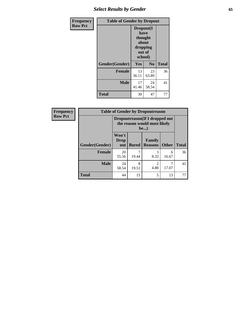## *Select Results by Gender* **65**

| <b>Frequency</b> | <b>Table of Gender by Dropout</b> |                                                                        |                |              |
|------------------|-----------------------------------|------------------------------------------------------------------------|----------------|--------------|
| <b>Row Pct</b>   |                                   | Dropout(I<br>have<br>thought<br>about<br>dropping<br>out of<br>school) |                |              |
|                  | Gender(Gender)                    | Yes                                                                    | N <sub>0</sub> | <b>Total</b> |
|                  | <b>Female</b>                     | 13<br>36.11                                                            | 23<br>63.89    | 36           |
|                  | <b>Male</b>                       | 17<br>41.46                                                            | 24<br>58.54    | 41           |
|                  | <b>Total</b>                      | 30                                                                     | 47             | 77           |

| Frequency      | <b>Table of Gender by Dropoutreason</b> |                                                                                |              |                                 |              |              |
|----------------|-----------------------------------------|--------------------------------------------------------------------------------|--------------|---------------------------------|--------------|--------------|
| <b>Row Pct</b> |                                         | Dropoutreason (If I dropped out<br>the reason would most likely<br><b>be</b> ) |              |                                 |              |              |
|                | <b>Gender</b> (Gender)                  | Won't<br>Drop<br>out                                                           | <b>Bored</b> | <b>Family</b><br><b>Reasons</b> | <b>Other</b> | <b>Total</b> |
|                | <b>Female</b>                           | 20<br>55.56                                                                    | 19.44        | 3<br>8.33                       | 6<br>16.67   | 36           |
|                | <b>Male</b>                             | 24<br>58.54                                                                    | 8<br>19.51   | $\mathfrak{D}$<br>4.88          | 17.07        | 41           |
|                | <b>Total</b>                            | 44                                                                             | 15           | 5                               | 13           | 77           |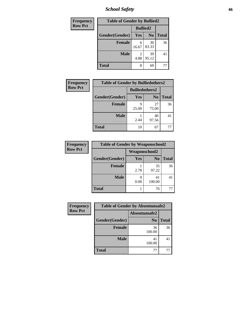*School Safety* **66**

| Frequency      | <b>Table of Gender by Bullied2</b> |                        |                 |              |
|----------------|------------------------------------|------------------------|-----------------|--------------|
| <b>Row Pct</b> |                                    |                        | <b>Bullied2</b> |              |
|                | Gender(Gender)                     | Yes                    | N <sub>0</sub>  | <b>Total</b> |
|                | <b>Female</b>                      | 6<br>16.67             | 30<br>83.33     | 36           |
|                | <b>Male</b>                        | $\mathfrak{D}$<br>4.88 | 39<br>95.12     | 41           |
|                | <b>Total</b>                       | 8                      | 69              |              |

| Frequency      | <b>Table of Gender by Bulliedothers2</b> |                       |                |              |
|----------------|------------------------------------------|-----------------------|----------------|--------------|
| <b>Row Pct</b> |                                          | <b>Bulliedothers2</b> |                |              |
|                | Gender(Gender)                           | <b>Yes</b>            | N <sub>0</sub> | <b>Total</b> |
|                | <b>Female</b>                            | Q<br>25.00            | 27<br>75.00    | 36           |
|                | <b>Male</b>                              | 2.44                  | 40<br>97.56    | 41           |
|                | <b>Total</b>                             | 10                    | 67             | 77           |

| <b>Frequency</b> | <b>Table of Gender by Weaponschool2</b> |                      |                |              |
|------------------|-----------------------------------------|----------------------|----------------|--------------|
| <b>Row Pct</b>   |                                         | <b>Weaponschool2</b> |                |              |
|                  | Gender(Gender)                          | Yes                  | N <sub>0</sub> | <b>Total</b> |
|                  | <b>Female</b>                           | 2.78                 | 35<br>97.22    | 36           |
|                  | <b>Male</b>                             | 0.00                 | 41<br>100.00   | 41           |
|                  | <b>Total</b>                            |                      | 76             |              |

| Frequency      | <b>Table of Gender by Absentunsafe2</b> |                |              |  |
|----------------|-----------------------------------------|----------------|--------------|--|
| <b>Row Pct</b> |                                         | Absentunsafe2  |              |  |
|                | Gender(Gender)                          | N <sub>0</sub> | <b>Total</b> |  |
|                | <b>Female</b>                           | 36<br>100.00   | 36           |  |
|                | <b>Male</b>                             | 41<br>100.00   | 41           |  |
|                | <b>Total</b>                            | 77             |              |  |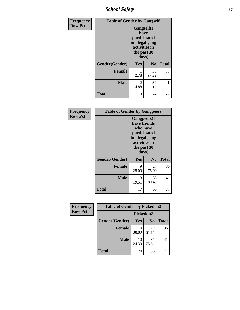*School Safety* **67**

| Frequency      | <b>Table of Gender by Gangself</b> |                                                                                                |                |              |
|----------------|------------------------------------|------------------------------------------------------------------------------------------------|----------------|--------------|
| <b>Row Pct</b> |                                    | Gangself(I<br>have<br>participated<br>in illegal gang<br>activities in<br>the past 30<br>days) |                |              |
|                | Gender(Gender)                     | Yes                                                                                            | N <sub>0</sub> | <b>Total</b> |
|                | <b>Female</b>                      | 1<br>2.78                                                                                      | 35<br>97.22    | 36           |
|                | <b>Male</b>                        | 2<br>4.88                                                                                      | 39<br>95.12    | 41           |
|                | <b>Total</b>                       | 3                                                                                              | 74             | 77           |

| Frequency      | <b>Table of Gender by Gangpeers</b> |                                                                                                                             |                |              |
|----------------|-------------------------------------|-----------------------------------------------------------------------------------------------------------------------------|----------------|--------------|
| <b>Row Pct</b> |                                     | <b>Gangpeers</b> (I<br>have friends<br>who have<br>participated<br>in illegal gang<br>activities in<br>the past 30<br>days) |                |              |
|                | Gender(Gender)                      | Yes                                                                                                                         | N <sub>0</sub> | <b>Total</b> |
|                | <b>Female</b>                       | 9<br>25.00                                                                                                                  | 27<br>75.00    | 36           |
|                | <b>Male</b>                         | 8<br>19.51                                                                                                                  | 33<br>80.49    | 41           |
|                | <b>Total</b>                        | 17                                                                                                                          | 60             | 77           |

| <b>Frequency</b> | <b>Table of Gender by Pickedon2</b> |             |                |              |
|------------------|-------------------------------------|-------------|----------------|--------------|
| <b>Row Pct</b>   |                                     |             | Pickedon2      |              |
|                  | Gender(Gender)                      | Yes         | N <sub>o</sub> | <b>Total</b> |
|                  | <b>Female</b>                       | 14<br>38.89 | 22<br>61.11    | 36           |
|                  | <b>Male</b>                         | 10<br>24.39 | 31<br>75.61    | 41           |
|                  | <b>Total</b>                        | 24          | 53             | 77           |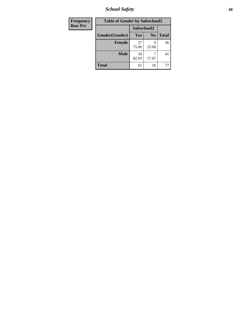*School Safety* **68**

| Frequency      | <b>Table of Gender by Safeschool2</b> |             |                |              |
|----------------|---------------------------------------|-------------|----------------|--------------|
| <b>Row Pct</b> |                                       | Safeschool2 |                |              |
|                | Gender(Gender)                        | Yes         | N <sub>0</sub> | <b>Total</b> |
|                | <b>Female</b>                         | 27<br>75.00 | q<br>25.00     | 36           |
|                | <b>Male</b>                           | 34<br>82.93 | 17.07          | 41           |
|                | <b>Total</b>                          | 61          | 16             |              |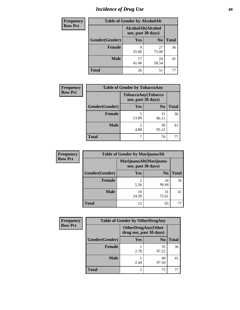# *Incidence of Drug Use* 69

| <b>Frequency</b> | <b>Table of Gender by AlcoholAlt</b> |                                          |                |              |
|------------------|--------------------------------------|------------------------------------------|----------------|--------------|
| <b>Row Pct</b>   |                                      | AlcoholAlt(Alcohol<br>use, past 30 days) |                |              |
|                  | Gender(Gender)                       | <b>Yes</b>                               | N <sub>0</sub> | <b>Total</b> |
|                  | <b>Female</b>                        | 9<br>25.00                               | 27<br>75.00    | 36           |
|                  | <b>Male</b>                          | 17<br>41.46                              | 24<br>58.54    | 41           |
|                  | <b>Total</b>                         | 26                                       | 51             | 77           |

| Frequency      | <b>Table of Gender by TobaccoAny</b> |                    |                    |              |  |
|----------------|--------------------------------------|--------------------|--------------------|--------------|--|
| <b>Row Pct</b> |                                      | use, past 30 days) | TobaccoAny(Tobacco |              |  |
|                | Gender(Gender)                       | Yes                | N <sub>0</sub>     | <b>Total</b> |  |
|                | <b>Female</b>                        | 13.89              | 31<br>86.11        | 36           |  |
|                | <b>Male</b>                          | 2<br>4.88          | 39<br>95.12        | 41           |  |
|                | <b>Total</b>                         | ┑                  | 70                 |              |  |

| <b>Frequency</b> | <b>Table of Gender by MarijuanaAlt</b> |                                              |                |              |
|------------------|----------------------------------------|----------------------------------------------|----------------|--------------|
| <b>Row Pct</b>   |                                        | MarijuanaAlt(Marijuana<br>use, past 30 days) |                |              |
|                  | Gender(Gender)                         | <b>Yes</b>                                   | N <sub>0</sub> | <b>Total</b> |
|                  | Female                                 | 2<br>5.56                                    | 34<br>94.44    | 36           |
|                  | <b>Male</b>                            | 10<br>24.39                                  | 31<br>75.61    | 41           |
|                  | <b>Total</b>                           | 12                                           | 65             |              |

| <b>Frequency</b> | <b>Table of Gender by OtherDrugAny</b> |                                                      |                |              |
|------------------|----------------------------------------|------------------------------------------------------|----------------|--------------|
| <b>Row Pct</b>   |                                        | <b>OtherDrugAny(Other</b><br>drug use, past 30 days) |                |              |
|                  | Gender(Gender)                         | <b>Yes</b>                                           | N <sub>0</sub> | <b>Total</b> |
|                  | <b>Female</b>                          | 2.78                                                 | 35<br>97.22    | 36           |
|                  | <b>Male</b>                            | 2.44                                                 | 40<br>97.56    | 41           |
|                  | <b>Total</b>                           | $\overline{2}$                                       | 75             | 77           |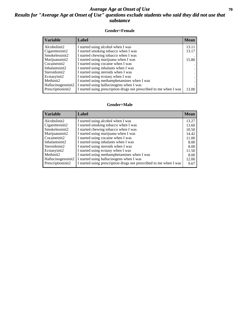### *Average Age at Onset of Use* 70 *Results for "Average Age at Onset of Use" questions exclude students who said they did not use that substance*

#### **Gender=Female**

| <b>Variable</b>    | Label                                                              | <b>Mean</b> |
|--------------------|--------------------------------------------------------------------|-------------|
| Alcoholinit2       | I started using alcohol when I was                                 | 13.11       |
| Cigarettesinit2    | I started smoking tobacco when I was                               | 13.17       |
| Smokelessinit2     | I started chewing tobacco when I was                               |             |
| Marijuanainit2     | I started using marijuana when I was                               | 15.80       |
| Cocaineinit2       | I started using cocaine when I was                                 |             |
| Inhalantsinit2     | I started using inhalants when I was                               |             |
| Steroidsinit2      | I started using steroids when I was                                |             |
| Ecstasyinit2       | I started using ecstasy when I was                                 |             |
| Methinit2          | I started using methamphetamines when I was                        |             |
| Hallucinogensinit2 | I started using hallucinogens when I was                           |             |
| Prescriptioninit2  | I started using prescription drugs not prescribed to me when I was | 13.00       |

#### **Gender=Male**

| <b>Variable</b>                 | Label                                                              | <b>Mean</b> |
|---------------------------------|--------------------------------------------------------------------|-------------|
| Alcoholinit2                    | I started using alcohol when I was                                 | 13.27       |
| Cigarettesinit2                 | I started smoking tobacco when I was                               | 13.60       |
| Smokelessinit2                  | I started chewing tobacco when I was                               | 10.50       |
| Marijuanainit2                  | I started using marijuana when I was                               | 14.42       |
| Cocaineinit2                    | I started using cocaine when I was                                 | 11.00       |
| Inhalantsinit2                  | I started using inhalants when I was                               | 8.00        |
| Steroidsinit2                   | I started using steroids when I was                                | 8.00        |
| Ecstasyinit2                    | I started using ecstasy when I was                                 | 11.50       |
| Methinit2                       | I started using methamphetamines when I was                        | 8.00        |
| Hallucinogensinit2              | I started using hallucinogens when I was                           | 12.00       |
| Prescription in it <sub>2</sub> | I started using prescription drugs not prescribed to me when I was | 9.67        |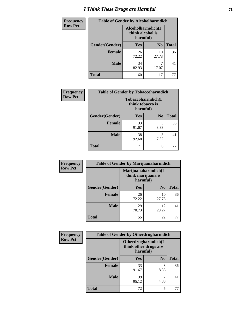# *I Think These Drugs are Harmful* **71**

| <b>Frequency</b> | <b>Table of Gender by Alcoholharmdich</b> |                                                   |                |              |
|------------------|-------------------------------------------|---------------------------------------------------|----------------|--------------|
| <b>Row Pct</b>   |                                           | Alcoholharmdich(I<br>think alcohol is<br>harmful) |                |              |
|                  | Gender(Gender)                            | <b>Yes</b>                                        | N <sub>0</sub> | <b>Total</b> |
|                  | <b>Female</b>                             | 26<br>72.22                                       | 10<br>27.78    | 36           |
|                  | <b>Male</b>                               | 34<br>82.93                                       | 7<br>17.07     | 41           |
|                  | <b>Total</b>                              | 60                                                | 17             | 77           |

| Frequency      | <b>Table of Gender by Tobaccoharmdich</b> |                  |                               |              |
|----------------|-------------------------------------------|------------------|-------------------------------|--------------|
| <b>Row Pct</b> |                                           | think tobacco is | Tobaccoharmdich(I<br>harmful) |              |
|                | Gender(Gender)                            | Yes              | N <sub>0</sub>                | <b>Total</b> |
|                | <b>Female</b>                             | 33<br>91.67      | 3<br>8.33                     | 36           |
|                | <b>Male</b>                               | 38<br>92.68      | 3<br>7.32                     | 41           |
|                | <b>Total</b>                              | 71               | 6                             |              |

| Frequency      | <b>Table of Gender by Marijuanaharmdich</b> |                                |                     |              |
|----------------|---------------------------------------------|--------------------------------|---------------------|--------------|
| <b>Row Pct</b> |                                             | think marijuana is<br>harmful) | Marijuanaharmdich(I |              |
|                | Gender(Gender)                              | <b>Yes</b>                     | N <sub>0</sub>      | <b>Total</b> |
|                | <b>Female</b>                               | 26<br>72.22                    | 10<br>27.78         | 36           |
|                | <b>Male</b>                                 | 29<br>70.73                    | 12<br>29.27         | 41           |
|                | <b>Total</b>                                | 55                             | 22                  | 77           |

| Frequency      | <b>Table of Gender by Otherdrugharmdich</b> |                                   |                     |              |
|----------------|---------------------------------------------|-----------------------------------|---------------------|--------------|
| <b>Row Pct</b> |                                             | think other drugs are<br>harmful) | Otherdrugharmdich(I |              |
|                | Gender(Gender)                              | <b>Yes</b>                        | N <sub>0</sub>      | <b>Total</b> |
|                | <b>Female</b>                               | 33<br>91.67                       | 3<br>8.33           | 36           |
|                | <b>Male</b>                                 | 39<br>95.12                       | 2<br>4.88           | 41           |
|                | <b>Total</b>                                | 72                                | 5                   | 77           |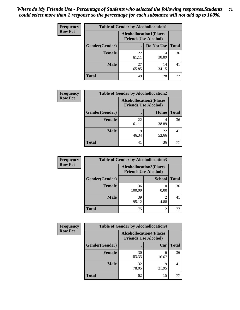| <b>Frequency</b> | <b>Table of Gender by Alcohollocation1</b> |                                                               |             |              |
|------------------|--------------------------------------------|---------------------------------------------------------------|-------------|--------------|
| <b>Row Pct</b>   |                                            | <b>Alcohollocation1(Places</b><br><b>Friends Use Alcohol)</b> |             |              |
|                  | Gender(Gender)                             |                                                               | Do Not Use  | <b>Total</b> |
|                  | <b>Female</b>                              | 22<br>61.11                                                   | 14<br>38.89 | 36           |
|                  | <b>Male</b>                                | 27<br>65.85                                                   | 14<br>34.15 | 41           |
|                  | Total                                      | 49                                                            | 28          |              |

| <b>Frequency</b> | <b>Table of Gender by Alcohollocation2</b> |             |                                                               |              |
|------------------|--------------------------------------------|-------------|---------------------------------------------------------------|--------------|
| <b>Row Pct</b>   |                                            |             | <b>Alcohollocation2(Places</b><br><b>Friends Use Alcohol)</b> |              |
|                  | Gender(Gender)                             |             | Home                                                          | <b>Total</b> |
|                  | <b>Female</b>                              | 22<br>61.11 | 14<br>38.89                                                   | 36           |
|                  | <b>Male</b>                                | 19<br>46.34 | 22<br>53.66                                                   | 41           |
|                  | <b>Total</b>                               | 41          | 36                                                            |              |

| Frequency      | <b>Table of Gender by Alcohollocation3</b> |                                                               |                |              |
|----------------|--------------------------------------------|---------------------------------------------------------------|----------------|--------------|
| <b>Row Pct</b> |                                            | <b>Alcohollocation3(Places</b><br><b>Friends Use Alcohol)</b> |                |              |
|                | Gender(Gender)                             |                                                               | <b>School</b>  | <b>Total</b> |
|                | <b>Female</b>                              | 36<br>100.00                                                  | 0.00           | 36           |
|                | <b>Male</b>                                | 39<br>95.12                                                   | 2<br>4.88      | 41           |
|                | <b>Total</b>                               | 75                                                            | $\mathfrak{D}$ | 77           |

| Frequency      | <b>Table of Gender by Alcohollocation4</b> |                                                               |            |              |
|----------------|--------------------------------------------|---------------------------------------------------------------|------------|--------------|
| <b>Row Pct</b> |                                            | <b>Alcohollocation4(Places</b><br><b>Friends Use Alcohol)</b> |            |              |
|                | Gender(Gender)                             |                                                               | Car        | <b>Total</b> |
|                | <b>Female</b>                              | 30<br>83.33                                                   | 6<br>16.67 | 36           |
|                | <b>Male</b>                                | 32<br>78.05                                                   | q<br>21.95 | 41           |
|                | <b>Total</b>                               | 62                                                            | 15         |              |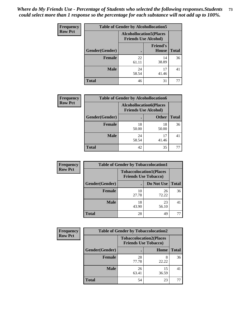| <b>Frequency</b> | <b>Table of Gender by Alcohollocation5</b> |                                                                |                                 |              |
|------------------|--------------------------------------------|----------------------------------------------------------------|---------------------------------|--------------|
| <b>Row Pct</b>   |                                            | <b>Alcohollocation5</b> (Places<br><b>Friends Use Alcohol)</b> |                                 |              |
|                  | Gender(Gender)                             | $\bullet$                                                      | <b>Friend's</b><br><b>House</b> | <b>Total</b> |
|                  | <b>Female</b>                              | 22<br>61.11                                                    | 14<br>38.89                     | 36           |
|                  | <b>Male</b>                                | 24<br>58.54                                                    | 17<br>41.46                     | 41           |
|                  | <b>Total</b>                               | 46                                                             | 31                              | 77           |

| Frequency      | <b>Table of Gender by Alcohollocation6</b> |                                                               |              |              |
|----------------|--------------------------------------------|---------------------------------------------------------------|--------------|--------------|
| <b>Row Pct</b> |                                            | <b>Alcohollocation6(Places</b><br><b>Friends Use Alcohol)</b> |              |              |
|                | Gender(Gender)                             |                                                               | <b>Other</b> | <b>Total</b> |
|                | Female                                     | 18<br>50.00                                                   | 18<br>50.00  | 36           |
|                | <b>Male</b>                                | 24<br>58.54                                                   | 17<br>41.46  | 41           |
|                | <b>Total</b>                               | 42                                                            | 35           |              |

| Frequency      | <b>Table of Gender by Tobaccolocation1</b> |                                                               |             |              |  |
|----------------|--------------------------------------------|---------------------------------------------------------------|-------------|--------------|--|
| <b>Row Pct</b> |                                            | <b>Tobaccolocation1(Places</b><br><b>Friends Use Tobacco)</b> |             |              |  |
|                | Gender(Gender)                             |                                                               | Do Not Use  | <b>Total</b> |  |
|                | Female                                     | 10<br>27.78                                                   | 26<br>72.22 | 36           |  |
|                | <b>Male</b>                                | 18<br>43.90                                                   | 23<br>56.10 | 41           |  |
|                | <b>Total</b>                               | 28                                                            | 49          | 77           |  |

| <b>Frequency</b> | <b>Table of Gender by Tobaccolocation2</b> |                                                               |             |              |
|------------------|--------------------------------------------|---------------------------------------------------------------|-------------|--------------|
| <b>Row Pct</b>   |                                            | <b>Tobaccolocation2(Places</b><br><b>Friends Use Tobacco)</b> |             |              |
|                  | Gender(Gender)                             |                                                               | Home        | <b>Total</b> |
|                  | Female                                     | 28<br>77.78                                                   | 8<br>22.22  | 36           |
|                  | <b>Male</b>                                | 26<br>63.41                                                   | 15<br>36.59 | 41           |
|                  | <b>Total</b>                               | 54                                                            | 23          | 77           |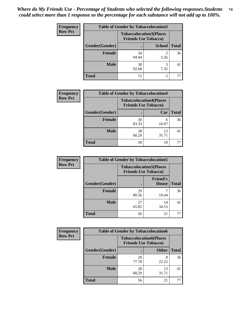| <b>Frequency</b> | <b>Table of Gender by Tobaccolocation3</b> |             |                                                               |              |
|------------------|--------------------------------------------|-------------|---------------------------------------------------------------|--------------|
| <b>Row Pct</b>   |                                            |             | <b>Tobaccolocation3(Places</b><br><b>Friends Use Tobacco)</b> |              |
|                  | Gender(Gender)                             |             | <b>School</b>                                                 | <b>Total</b> |
|                  | <b>Female</b>                              | 34<br>94.44 | 5.56                                                          | 36           |
|                  | <b>Male</b>                                | 38<br>92.68 | 3<br>7.32                                                     | 41           |
|                  | <b>Total</b>                               | 72          |                                                               |              |

| <b>Frequency</b> | <b>Table of Gender by Tobaccolocation4</b> |                                                               |             |              |
|------------------|--------------------------------------------|---------------------------------------------------------------|-------------|--------------|
| <b>Row Pct</b>   |                                            | <b>Tobaccolocation4(Places</b><br><b>Friends Use Tobacco)</b> |             |              |
|                  | Gender(Gender)                             |                                                               | Car         | <b>Total</b> |
|                  | <b>Female</b>                              | 30<br>83.33                                                   | 6<br>16.67  | 36           |
|                  | <b>Male</b>                                | 28<br>68.29                                                   | 13<br>31.71 | 41           |
|                  | <b>Total</b>                               | 58                                                            | 19          |              |

| <b>Frequency</b> | <b>Table of Gender by Tobaccolocation5</b> |                                                               |                          |              |
|------------------|--------------------------------------------|---------------------------------------------------------------|--------------------------|--------------|
| <b>Row Pct</b>   |                                            | <b>Tobaccolocation5(Places</b><br><b>Friends Use Tobacco)</b> |                          |              |
|                  | Gender(Gender)                             |                                                               | <b>Friend's</b><br>House | <b>Total</b> |
|                  | <b>Female</b>                              | 29<br>80.56                                                   | 19.44                    | 36           |
|                  | <b>Male</b>                                | 27<br>65.85                                                   | 14<br>34.15              | 41           |
|                  | <b>Total</b>                               | 56                                                            | 21                       | 77           |

| <b>Frequency</b> | <b>Table of Gender by Tobaccolocation6</b> |                                                               |              |              |
|------------------|--------------------------------------------|---------------------------------------------------------------|--------------|--------------|
| <b>Row Pct</b>   |                                            | <b>Tobaccolocation6(Places</b><br><b>Friends Use Tobacco)</b> |              |              |
|                  | Gender(Gender)                             |                                                               | <b>Other</b> | <b>Total</b> |
|                  | Female                                     | 28<br>77.78                                                   | 8<br>22.22   | 36           |
|                  | <b>Male</b>                                | 28<br>68.29                                                   | 13<br>31.71  | 41           |
|                  | <b>Total</b>                               | 56                                                            | 21           | 77           |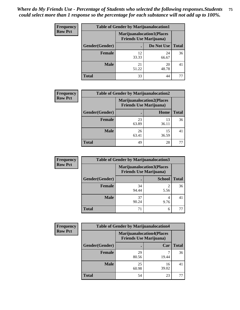| <b>Frequency</b> | <b>Table of Gender by Marijuanalocation1</b> |                                                                    |             |              |  |
|------------------|----------------------------------------------|--------------------------------------------------------------------|-------------|--------------|--|
| <b>Row Pct</b>   |                                              | <b>Marijuanalocation1(Places</b><br><b>Friends Use Marijuana</b> ) |             |              |  |
|                  | Gender(Gender)                               |                                                                    | Do Not Use  | <b>Total</b> |  |
|                  | <b>Female</b>                                | 12<br>33.33                                                        | 24<br>66.67 | 36           |  |
|                  | <b>Male</b>                                  | 21<br>51.22                                                        | 20<br>48.78 | 41           |  |
|                  | <b>Total</b>                                 | 33                                                                 | 44          |              |  |

| <b>Frequency</b> | <b>Table of Gender by Marijuanalocation2</b> |             |                                                                    |              |
|------------------|----------------------------------------------|-------------|--------------------------------------------------------------------|--------------|
| <b>Row Pct</b>   |                                              |             | <b>Marijuanalocation2(Places</b><br><b>Friends Use Marijuana</b> ) |              |
|                  | Gender(Gender)                               |             | Home                                                               | <b>Total</b> |
|                  | <b>Female</b>                                | 23<br>63.89 | 13<br>36.11                                                        | 36           |
|                  | <b>Male</b>                                  | 26<br>63.41 | 15<br>36.59                                                        | 41           |
|                  | <b>Total</b>                                 | 49          | 28                                                                 |              |

| Frequency      | <b>Table of Gender by Marijuanalocation3</b> |                                |                                  |              |
|----------------|----------------------------------------------|--------------------------------|----------------------------------|--------------|
| <b>Row Pct</b> |                                              | <b>Friends Use Marijuana</b> ) | <b>Marijuanalocation3(Places</b> |              |
|                | Gender(Gender)                               |                                | <b>School</b>                    | <b>Total</b> |
|                | Female                                       | 34<br>94.44                    | 5.56                             | 36           |
|                | <b>Male</b>                                  | 37<br>90.24                    | 4<br>9.76                        | 41           |
|                | <b>Total</b>                                 | 71                             | 6                                |              |

| <b>Frequency</b> | <b>Table of Gender by Marijuanalocation4</b> |                                                                    |             |              |
|------------------|----------------------------------------------|--------------------------------------------------------------------|-------------|--------------|
| <b>Row Pct</b>   |                                              | <b>Marijuanalocation4(Places</b><br><b>Friends Use Marijuana</b> ) |             |              |
|                  | Gender(Gender)                               |                                                                    | Car         | <b>Total</b> |
|                  | Female                                       | 29<br>80.56                                                        | 19.44       | 36           |
|                  | <b>Male</b>                                  | 25<br>60.98                                                        | 16<br>39.02 | 41           |
|                  | <b>Total</b>                                 | 54                                                                 | 23          |              |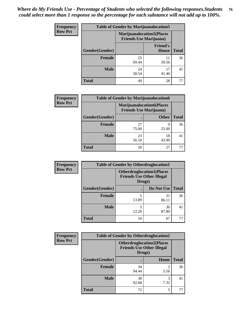| Frequency      | <b>Table of Gender by Marijuanalocation5</b> |                                                                     |                                 |              |
|----------------|----------------------------------------------|---------------------------------------------------------------------|---------------------------------|--------------|
| <b>Row Pct</b> |                                              | <b>Marijuanalocation5</b> (Places<br><b>Friends Use Marijuana</b> ) |                                 |              |
|                | Gender(Gender)                               |                                                                     | <b>Friend's</b><br><b>House</b> | <b>Total</b> |
|                | Female                                       | 25<br>69.44                                                         | 11<br>30.56                     | 36           |
|                | <b>Male</b>                                  | 24<br>58.54                                                         | 17<br>41.46                     | 41           |
|                | <b>Total</b>                                 | 49                                                                  | 28                              | 77           |

| <b>Frequency</b> | <b>Table of Gender by Marijuanalocation6</b> |                                |                                  |              |  |
|------------------|----------------------------------------------|--------------------------------|----------------------------------|--------------|--|
| <b>Row Pct</b>   |                                              | <b>Friends Use Marijuana</b> ) | <b>Marijuanalocation6(Places</b> |              |  |
|                  | <b>Gender</b> (Gender)                       |                                | <b>Other</b>                     | <b>Total</b> |  |
|                  | <b>Female</b>                                | 27<br>75.00                    | 9<br>25.00                       | 36           |  |
|                  | <b>Male</b>                                  | 23<br>56.10                    | 18<br>43.90                      | 4ì           |  |
|                  | <b>Total</b>                                 | 50                             | 27                               |              |  |

| <b>Frequency</b> | <b>Table of Gender by Otherdruglocation1</b> |                                                                                |             |              |
|------------------|----------------------------------------------|--------------------------------------------------------------------------------|-------------|--------------|
| <b>Row Pct</b>   |                                              | <b>Otherdruglocation1(Places</b><br><b>Friends Use Other Illegal</b><br>Drugs) |             |              |
|                  | Gender(Gender)                               |                                                                                | Do Not Use  | <b>Total</b> |
|                  | <b>Female</b>                                | 13.89                                                                          | 31<br>86.11 | 36           |
|                  | <b>Male</b>                                  | 12.20                                                                          | 36<br>87.80 | 41           |
|                  | <b>Total</b>                                 | 10                                                                             | 67          | 77           |

| Frequency      | <b>Table of Gender by Otherdruglocation2</b> |                                                                                |      |              |
|----------------|----------------------------------------------|--------------------------------------------------------------------------------|------|--------------|
| <b>Row Pct</b> |                                              | <b>Otherdruglocation2(Places</b><br><b>Friends Use Other Illegal</b><br>Drugs) |      |              |
|                | Gender(Gender)                               |                                                                                | Home | <b>Total</b> |
|                | Female                                       | 34<br>94.44                                                                    | 5.56 | 36           |
|                | <b>Male</b>                                  | 38<br>92.68                                                                    | 7.32 | 41           |
|                | <b>Total</b>                                 | 72                                                                             | 5    | 77           |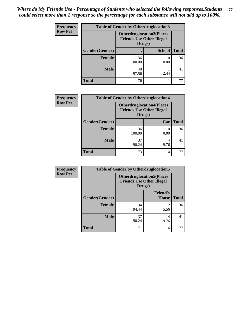| Frequency      | <b>Table of Gender by Otherdruglocation3</b> |                                                                                |               |              |
|----------------|----------------------------------------------|--------------------------------------------------------------------------------|---------------|--------------|
| <b>Row Pct</b> |                                              | <b>Otherdruglocation3(Places</b><br><b>Friends Use Other Illegal</b><br>Drugs) |               |              |
|                | Gender(Gender)                               |                                                                                | <b>School</b> | <b>Total</b> |
|                | Female                                       | 36<br>100.00                                                                   | 0.00          | 36           |
|                | <b>Male</b>                                  | 40<br>97.56                                                                    | 2.44          | 41           |
|                | <b>Total</b>                                 | 76                                                                             |               | 77           |

| Frequency      | <b>Table of Gender by Otherdruglocation4</b> |                                            |                                  |              |
|----------------|----------------------------------------------|--------------------------------------------|----------------------------------|--------------|
| <b>Row Pct</b> |                                              | <b>Friends Use Other Illegal</b><br>Drugs) | <b>Otherdruglocation4(Places</b> |              |
|                | Gender(Gender)                               |                                            | Car                              | <b>Total</b> |
|                | <b>Female</b>                                | 36<br>100.00                               | 0.00                             | 36           |
|                | <b>Male</b>                                  | 37<br>90.24                                | 4<br>9.76                        | 41           |
|                | <b>Total</b>                                 | 73                                         | 4                                |              |

| Frequency      | <b>Table of Gender by Otherdruglocation5</b> |             |                                                                                |              |
|----------------|----------------------------------------------|-------------|--------------------------------------------------------------------------------|--------------|
| <b>Row Pct</b> |                                              |             | <b>Otherdruglocation5(Places</b><br><b>Friends Use Other Illegal</b><br>Drugs) |              |
|                | Gender(Gender)                               |             | <b>Friend's</b><br><b>House</b>                                                | <b>Total</b> |
|                | <b>Female</b>                                | 34<br>94.44 | 2<br>5.56                                                                      | 36           |
|                | <b>Male</b>                                  | 37<br>90.24 | 4<br>9.76                                                                      | 41           |
|                | <b>Total</b>                                 | 71          | 6                                                                              | 77           |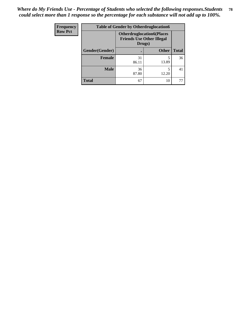| <b>Frequency</b> | <b>Table of Gender by Otherdruglocation6</b> |                                            |                                  |              |
|------------------|----------------------------------------------|--------------------------------------------|----------------------------------|--------------|
| <b>Row Pct</b>   |                                              | <b>Friends Use Other Illegal</b><br>Drugs) | <b>Otherdruglocation6(Places</b> |              |
|                  | Gender(Gender)                               |                                            | <b>Other</b>                     | <b>Total</b> |
|                  | <b>Female</b>                                | 31<br>86.11                                | 13.89                            | 36           |
|                  | <b>Male</b>                                  | 36<br>87.80                                | 12.20                            | 41           |
|                  | <b>Total</b>                                 | 67                                         | 10                               | 77           |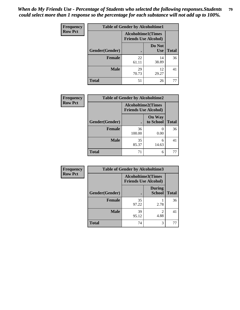| <b>Frequency</b> | <b>Table of Gender by Alcoholtime1</b> |                                                          |                      |              |
|------------------|----------------------------------------|----------------------------------------------------------|----------------------|--------------|
| <b>Row Pct</b>   |                                        | <b>Alcoholtime1(Times</b><br><b>Friends Use Alcohol)</b> |                      |              |
|                  | Gender(Gender)                         | $\bullet$                                                | Do Not<br><b>Use</b> | <b>Total</b> |
|                  | <b>Female</b>                          | 22<br>61.11                                              | 14<br>38.89          | 36           |
|                  | <b>Male</b>                            | 29<br>70.73                                              | 12<br>29.27          | 41           |
|                  | <b>Total</b>                           | 51                                                       | 26                   | 77           |

| <b>Frequency</b> | <b>Table of Gender by Alcoholtime2</b> |                                                          |                            |              |
|------------------|----------------------------------------|----------------------------------------------------------|----------------------------|--------------|
| <b>Row Pct</b>   |                                        | <b>Alcoholtime2(Times</b><br><b>Friends Use Alcohol)</b> |                            |              |
|                  | Gender(Gender)                         |                                                          | <b>On Way</b><br>to School | <b>Total</b> |
|                  | <b>Female</b>                          | 36<br>100.00                                             | 0<br>0.00                  | 36           |
|                  | <b>Male</b>                            | 35<br>85.37                                              | 6<br>14.63                 | 41           |
|                  | <b>Total</b>                           | 71                                                       | 6                          | 77           |

| <b>Frequency</b> | <b>Table of Gender by Alcoholtime3</b> |                                                          |                                  |              |
|------------------|----------------------------------------|----------------------------------------------------------|----------------------------------|--------------|
| <b>Row Pct</b>   |                                        | <b>Alcoholtime3(Times</b><br><b>Friends Use Alcohol)</b> |                                  |              |
|                  | Gender(Gender)                         |                                                          | <b>During</b><br><b>School</b>   | <b>Total</b> |
|                  | Female                                 | 35<br>97.22                                              | 2.78                             | 36           |
|                  | <b>Male</b>                            | 39<br>95.12                                              | $\overline{\mathcal{L}}$<br>4.88 | 41           |
|                  | <b>Total</b>                           | 74                                                       | 3                                | 77           |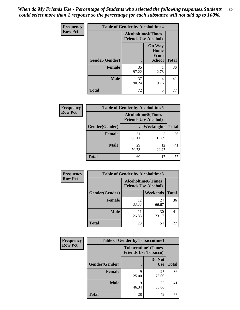*When do My Friends Use - Percentage of Students who selected the following responses.Students could select more than 1 response so the percentage for each substance will not add up to 100%.* **80**

| <b>Frequency</b> | <b>Table of Gender by Alcoholtime4</b> |                                                          |                                                |              |
|------------------|----------------------------------------|----------------------------------------------------------|------------------------------------------------|--------------|
| <b>Row Pct</b>   |                                        | <b>Alcoholtime4(Times</b><br><b>Friends Use Alcohol)</b> |                                                |              |
|                  | Gender(Gender)                         |                                                          | <b>On Way</b><br>Home<br>From<br><b>School</b> | <b>Total</b> |
|                  | <b>Female</b>                          | 35<br>97.22                                              | 2.78                                           | 36           |
|                  | <b>Male</b>                            | 37<br>90.24                                              | 4<br>9.76                                      | 41           |
|                  | <b>Total</b>                           | 72                                                       | 5                                              | 77           |

| <b>Frequency</b> | <b>Table of Gender by Alcoholtime5</b> |                                                   |                   |              |  |
|------------------|----------------------------------------|---------------------------------------------------|-------------------|--------------|--|
| <b>Row Pct</b>   |                                        | Alcoholtime5(Times<br><b>Friends Use Alcohol)</b> |                   |              |  |
|                  | Gender(Gender)                         |                                                   | <b>Weeknights</b> | <b>Total</b> |  |
|                  | <b>Female</b>                          | 31<br>86.11                                       | 5<br>13.89        | 36           |  |
|                  | <b>Male</b>                            | 29<br>70.73                                       | 12<br>29.27       | 41           |  |
|                  | <b>Total</b>                           | 60                                                | 17                | 77           |  |

| <b>Frequency</b> | <b>Table of Gender by Alcoholtime6</b> |                                                           |             |              |
|------------------|----------------------------------------|-----------------------------------------------------------|-------------|--------------|
| <b>Row Pct</b>   |                                        | <b>Alcoholtime6</b> (Times<br><b>Friends Use Alcohol)</b> |             |              |
|                  | Gender(Gender)                         |                                                           | Weekends    | <b>Total</b> |
|                  | <b>Female</b>                          | 12<br>33.33                                               | 24<br>66.67 | 36           |
|                  | <b>Male</b>                            | 11<br>26.83                                               | 30<br>73.17 | 41           |
|                  | <b>Total</b>                           | 23                                                        | 54          | 77           |

| Frequency      | <b>Table of Gender by Tobaccotime1</b> |                                                          |                      |              |
|----------------|----------------------------------------|----------------------------------------------------------|----------------------|--------------|
| <b>Row Pct</b> |                                        | <b>Tobaccotime1(Times</b><br><b>Friends Use Tobacco)</b> |                      |              |
|                | Gender(Gender)                         |                                                          | Do Not<br><b>Use</b> | <b>Total</b> |
|                | <b>Female</b>                          | 9<br>25.00                                               | 27<br>75.00          | 36           |
|                | <b>Male</b>                            | 19<br>46.34                                              | 22<br>53.66          | 41           |
|                | <b>Total</b>                           | 28                                                       | 49                   | 77           |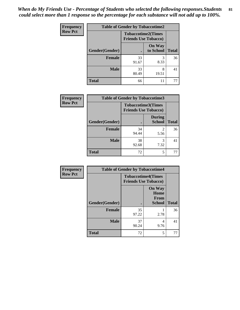| <b>Frequency</b> | <b>Table of Gender by Tobaccotime2</b> |                                                          |                            |              |
|------------------|----------------------------------------|----------------------------------------------------------|----------------------------|--------------|
| <b>Row Pct</b>   |                                        | <b>Tobaccotime2(Times</b><br><b>Friends Use Tobacco)</b> |                            |              |
|                  | Gender(Gender)                         | $\bullet$                                                | <b>On Way</b><br>to School | <b>Total</b> |
|                  | Female                                 | 33<br>91.67                                              | 3<br>8.33                  | 36           |
|                  | <b>Male</b>                            | 33<br>80.49                                              | 8<br>19.51                 | 41           |
|                  | <b>Total</b>                           | 66                                                       | 11                         | 77           |

| Frequency      | <b>Table of Gender by Tobaccotime3</b> |                             |                                |              |
|----------------|----------------------------------------|-----------------------------|--------------------------------|--------------|
| <b>Row Pct</b> |                                        | <b>Friends Use Tobacco)</b> | <b>Tobaccotime3(Times</b>      |              |
|                | Gender(Gender)                         |                             | <b>During</b><br><b>School</b> | <b>Total</b> |
|                | Female                                 | 34<br>94.44                 | 2<br>5.56                      | 36           |
|                | <b>Male</b>                            | 38<br>92.68                 | 7.32                           | 41           |
|                | <b>Total</b>                           | 72                          | 5                              |              |

| Frequency      | <b>Table of Gender by Tobaccotime4</b> |                                                          |                                                |              |
|----------------|----------------------------------------|----------------------------------------------------------|------------------------------------------------|--------------|
| <b>Row Pct</b> |                                        | <b>Tobaccotime4(Times</b><br><b>Friends Use Tobacco)</b> |                                                |              |
|                | Gender(Gender)                         |                                                          | <b>On Way</b><br>Home<br>From<br><b>School</b> | <b>Total</b> |
|                | <b>Female</b>                          | 35<br>97.22                                              | 2.78                                           | 36           |
|                | <b>Male</b>                            | 37<br>90.24                                              | 4<br>9.76                                      | 41           |
|                | <b>Total</b>                           | 72                                                       | 5                                              | 77           |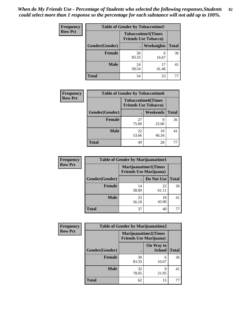| <b>Frequency</b> | <b>Table of Gender by Tobaccotime5</b> |                                                           |             |              |  |
|------------------|----------------------------------------|-----------------------------------------------------------|-------------|--------------|--|
| <b>Row Pct</b>   |                                        | <b>Tobaccotime5</b> (Times<br><b>Friends Use Tobacco)</b> |             |              |  |
|                  | Gender(Gender)                         |                                                           | Weeknights  | <b>Total</b> |  |
|                  | <b>Female</b>                          | 30<br>83.33                                               | 6<br>16.67  | 36           |  |
|                  | <b>Male</b>                            | 24<br>58.54                                               | 17<br>41.46 | 41           |  |
|                  | Total                                  | 54                                                        | 23          | 77           |  |

| Frequency      | <b>Table of Gender by Tobaccotime6</b> |                                                          |                 |              |
|----------------|----------------------------------------|----------------------------------------------------------|-----------------|--------------|
| <b>Row Pct</b> |                                        | <b>Tobaccotime6(Times</b><br><b>Friends Use Tobacco)</b> |                 |              |
|                | Gender(Gender)                         |                                                          | <b>Weekends</b> | <b>Total</b> |
|                | <b>Female</b>                          | 27<br>75.00                                              | q<br>25.00      | 36           |
|                | <b>Male</b>                            | 22<br>53.66                                              | 19<br>46.34     | 41           |
|                | <b>Total</b>                           | 49                                                       | 28              | 77           |

| <b>Frequency</b> | <b>Table of Gender by Marijuanatime1</b> |                                |                             |              |
|------------------|------------------------------------------|--------------------------------|-----------------------------|--------------|
| <b>Row Pct</b>   |                                          | <b>Friends Use Marijuana</b> ) | <b>Marijuanatime1(Times</b> |              |
|                  | Gender(Gender)                           |                                | Do Not Use                  | <b>Total</b> |
|                  | <b>Female</b>                            | 14<br>38.89                    | 22<br>61.11                 | 36           |
|                  | <b>Male</b>                              | 23<br>56.10                    | 18<br>43.90                 | 41           |
|                  | <b>Total</b>                             | 37                             | 40                          | 77           |

| <b>Frequency</b> | <b>Table of Gender by Marijuanatime2</b> |                                                        |                            |              |
|------------------|------------------------------------------|--------------------------------------------------------|----------------------------|--------------|
| <b>Row Pct</b>   |                                          | Marijuanatime2(Times<br><b>Friends Use Marijuana</b> ) |                            |              |
|                  | Gender(Gender)                           |                                                        | On Way to<br><b>School</b> | <b>Total</b> |
|                  | Female                                   | 30<br>83.33                                            | 6<br>16.67                 | 36           |
|                  | <b>Male</b>                              | 32<br>78.05                                            | 9<br>21.95                 | 41           |
|                  | <b>Total</b>                             | 62                                                     | 15                         | 77           |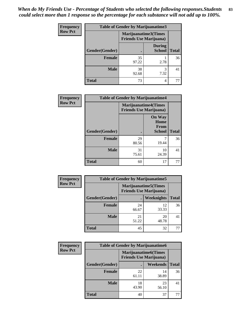*When do My Friends Use - Percentage of Students who selected the following responses.Students could select more than 1 response so the percentage for each substance will not add up to 100%.* **83**

| <b>Frequency</b> | Table of Gender by Marijuanatime3 |                                                        |                                |              |
|------------------|-----------------------------------|--------------------------------------------------------|--------------------------------|--------------|
| <b>Row Pct</b>   |                                   | Marijuanatime3(Times<br><b>Friends Use Marijuana</b> ) |                                |              |
|                  | Gender(Gender)                    |                                                        | <b>During</b><br><b>School</b> | <b>Total</b> |
|                  | <b>Female</b>                     | 35<br>97.22                                            | 2.78                           | 36           |
|                  | <b>Male</b>                       | 38<br>92.68                                            | 7.32                           | 41           |
|                  | <b>Total</b>                      | 73                                                     | 4                              | 77           |

| Frequency      | <b>Table of Gender by Marijuanatime4</b> |                                                               |                                                |              |
|----------------|------------------------------------------|---------------------------------------------------------------|------------------------------------------------|--------------|
| <b>Row Pct</b> |                                          | <b>Marijuanatime4(Times</b><br><b>Friends Use Marijuana</b> ) |                                                |              |
|                | Gender(Gender)                           |                                                               | <b>On Way</b><br>Home<br>From<br><b>School</b> | <b>Total</b> |
|                | <b>Female</b>                            | 29<br>80.56                                                   | 19.44                                          | 36           |
|                | <b>Male</b>                              | 31<br>75.61                                                   | 10<br>24.39                                    | 41           |
|                | <b>Total</b>                             | 60                                                            | 17                                             | 77           |

| Frequency      | <b>Table of Gender by Marijuanatime5</b> |                                                                |             |              |
|----------------|------------------------------------------|----------------------------------------------------------------|-------------|--------------|
| <b>Row Pct</b> |                                          | <b>Marijuanatime5</b> (Times<br><b>Friends Use Marijuana</b> ) |             |              |
|                | Gender(Gender)                           | ٠                                                              | Weeknights  | <b>Total</b> |
|                | <b>Female</b>                            | 24<br>66.67                                                    | 12<br>33.33 | 36           |
|                | <b>Male</b>                              | 21<br>51.22                                                    | 20<br>48.78 | 41           |
|                | <b>Total</b>                             | 45                                                             | 32          | 77           |

| Frequency      | <b>Table of Gender by Marijuanatime6</b> |                                                               |                 |              |
|----------------|------------------------------------------|---------------------------------------------------------------|-----------------|--------------|
| <b>Row Pct</b> |                                          | <b>Marijuanatime6(Times</b><br><b>Friends Use Marijuana</b> ) |                 |              |
|                | Gender(Gender)                           |                                                               | <b>Weekends</b> | <b>Total</b> |
|                | <b>Female</b>                            | 22<br>61.11                                                   | 14<br>38.89     | 36           |
|                | <b>Male</b>                              | 18<br>43.90                                                   | 23<br>56.10     | 41           |
|                | <b>Total</b>                             | 40                                                            | 37              | 77           |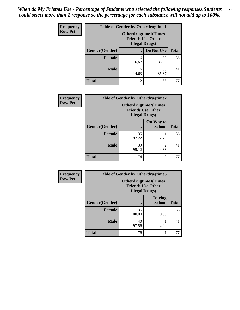| <b>Frequency</b> | <b>Table of Gender by Otherdrugtime1</b> |                                                                                   |             |              |
|------------------|------------------------------------------|-----------------------------------------------------------------------------------|-------------|--------------|
| <b>Row Pct</b>   |                                          | <b>Otherdrugtime1(Times</b><br><b>Friends Use Other</b><br><b>Illegal Drugs</b> ) |             |              |
|                  | Gender(Gender)                           |                                                                                   | Do Not Use  | <b>Total</b> |
|                  | <b>Female</b>                            | 6<br>16.67                                                                        | 30<br>83.33 | 36           |
|                  | <b>Male</b>                              | 6<br>14.63                                                                        | 35<br>85.37 | 41           |
|                  | <b>Total</b>                             | 12                                                                                | 65          | 77           |

| <b>Frequency</b> | <b>Table of Gender by Otherdrugtime2</b> |                                                                                   |                                     |              |  |
|------------------|------------------------------------------|-----------------------------------------------------------------------------------|-------------------------------------|--------------|--|
| <b>Row Pct</b>   |                                          | <b>Otherdrugtime2(Times</b><br><b>Friends Use Other</b><br><b>Illegal Drugs</b> ) |                                     |              |  |
|                  | Gender(Gender)                           |                                                                                   | On Way to<br><b>School</b>          | <b>Total</b> |  |
|                  | <b>Female</b>                            | 35<br>97.22                                                                       | 2.78                                | 36           |  |
|                  | <b>Male</b>                              | 39<br>95.12                                                                       | $\mathcal{D}_{\mathcal{A}}$<br>4.88 | 41           |  |
|                  | <b>Total</b>                             | 74                                                                                | 3                                   | 77           |  |

| <b>Frequency</b> | Table of Gender by Otherdrugtime3 |                                                                            |                                |              |
|------------------|-----------------------------------|----------------------------------------------------------------------------|--------------------------------|--------------|
| <b>Row Pct</b>   |                                   | Otherdrugtime3(Times<br><b>Friends Use Other</b><br><b>Illegal Drugs</b> ) |                                |              |
|                  | Gender(Gender)                    | $\bullet$                                                                  | <b>During</b><br><b>School</b> | <b>Total</b> |
|                  | <b>Female</b>                     | 36<br>100.00                                                               | 0<br>0.00                      | 36           |
|                  | <b>Male</b>                       | 40<br>97.56                                                                | 2.44                           | 41           |
|                  | <b>Total</b>                      | 76                                                                         |                                | 77           |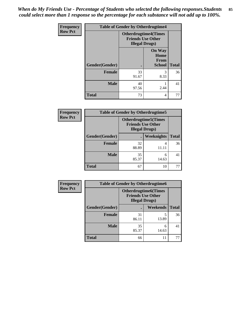*When do My Friends Use - Percentage of Students who selected the following responses.Students could select more than 1 response so the percentage for each substance will not add up to 100%.* **85**

| Frequency      |                | <b>Table of Gender by Otherdrugtime4</b>                                          |                                                |              |
|----------------|----------------|-----------------------------------------------------------------------------------|------------------------------------------------|--------------|
| <b>Row Pct</b> |                | <b>Otherdrugtime4(Times</b><br><b>Friends Use Other</b><br><b>Illegal Drugs</b> ) |                                                |              |
|                | Gender(Gender) |                                                                                   | <b>On Way</b><br>Home<br>From<br><b>School</b> | <b>Total</b> |
|                | <b>Female</b>  | 33<br>91.67                                                                       | 3<br>8.33                                      | 36           |
|                | <b>Male</b>    | 40<br>97.56                                                                       | 2.44                                           | 41           |
|                | <b>Total</b>   | 73                                                                                | 4                                              | 77           |

| <b>Frequency</b> | <b>Table of Gender by Otherdrugtime5</b> |                                                                                    |            |              |
|------------------|------------------------------------------|------------------------------------------------------------------------------------|------------|--------------|
| <b>Row Pct</b>   |                                          | <b>Otherdrugtime5</b> (Times<br><b>Friends Use Other</b><br><b>Illegal Drugs</b> ) |            |              |
|                  | Gender(Gender)                           | ٠                                                                                  | Weeknights | <b>Total</b> |
|                  | Female                                   | 32<br>88.89                                                                        | 4<br>11.11 | 36           |
|                  | <b>Male</b>                              | 35<br>85.37                                                                        | 6<br>14.63 | 41           |
|                  | <b>Total</b>                             | 67                                                                                 | 10         | 77           |

| <b>Frequency</b> | <b>Table of Gender by Otherdrugtime6</b> |                                                                                   |            |              |
|------------------|------------------------------------------|-----------------------------------------------------------------------------------|------------|--------------|
| <b>Row Pct</b>   |                                          | <b>Otherdrugtime6(Times</b><br><b>Friends Use Other</b><br><b>Illegal Drugs</b> ) |            |              |
|                  | Gender(Gender)                           |                                                                                   | Weekends   | <b>Total</b> |
|                  | <b>Female</b>                            | 31<br>86.11                                                                       | 5<br>13.89 | 36           |
|                  | <b>Male</b>                              | 35<br>85.37                                                                       | 6<br>14.63 | 41           |
|                  | <b>Total</b>                             | 66                                                                                | 11         | 77           |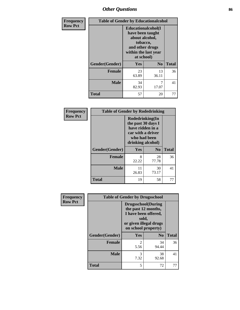# *Other Questions* **86**

| <b>Frequency</b> | <b>Table of Gender by Educationalcohol</b> |                                                                                                                                       |                |              |  |
|------------------|--------------------------------------------|---------------------------------------------------------------------------------------------------------------------------------------|----------------|--------------|--|
| <b>Row Pct</b>   |                                            | <b>Educationalcohol</b> (I<br>have been taught<br>about alcohol,<br>tobacco,<br>and other drugs<br>within the last year<br>at school) |                |              |  |
|                  | Gender(Gender)                             | Yes                                                                                                                                   | N <sub>0</sub> | <b>Total</b> |  |
|                  | <b>Female</b>                              | 23<br>63.89                                                                                                                           | 13<br>36.11    | 36           |  |
|                  | <b>Male</b>                                | 34<br>82.93                                                                                                                           | 7<br>17.07     | 41           |  |
|                  | <b>Total</b>                               | 57                                                                                                                                    | 20             | 77           |  |

| Frequency      | <b>Table of Gender by Rodedrinking</b> |                                                                                                                     |                |              |  |
|----------------|----------------------------------------|---------------------------------------------------------------------------------------------------------------------|----------------|--------------|--|
| <b>Row Pct</b> |                                        | Rodedrinking(In<br>the past 30 days I<br>have ridden in a<br>car with a driver<br>who had been<br>drinking alcohol) |                |              |  |
|                | Gender(Gender)                         | Yes                                                                                                                 | N <sub>0</sub> | <b>Total</b> |  |
|                | <b>Female</b>                          | 8<br>22.22                                                                                                          | 28<br>77.78    | 36           |  |
|                | <b>Male</b>                            | 11<br>26.83                                                                                                         | 30<br>73.17    | 41           |  |
|                | <b>Total</b>                           | 19                                                                                                                  | 58             | 77           |  |

| Frequency      |                | <b>Table of Gender by Drugsschool</b>                                                                                               |                |              |
|----------------|----------------|-------------------------------------------------------------------------------------------------------------------------------------|----------------|--------------|
| <b>Row Pct</b> |                | <b>Drugsschool</b> (During<br>the past 12 months,<br>I have been offered,<br>sold,<br>or given illegal drugs<br>on school property) |                |              |
|                | Gender(Gender) | <b>Yes</b>                                                                                                                          | N <sub>0</sub> | <b>Total</b> |
|                | <b>Female</b>  | $\overline{2}$<br>5.56                                                                                                              | 34<br>94.44    | 36           |
|                | <b>Male</b>    | 3<br>7.32                                                                                                                           | 38<br>92.68    | 41           |
|                | <b>Total</b>   | 5                                                                                                                                   | 72             |              |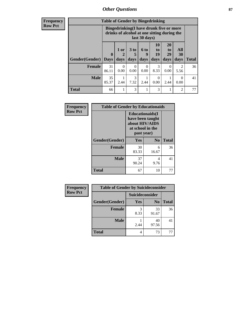# *Other Questions* **87**

**Frequency Row Pct**

| <b>Table of Gender by Bingedrinking</b> |                                                                                                                |           |                  |           |                |                       |                        |              |
|-----------------------------------------|----------------------------------------------------------------------------------------------------------------|-----------|------------------|-----------|----------------|-----------------------|------------------------|--------------|
|                                         | <b>Bingedrinking(I have drunk five or more</b><br>drinks of alcohol at one sitting during the<br>last 30 days) |           |                  |           |                |                       |                        |              |
|                                         | $\mathbf 0$                                                                                                    | 1 or      | 3 to<br>5        | 6 to<br>q | 10<br>to<br>19 | <b>20</b><br>to<br>29 | All<br><b>30</b>       |              |
| <b>Gender</b> (Gender)   Days           |                                                                                                                | days      | days             | days      | days           | days                  | days                   | <b>Total</b> |
| <b>Female</b>                           | 31<br>86.11                                                                                                    | 0<br>0.00 | $\Omega$<br>0.00 | 0<br>0.00 | 3<br>8.33      | 0<br>0.00             | $\mathfrak{D}$<br>5.56 | 36           |
| <b>Male</b>                             | 35<br>85.37                                                                                                    | 2.44      | 3<br>7.32        | 2.44      | 0<br>0.00      | 2.44                  | $\theta$<br>0.00       | 41           |

| Frequency      | <b>Table of Gender by Educationaids</b> |                                                                                                 |                |              |
|----------------|-----------------------------------------|-------------------------------------------------------------------------------------------------|----------------|--------------|
| <b>Row Pct</b> |                                         | <b>Educationaids</b> (I<br>have been taught<br>about HIV/AIDS<br>at school in the<br>past year) |                |              |
|                | Gender(Gender)                          | Yes                                                                                             | N <sub>0</sub> | <b>Total</b> |
|                | <b>Female</b>                           | 30<br>83.33                                                                                     | 6<br>16.67     | 36           |
|                | <b>Male</b>                             | 37<br>90.24                                                                                     | 4<br>9.76      | 41           |
|                | <b>Total</b>                            | 67                                                                                              | 10             | 77           |

| <b>Frequency</b> | <b>Table of Gender by Suicideconsider</b> |                 |                |              |
|------------------|-------------------------------------------|-----------------|----------------|--------------|
| <b>Row Pct</b>   |                                           | Suicideconsider |                |              |
|                  | Gender(Gender)                            | Yes             | N <sub>0</sub> | <b>Total</b> |
|                  | Female                                    | 8.33            | 33<br>91.67    | 36           |
|                  | <b>Male</b>                               | 2.44            | 40<br>97.56    | 41           |
|                  | <b>Total</b>                              | 4               | 73             |              |